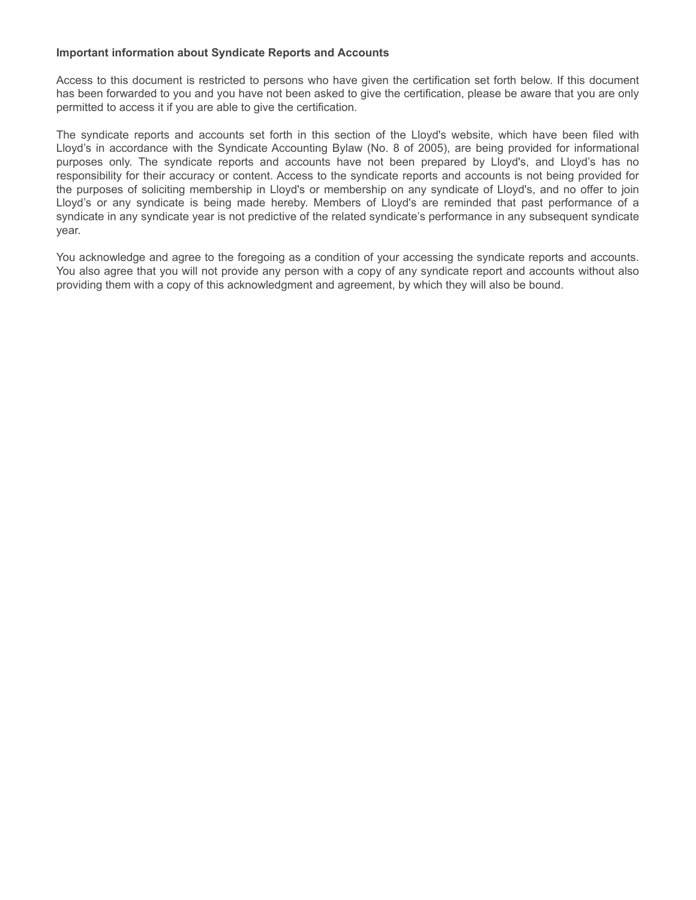#### **Important information about Syndicate Reports and Accounts**

Access to this document is restricted to persons who have given the certification set forth below. If this document has been forwarded to you and you have not been asked to give the certification, please be aware that you are only permitted to access it if you are able to give the certification.

The syndicate reports and accounts set forth in this section of the Lloyd's website, which have been filed with Lloyd's in accordance with the Syndicate Accounting Bylaw (No. 8 of 2005), are being provided for informational purposes only. The syndicate reports and accounts have not been prepared by Lloyd's, and Lloyd's has no responsibility for their accuracy or content. Access to the syndicate reports and accounts is not being provided for the purposes of soliciting membership in Lloyd's or membership on any syndicate of Lloyd's, and no offer to join Lloyd's or any syndicate is being made hereby. Members of Lloyd's are reminded that past performance of a syndicate in any syndicate year is not predictive of the related syndicate's performance in any subsequent syndicate year.

You acknowledge and agree to the foregoing as a condition of your accessing the syndicate reports and accounts. You also agree that you will not provide any person with a copy of any syndicate report and accounts without also providing them with a copy of this acknowledgment and agreement, by which they will also be bound.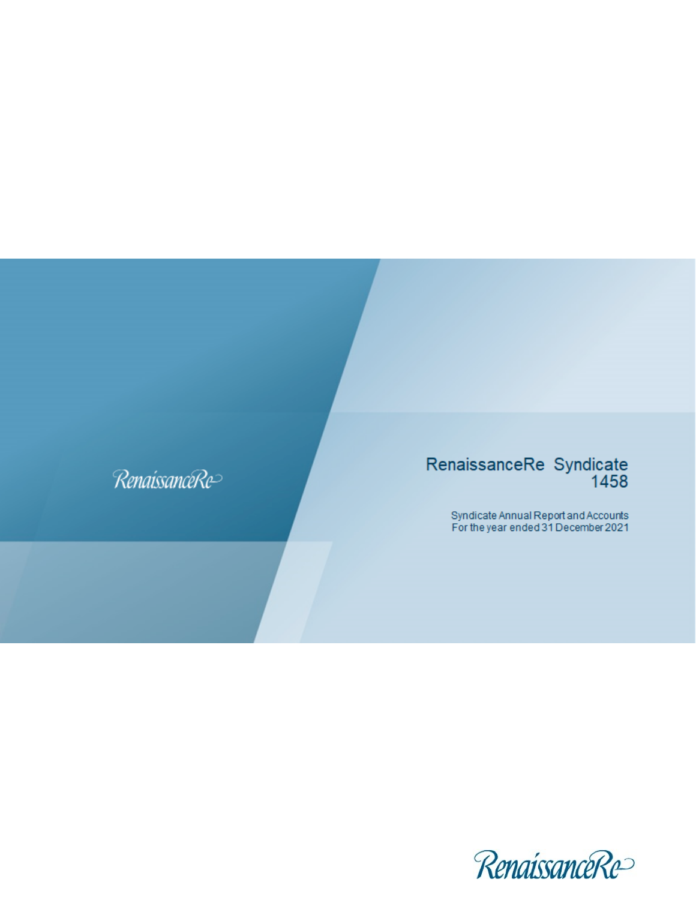# RenaissanceRe

# RenaissanceRe Syndicate<br>1458

Syndicate Annual Report and Accounts<br>For the year ended 31 December 2021

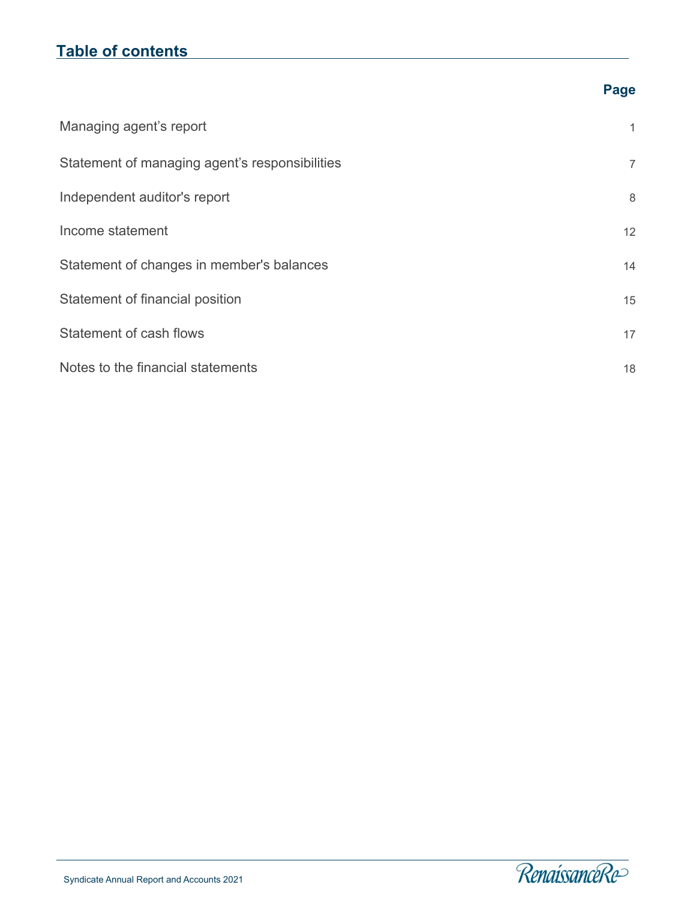# **Table of contents**

| Managing agent's report                        | 1               |
|------------------------------------------------|-----------------|
| Statement of managing agent's responsibilities | $\overline{7}$  |
| Independent auditor's report                   | 8               |
| Income statement                               | 12 <sup>°</sup> |
| Statement of changes in member's balances      | 14              |
| Statement of financial position                | 15              |
| Statement of cash flows                        | 17              |
| Notes to the financial statements              | 18              |

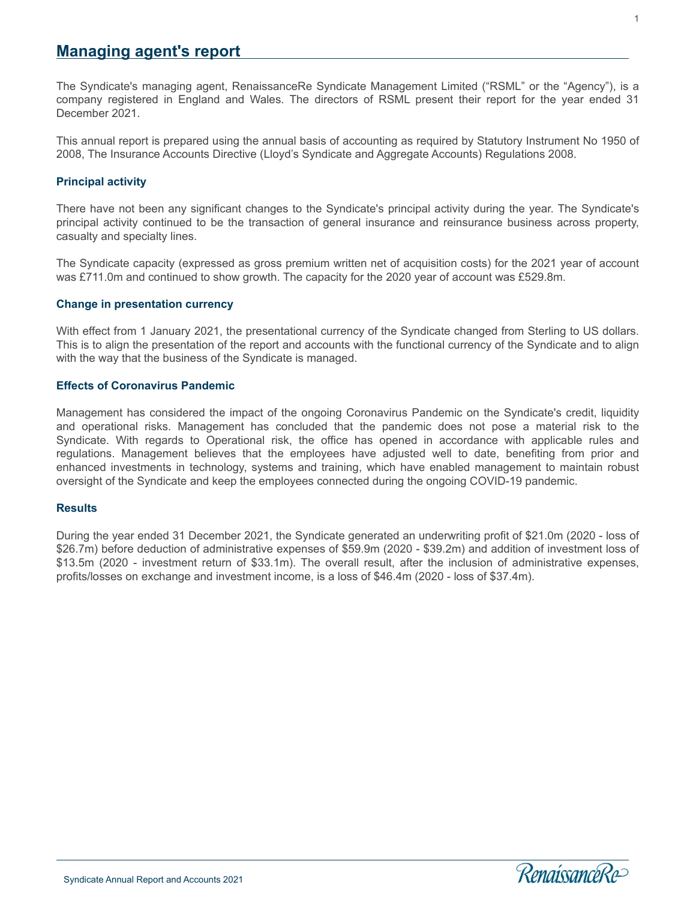# <span id="page-3-0"></span>**Managing agent's report**

The Syndicate's managing agent, RenaissanceRe Syndicate Management Limited ("RSML" or the "Agency"), is a company registered in England and Wales. The directors of RSML present their report for the year ended 31 December 2021.

This annual report is prepared using the annual basis of accounting as required by Statutory Instrument No 1950 of 2008, The Insurance Accounts Directive (Lloyd's Syndicate and Aggregate Accounts) Regulations 2008.

#### **Principal activity**

There have not been any significant changes to the Syndicate's principal activity during the year. The Syndicate's principal activity continued to be the transaction of general insurance and reinsurance business across property, casualty and specialty lines.

The Syndicate capacity (expressed as gross premium written net of acquisition costs) for the 2021 year of account was £711.0m and continued to show growth. The capacity for the 2020 year of account was £529.8m.

#### **Change in presentation currency**

With effect from 1 January 2021, the presentational currency of the Syndicate changed from Sterling to US dollars. This is to align the presentation of the report and accounts with the functional currency of the Syndicate and to align with the way that the business of the Syndicate is managed.

#### **Effects of Coronavirus Pandemic**

Management has considered the impact of the ongoing Coronavirus Pandemic on the Syndicate's credit, liquidity and operational risks. Management has concluded that the pandemic does not pose a material risk to the Syndicate. With regards to Operational risk, the office has opened in accordance with applicable rules and regulations. Management believes that the employees have adjusted well to date, benefiting from prior and enhanced investments in technology, systems and training, which have enabled management to maintain robust oversight of the Syndicate and keep the employees connected during the ongoing COVID-19 pandemic.

#### **Results**

l

During the year ended 31 December 2021, the Syndicate generated an underwriting profit of \$21.0m (2020 - loss of \$26.7m) before deduction of administrative expenses of \$59.9m (2020 - \$39.2m) and addition of investment loss of \$13.5m (2020 - investment return of \$33.1m). The overall result, after the inclusion of administrative expenses, profits/losses on exchange and investment income, is a loss of \$46.4m (2020 - loss of \$37.4m).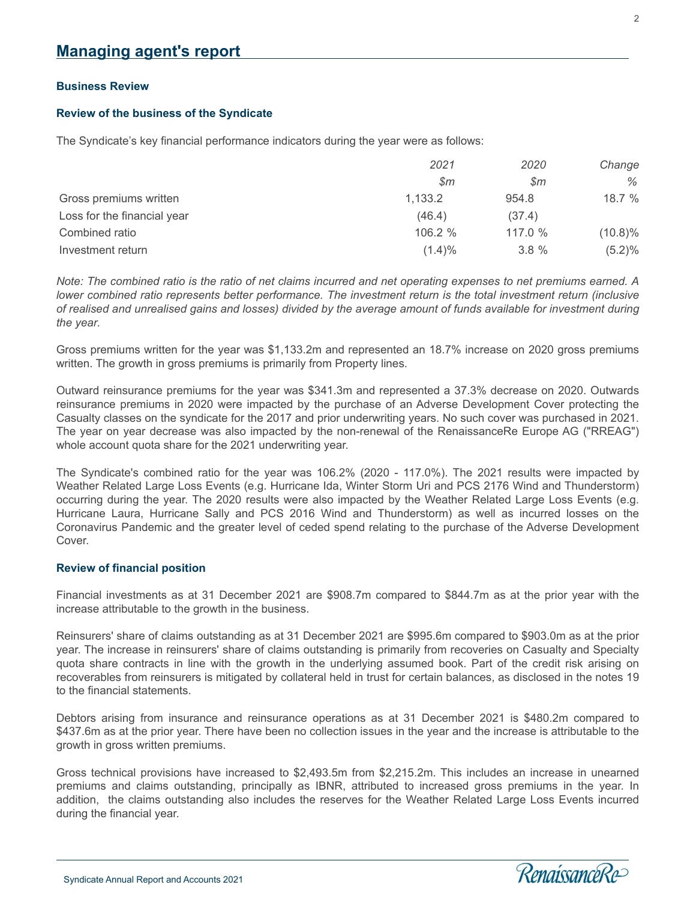#### **Business Review**

#### **Review of the business of the Syndicate**

The Syndicate's key financial performance indicators during the year were as follows:

|                             | 2021           | 2020    | Change     |
|-----------------------------|----------------|---------|------------|
|                             | $\mathcal{S}m$ | \$m     | %          |
| Gross premiums written      | 1,133.2        | 954.8   | 18.7 %     |
| Loss for the financial year | (46.4)         | (37.4)  |            |
| Combined ratio              | 106.2 %        | 117.0 % | $(10.8)\%$ |
| Investment return           | $(1.4)\%$      | 3.8%    | (5.2)%     |

*Note: The combined ratio is the ratio of net claims incurred and net operating expenses to net premiums earned. A lower combined ratio represents better performance. The investment return is the total investment return (inclusive of realised and unrealised gains and losses) divided by the average amount of funds available for investment during the year.*

Gross premiums written for the year was \$1,133.2m and represented an 18.7% increase on 2020 gross premiums written. The growth in gross premiums is primarily from Property lines.

Outward reinsurance premiums for the year was \$341.3m and represented a 37.3% decrease on 2020. Outwards reinsurance premiums in 2020 were impacted by the purchase of an Adverse Development Cover protecting the Casualty classes on the syndicate for the 2017 and prior underwriting years. No such cover was purchased in 2021. The year on year decrease was also impacted by the non-renewal of the RenaissanceRe Europe AG ("RREAG") whole account quota share for the 2021 underwriting year.

The Syndicate's combined ratio for the year was 106.2% (2020 - 117.0%). The 2021 results were impacted by Weather Related Large Loss Events (e.g. Hurricane Ida, Winter Storm Uri and PCS 2176 Wind and Thunderstorm) occurring during the year. The 2020 results were also impacted by the Weather Related Large Loss Events (e.g. Hurricane Laura, Hurricane Sally and PCS 2016 Wind and Thunderstorm) as well as incurred losses on the Coronavirus Pandemic and the greater level of ceded spend relating to the purchase of the Adverse Development Cover.

#### **Review of financial position**

Financial investments as at 31 December 2021 are \$908.7m compared to \$844.7m as at the prior year with the increase attributable to the growth in the business.

Reinsurers' share of claims outstanding as at 31 December 2021 are \$995.6m compared to \$903.0m as at the prior year. The increase in reinsurers' share of claims outstanding is primarily from recoveries on Casualty and Specialty quota share contracts in line with the growth in the underlying assumed book. Part of the credit risk arising on recoverables from reinsurers is mitigated by collateral held in trust for certain balances, as disclosed in the notes 19 to the financial statements.

Debtors arising from insurance and reinsurance operations as at 31 December 2021 is \$480.2m compared to \$437.6m as at the prior year. There have been no collection issues in the year and the increase is attributable to the growth in gross written premiums.

Gross technical provisions have increased to \$2,493.5m from \$2,215.2m. This includes an increase in unearned premiums and claims outstanding, principally as IBNR, attributed to increased gross premiums in the year. In addition, the claims outstanding also includes the reserves for the Weather Related Large Loss Events incurred during the financial year.

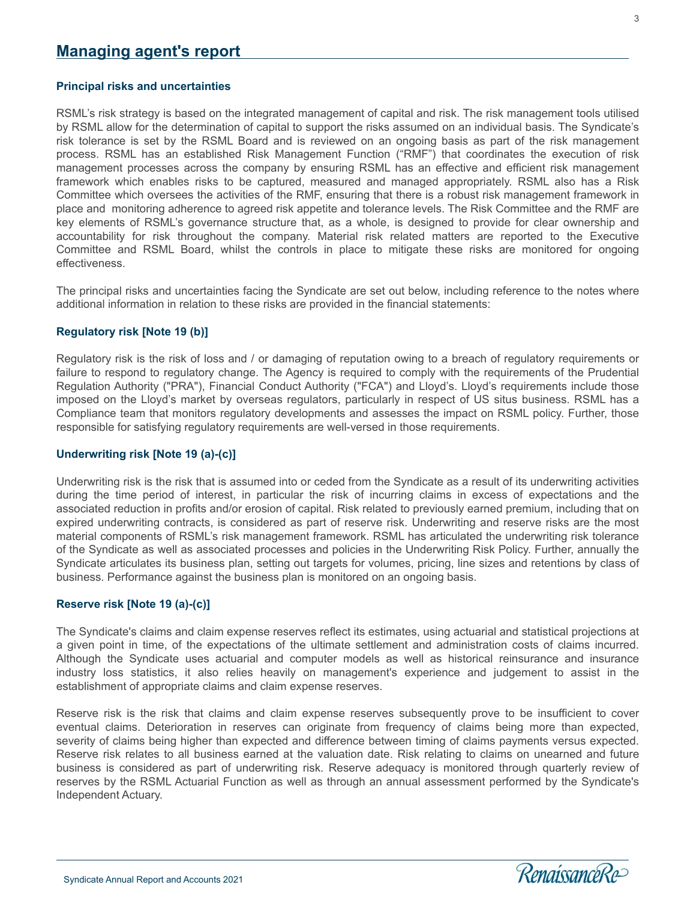#### **Principal risks and uncertainties**

RSML's risk strategy is based on the integrated management of capital and risk. The risk management tools utilised by RSML allow for the determination of capital to support the risks assumed on an individual basis. The Syndicate's risk tolerance is set by the RSML Board and is reviewed on an ongoing basis as part of the risk management process. RSML has an established Risk Management Function ("RMF") that coordinates the execution of risk management processes across the company by ensuring RSML has an effective and efficient risk management framework which enables risks to be captured, measured and managed appropriately. RSML also has a Risk Committee which oversees the activities of the RMF, ensuring that there is a robust risk management framework in place and monitoring adherence to agreed risk appetite and tolerance levels. The Risk Committee and the RMF are key elements of RSML's governance structure that, as a whole, is designed to provide for clear ownership and accountability for risk throughout the company. Material risk related matters are reported to the Executive Committee and RSML Board, whilst the controls in place to mitigate these risks are monitored for ongoing effectiveness.

The principal risks and uncertainties facing the Syndicate are set out below, including reference to the notes where additional information in relation to these risks are provided in the financial statements:

#### **Regulatory risk [Note 19 (b)]**

Regulatory risk is the risk of loss and / or damaging of reputation owing to a breach of regulatory requirements or failure to respond to regulatory change. The Agency is required to comply with the requirements of the Prudential Regulation Authority ("PRA"), Financial Conduct Authority ("FCA") and Lloyd's. Lloyd's requirements include those imposed on the Lloyd's market by overseas regulators, particularly in respect of US situs business. RSML has a Compliance team that monitors regulatory developments and assesses the impact on RSML policy. Further, those responsible for satisfying regulatory requirements are well-versed in those requirements.

#### **Underwriting risk [Note 19 (a)-(c)]**

Underwriting risk is the risk that is assumed into or ceded from the Syndicate as a result of its underwriting activities during the time period of interest, in particular the risk of incurring claims in excess of expectations and the associated reduction in profits and/or erosion of capital. Risk related to previously earned premium, including that on expired underwriting contracts, is considered as part of reserve risk. Underwriting and reserve risks are the most material components of RSML's risk management framework. RSML has articulated the underwriting risk tolerance of the Syndicate as well as associated processes and policies in the Underwriting Risk Policy. Further, annually the Syndicate articulates its business plan, setting out targets for volumes, pricing, line sizes and retentions by class of business. Performance against the business plan is monitored on an ongoing basis.

#### **Reserve risk [Note 19 (a)-(c)]**

The Syndicate's claims and claim expense reserves reflect its estimates, using actuarial and statistical projections at a given point in time, of the expectations of the ultimate settlement and administration costs of claims incurred. Although the Syndicate uses actuarial and computer models as well as historical reinsurance and insurance industry loss statistics, it also relies heavily on management's experience and judgement to assist in the establishment of appropriate claims and claim expense reserves.

Reserve risk is the risk that claims and claim expense reserves subsequently prove to be insufficient to cover eventual claims. Deterioration in reserves can originate from frequency of claims being more than expected, severity of claims being higher than expected and difference between timing of claims payments versus expected. Reserve risk relates to all business earned at the valuation date. Risk relating to claims on unearned and future business is considered as part of underwriting risk. Reserve adequacy is monitored through quarterly review of reserves by the RSML Actuarial Function as well as through an annual assessment performed by the Syndicate's Independent Actuary.

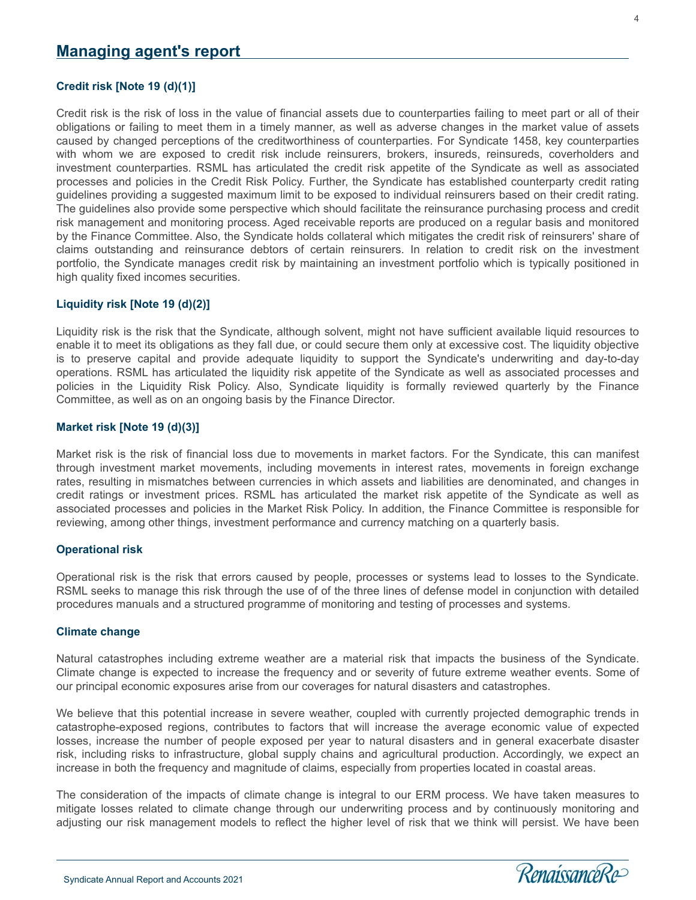#### **Credit risk [Note 19 (d)(1)]**

Credit risk is the risk of loss in the value of financial assets due to counterparties failing to meet part or all of their obligations or failing to meet them in a timely manner, as well as adverse changes in the market value of assets caused by changed perceptions of the creditworthiness of counterparties. For Syndicate 1458, key counterparties with whom we are exposed to credit risk include reinsurers, brokers, insureds, reinsureds, coverholders and investment counterparties. RSML has articulated the credit risk appetite of the Syndicate as well as associated processes and policies in the Credit Risk Policy. Further, the Syndicate has established counterparty credit rating guidelines providing a suggested maximum limit to be exposed to individual reinsurers based on their credit rating. The guidelines also provide some perspective which should facilitate the reinsurance purchasing process and credit risk management and monitoring process. Aged receivable reports are produced on a regular basis and monitored by the Finance Committee. Also, the Syndicate holds collateral which mitigates the credit risk of reinsurers' share of claims outstanding and reinsurance debtors of certain reinsurers. In relation to credit risk on the investment portfolio, the Syndicate manages credit risk by maintaining an investment portfolio which is typically positioned in high quality fixed incomes securities.

#### **Liquidity risk [Note 19 (d)(2)]**

Liquidity risk is the risk that the Syndicate, although solvent, might not have sufficient available liquid resources to enable it to meet its obligations as they fall due, or could secure them only at excessive cost. The liquidity objective is to preserve capital and provide adequate liquidity to support the Syndicate's underwriting and day-to-day operations. RSML has articulated the liquidity risk appetite of the Syndicate as well as associated processes and policies in the Liquidity Risk Policy. Also, Syndicate liquidity is formally reviewed quarterly by the Finance Committee, as well as on an ongoing basis by the Finance Director.

#### **Market risk [Note 19 (d)(3)]**

Market risk is the risk of financial loss due to movements in market factors. For the Syndicate, this can manifest through investment market movements, including movements in interest rates, movements in foreign exchange rates, resulting in mismatches between currencies in which assets and liabilities are denominated, and changes in credit ratings or investment prices. RSML has articulated the market risk appetite of the Syndicate as well as associated processes and policies in the Market Risk Policy. In addition, the Finance Committee is responsible for reviewing, among other things, investment performance and currency matching on a quarterly basis.

#### **Operational risk**

Operational risk is the risk that errors caused by people, processes or systems lead to losses to the Syndicate. RSML seeks to manage this risk through the use of of the three lines of defense model in conjunction with detailed procedures manuals and a structured programme of monitoring and testing of processes and systems.

#### **Climate change**

l

Natural catastrophes including extreme weather are a material risk that impacts the business of the Syndicate. Climate change is expected to increase the frequency and or severity of future extreme weather events. Some of our principal economic exposures arise from our coverages for natural disasters and catastrophes.

We believe that this potential increase in severe weather, coupled with currently projected demographic trends in catastrophe-exposed regions, contributes to factors that will increase the average economic value of expected losses, increase the number of people exposed per year to natural disasters and in general exacerbate disaster risk, including risks to infrastructure, global supply chains and agricultural production. Accordingly, we expect an increase in both the frequency and magnitude of claims, especially from properties located in coastal areas.

The consideration of the impacts of climate change is integral to our ERM process. We have taken measures to mitigate losses related to climate change through our underwriting process and by continuously monitoring and adjusting our risk management models to reflect the higher level of risk that we think will persist. We have been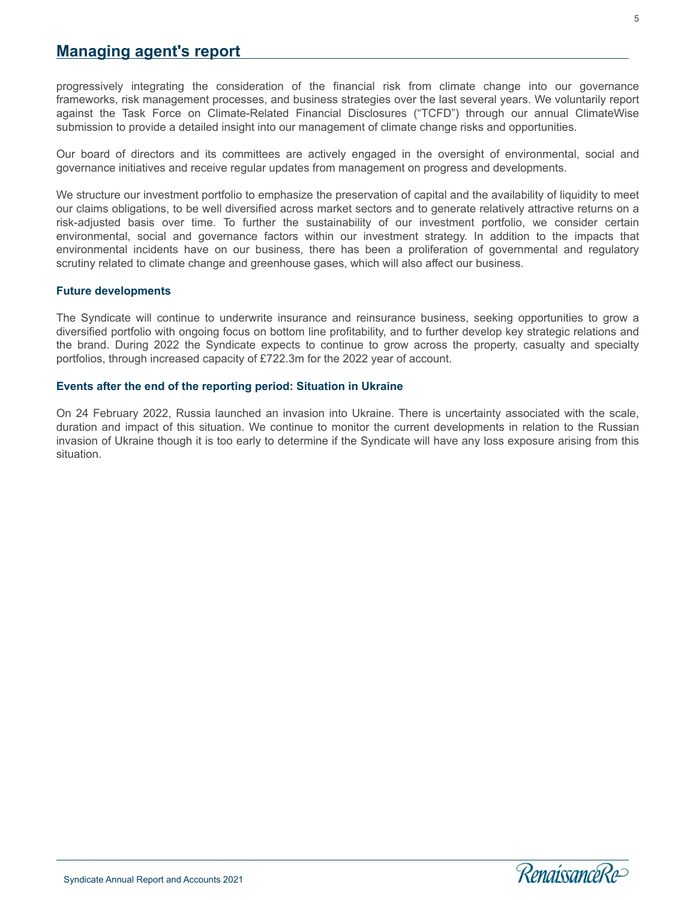# **Managing agent's report**

progressively integrating the consideration of the financial risk from climate change into our governance frameworks, risk management processes, and business strategies over the last several years. We voluntarily report against the Task Force on Climate-Related Financial Disclosures ("TCFD") through our annual ClimateWise submission to provide a detailed insight into our management of climate change risks and opportunities.

Our board of directors and its committees are actively engaged in the oversight of environmental, social and governance initiatives and receive regular updates from management on progress and developments.

We structure our investment portfolio to emphasize the preservation of capital and the availability of liquidity to meet our claims obligations, to be well diversified across market sectors and to generate relatively attractive returns on a risk-adjusted basis over time. To further the sustainability of our investment portfolio, we consider certain environmental, social and governance factors within our investment strategy. In addition to the impacts that environmental incidents have on our business, there has been a proliferation of governmental and regulatory scrutiny related to climate change and greenhouse gases, which will also affect our business.

#### **Future developments**

The Syndicate will continue to underwrite insurance and reinsurance business, seeking opportunities to grow a diversified portfolio with ongoing focus on bottom line profitability, and to further develop key strategic relations and the brand. During 2022 the Syndicate expects to continue to grow across the property, casualty and specialty portfolios, through increased capacity of £722.3m for the 2022 year of account.

#### **Events after the end of the reporting period: Situation in Ukraine**

On 24 February 2022, Russia launched an invasion into Ukraine. There is uncertainty associated with the scale, duration and impact of this situation. We continue to monitor the current developments in relation to the Russian invasion of Ukraine though it is too early to determine if the Syndicate will have any loss exposure arising from this situation.

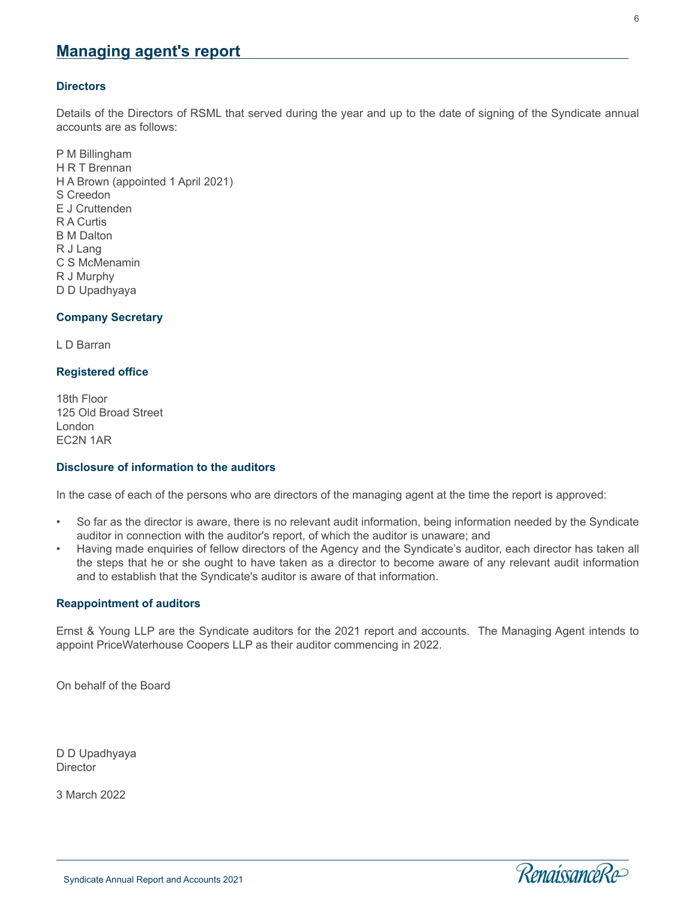# **Managing agent's report**

#### **Directors**

Details of the Directors of RSML that served during the year and up to the date of signing of the Syndicate annual accounts are as follows:

P M Billingham H R T Brennan H A Brown (appointed 1 April 2021) S Creedon E J Cruttenden R A Curtis B M Dalton R J Lang C S McMenamin R J Murphy D D Upadhyaya

#### **Company Secretary**

L D Barran

#### **Registered office**

18th Floor 125 Old Broad Street London EC2N 1AR

#### **Disclosure of information to the auditors**

In the case of each of the persons who are directors of the managing agent at the time the report is approved:

- So far as the director is aware, there is no relevant audit information, being information needed by the Syndicate auditor in connection with the auditor's report, of which the auditor is unaware; and
- Having made enquiries of fellow directors of the Agency and the Syndicate's auditor, each director has taken all the steps that he or she ought to have taken as a director to become aware of any relevant audit information and to establish that the Syndicate's auditor is aware of that information.

#### **Reappointment of auditors**

Ernst & Young LLP are the Syndicate auditors for the 2021 report and accounts. The Managing Agent intends to appoint PriceWaterhouse Coopers LLP as their auditor commencing in 2022.

On behalf of the Board

D D Upadhyaya **Director** 

3 March 2022

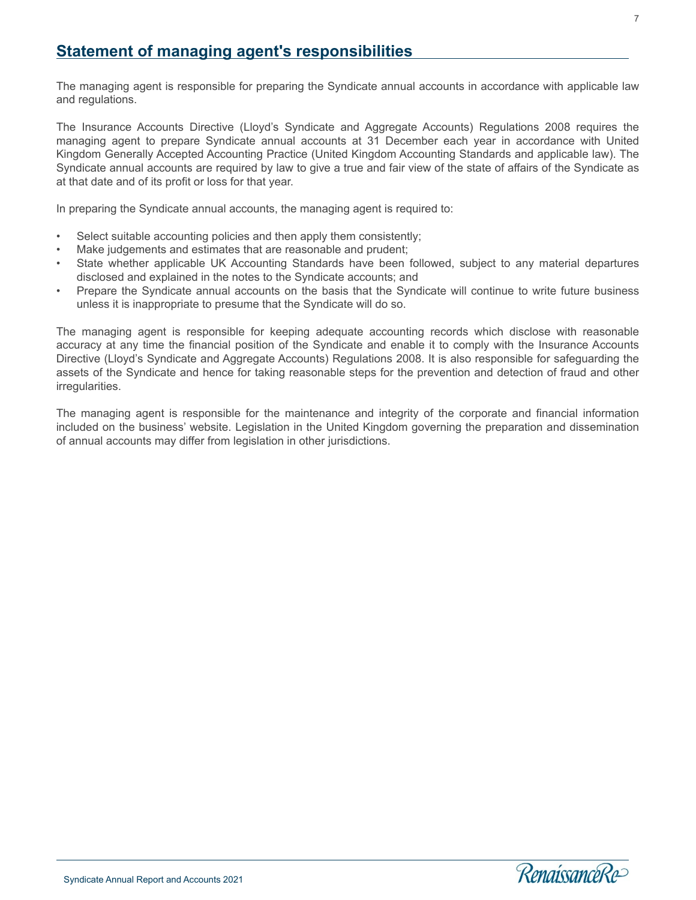<span id="page-9-0"></span>The managing agent is responsible for preparing the Syndicate annual accounts in accordance with applicable law and regulations.

The Insurance Accounts Directive (Lloyd's Syndicate and Aggregate Accounts) Regulations 2008 requires the managing agent to prepare Syndicate annual accounts at 31 December each year in accordance with United Kingdom Generally Accepted Accounting Practice (United Kingdom Accounting Standards and applicable law). The Syndicate annual accounts are required by law to give a true and fair view of the state of affairs of the Syndicate as at that date and of its profit or loss for that year.

In preparing the Syndicate annual accounts, the managing agent is required to:

- Select suitable accounting policies and then apply them consistently;
- Make judgements and estimates that are reasonable and prudent;
- State whether applicable UK Accounting Standards have been followed, subject to any material departures disclosed and explained in the notes to the Syndicate accounts; and
- Prepare the Syndicate annual accounts on the basis that the Syndicate will continue to write future business unless it is inappropriate to presume that the Syndicate will do so.

The managing agent is responsible for keeping adequate accounting records which disclose with reasonable accuracy at any time the financial position of the Syndicate and enable it to comply with the Insurance Accounts Directive (Lloyd's Syndicate and Aggregate Accounts) Regulations 2008. It is also responsible for safeguarding the assets of the Syndicate and hence for taking reasonable steps for the prevention and detection of fraud and other irregularities.

The managing agent is responsible for the maintenance and integrity of the corporate and financial information included on the business' website. Legislation in the United Kingdom governing the preparation and dissemination of annual accounts may differ from legislation in other jurisdictions.

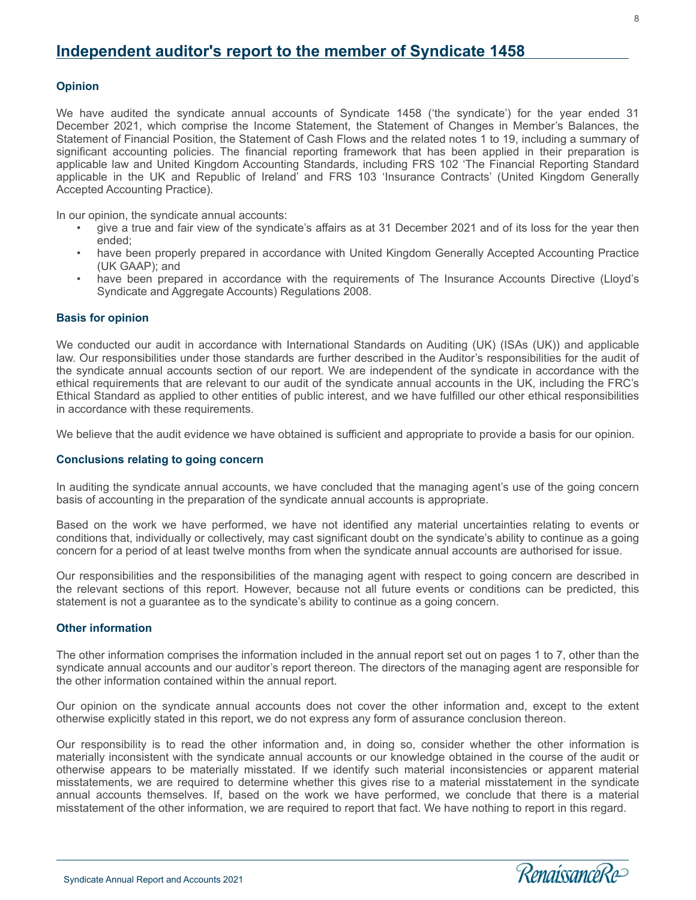8

# <span id="page-10-0"></span>**Independent auditor's report to the member of Syndicate 1458**

#### **Opinion**

We have audited the syndicate annual accounts of Syndicate 1458 ('the syndicate') for the year ended 31 December 2021, which comprise the Income Statement, the Statement of Changes in Member's Balances, the Statement of Financial Position, the Statement of Cash Flows and the related notes 1 to 19, including a summary of significant accounting policies. The financial reporting framework that has been applied in their preparation is applicable law and United Kingdom Accounting Standards, including FRS 102 'The Financial Reporting Standard applicable in the UK and Republic of Ireland' and FRS 103 'Insurance Contracts' (United Kingdom Generally Accepted Accounting Practice).

In our opinion, the syndicate annual accounts:

- qive a true and fair view of the syndicate's affairs as at 31 December 2021 and of its loss for the year then ended;
- have been properly prepared in accordance with United Kingdom Generally Accepted Accounting Practice (UK GAAP); and
- have been prepared in accordance with the requirements of The Insurance Accounts Directive (Lloyd's Syndicate and Aggregate Accounts) Regulations 2008.

#### **Basis for opinion**

We conducted our audit in accordance with International Standards on Auditing (UK) (ISAs (UK)) and applicable law. Our responsibilities under those standards are further described in the Auditor's responsibilities for the audit of the syndicate annual accounts section of our report. We are independent of the syndicate in accordance with the ethical requirements that are relevant to our audit of the syndicate annual accounts in the UK, including the FRC's Ethical Standard as applied to other entities of public interest, and we have fulfilled our other ethical responsibilities in accordance with these requirements.

We believe that the audit evidence we have obtained is sufficient and appropriate to provide a basis for our opinion.

#### **Conclusions relating to going concern**

In auditing the syndicate annual accounts, we have concluded that the managing agent's use of the going concern basis of accounting in the preparation of the syndicate annual accounts is appropriate.

Based on the work we have performed, we have not identified any material uncertainties relating to events or conditions that, individually or collectively, may cast significant doubt on the syndicate's ability to continue as a going concern for a period of at least twelve months from when the syndicate annual accounts are authorised for issue.

Our responsibilities and the responsibilities of the managing agent with respect to going concern are described in the relevant sections of this report. However, because not all future events or conditions can be predicted, this statement is not a guarantee as to the syndicate's ability to continue as a going concern.

#### **Other information**

l

The other information comprises the information included in the annual report set out on pages 1 to 7, other than the syndicate annual accounts and our auditor's report thereon. The directors of the managing agent are responsible for the other information contained within the annual report.

Our opinion on the syndicate annual accounts does not cover the other information and, except to the extent otherwise explicitly stated in this report, we do not express any form of assurance conclusion thereon.

Our responsibility is to read the other information and, in doing so, consider whether the other information is materially inconsistent with the syndicate annual accounts or our knowledge obtained in the course of the audit or otherwise appears to be materially misstated. If we identify such material inconsistencies or apparent material misstatements, we are required to determine whether this gives rise to a material misstatement in the syndicate annual accounts themselves. If, based on the work we have performed, we conclude that there is a material misstatement of the other information, we are required to report that fact. We have nothing to report in this regard.

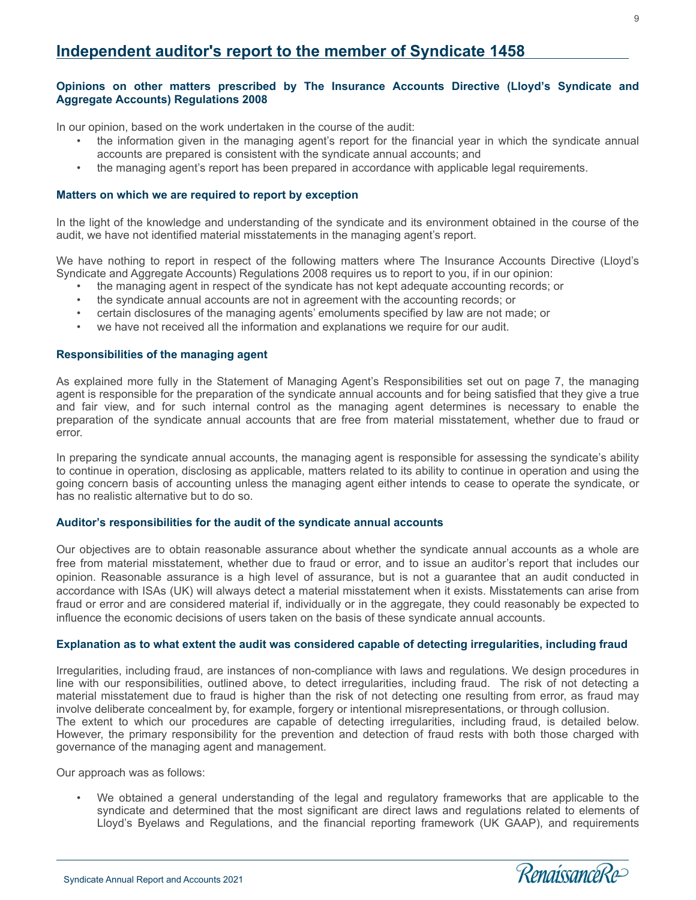# **Independent auditor's report to the member of Syndicate 1458**

#### **Opinions on other matters prescribed by The Insurance Accounts Directive (Lloyd's Syndicate and Aggregate Accounts) Regulations 2008**

In our opinion, based on the work undertaken in the course of the audit:

- the information given in the managing agent's report for the financial year in which the syndicate annual accounts are prepared is consistent with the syndicate annual accounts; and
- the managing agent's report has been prepared in accordance with applicable legal requirements.

#### **Matters on which we are required to report by exception**

In the light of the knowledge and understanding of the syndicate and its environment obtained in the course of the audit, we have not identified material misstatements in the managing agent's report.

We have nothing to report in respect of the following matters where The Insurance Accounts Directive (Lloyd's Syndicate and Aggregate Accounts) Regulations 2008 requires us to report to you, if in our opinion:

- the managing agent in respect of the syndicate has not kept adequate accounting records; or
- the syndicate annual accounts are not in agreement with the accounting records; or
- certain disclosures of the managing agents' emoluments specified by law are not made; or
- we have not received all the information and explanations we require for our audit.

#### **Responsibilities of the managing agent**

As explained more fully in the Statement of Managing Agent's Responsibilities set out on page 7, the managing agent is responsible for the preparation of the syndicate annual accounts and for being satisfied that they give a true and fair view, and for such internal control as the managing agent determines is necessary to enable the preparation of the syndicate annual accounts that are free from material misstatement, whether due to fraud or error.

In preparing the syndicate annual accounts, the managing agent is responsible for assessing the syndicate's ability to continue in operation, disclosing as applicable, matters related to its ability to continue in operation and using the going concern basis of accounting unless the managing agent either intends to cease to operate the syndicate, or has no realistic alternative but to do so.

#### **Auditor's responsibilities for the audit of the syndicate annual accounts**

Our objectives are to obtain reasonable assurance about whether the syndicate annual accounts as a whole are free from material misstatement, whether due to fraud or error, and to issue an auditor's report that includes our opinion. Reasonable assurance is a high level of assurance, but is not a guarantee that an audit conducted in accordance with ISAs (UK) will always detect a material misstatement when it exists. Misstatements can arise from fraud or error and are considered material if, individually or in the aggregate, they could reasonably be expected to influence the economic decisions of users taken on the basis of these syndicate annual accounts.

#### **Explanation as to what extent the audit was considered capable of detecting irregularities, including fraud**

Irregularities, including fraud, are instances of non-compliance with laws and regulations. We design procedures in line with our responsibilities, outlined above, to detect irregularities, including fraud. The risk of not detecting a material misstatement due to fraud is higher than the risk of not detecting one resulting from error, as fraud may involve deliberate concealment by, for example, forgery or intentional misrepresentations, or through collusion. The extent to which our procedures are capable of detecting irregularities, including fraud, is detailed below. However, the primary responsibility for the prevention and detection of fraud rests with both those charged with governance of the managing agent and management.

Our approach was as follows:

l

• We obtained a general understanding of the legal and regulatory frameworks that are applicable to the syndicate and determined that the most significant are direct laws and regulations related to elements of Lloyd's Byelaws and Regulations, and the financial reporting framework (UK GAAP), and requirements

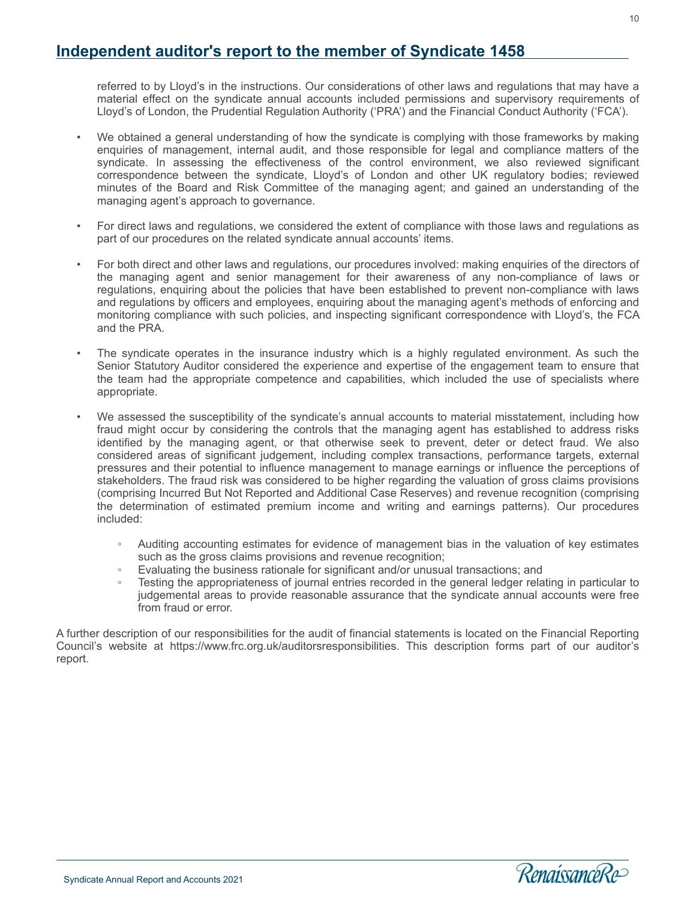# **Independent auditor's report to the member of Syndicate 1458**

referred to by Lloyd's in the instructions. Our considerations of other laws and regulations that may have a material effect on the syndicate annual accounts included permissions and supervisory requirements of Lloyd's of London, the Prudential Regulation Authority ('PRA') and the Financial Conduct Authority ('FCA').

- We obtained a general understanding of how the syndicate is complying with those frameworks by making enquiries of management, internal audit, and those responsible for legal and compliance matters of the syndicate. In assessing the effectiveness of the control environment, we also reviewed significant correspondence between the syndicate, Lloyd's of London and other UK regulatory bodies; reviewed minutes of the Board and Risk Committee of the managing agent; and gained an understanding of the managing agent's approach to governance.
- For direct laws and regulations, we considered the extent of compliance with those laws and regulations as part of our procedures on the related syndicate annual accounts' items.
- For both direct and other laws and regulations, our procedures involved: making enquiries of the directors of the managing agent and senior management for their awareness of any non-compliance of laws or regulations, enquiring about the policies that have been established to prevent non-compliance with laws and regulations by officers and employees, enquiring about the managing agent's methods of enforcing and monitoring compliance with such policies, and inspecting significant correspondence with Lloyd's, the FCA and the PRA.
- The syndicate operates in the insurance industry which is a highly regulated environment. As such the Senior Statutory Auditor considered the experience and expertise of the engagement team to ensure that the team had the appropriate competence and capabilities, which included the use of specialists where appropriate.
- We assessed the susceptibility of the syndicate's annual accounts to material misstatement, including how fraud might occur by considering the controls that the managing agent has established to address risks identified by the managing agent, or that otherwise seek to prevent, deter or detect fraud. We also considered areas of significant judgement, including complex transactions, performance targets, external pressures and their potential to influence management to manage earnings or influence the perceptions of stakeholders. The fraud risk was considered to be higher regarding the valuation of gross claims provisions (comprising Incurred But Not Reported and Additional Case Reserves) and revenue recognition (comprising the determination of estimated premium income and writing and earnings patterns). Our procedures included:
	- Auditing accounting estimates for evidence of management bias in the valuation of key estimates such as the gross claims provisions and revenue recognition;
	- Evaluating the business rationale for significant and/or unusual transactions; and
	- Testing the appropriateness of journal entries recorded in the general ledger relating in particular to judgemental areas to provide reasonable assurance that the syndicate annual accounts were free from fraud or error.

A further description of our responsibilities for the audit of financial statements is located on the Financial Reporting Council's website at https://www.frc.org.uk/auditorsresponsibilities. This description forms part of our auditor's report.

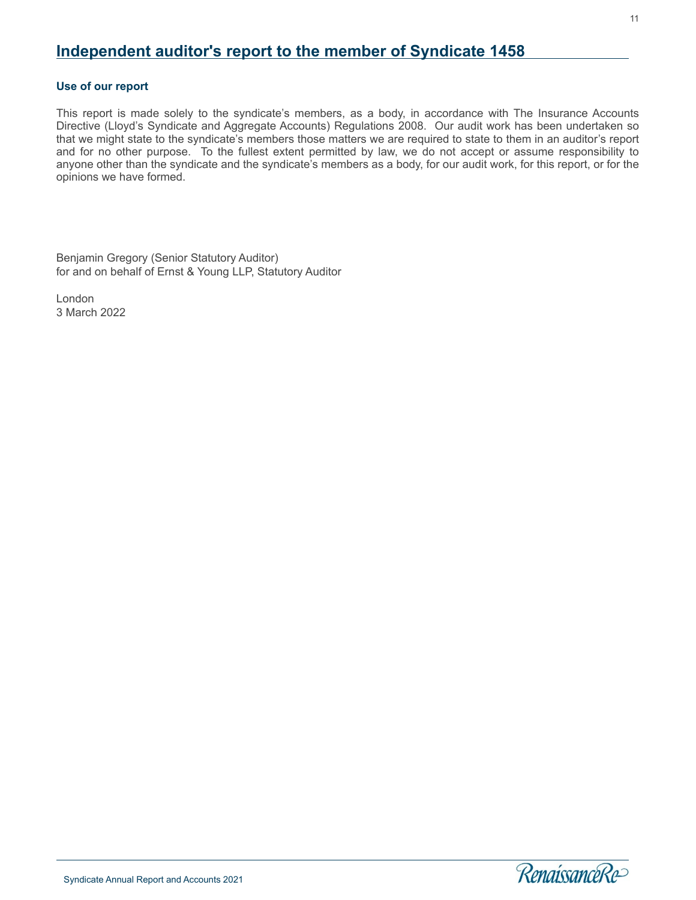# **Independent auditor's report to the member of Syndicate 1458**

#### **Use of our report**

This report is made solely to the syndicate's members, as a body, in accordance with The Insurance Accounts Directive (Lloyd's Syndicate and Aggregate Accounts) Regulations 2008. Our audit work has been undertaken so that we might state to the syndicate's members those matters we are required to state to them in an auditor's report and for no other purpose. To the fullest extent permitted by law, we do not accept or assume responsibility to anyone other than the syndicate and the syndicate's members as a body, for our audit work, for this report, or for the opinions we have formed.

Benjamin Gregory (Senior Statutory Auditor) for and on behalf of Ernst & Young LLP, Statutory Auditor

London 3 March 2022

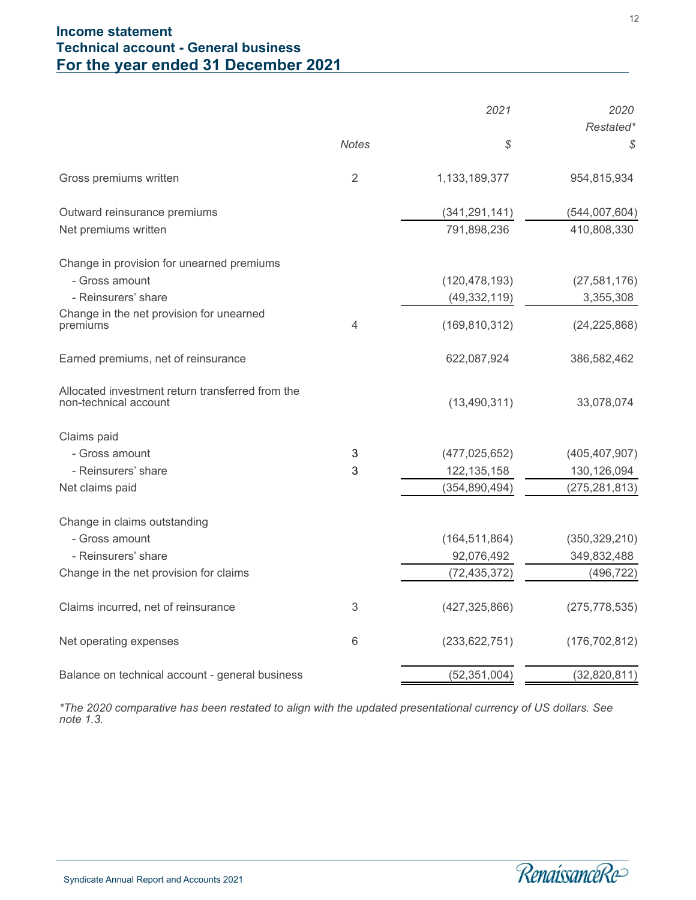# <span id="page-14-0"></span>**Income statement Technical account - General business For the year ended 31 December 2021**

|                                                                           |                | 2021            | 2020            |
|---------------------------------------------------------------------------|----------------|-----------------|-----------------|
|                                                                           | <b>Notes</b>   | \$              | Restated*<br>\$ |
| Gross premiums written                                                    | $\overline{2}$ | 1,133,189,377   | 954,815,934     |
| Outward reinsurance premiums                                              |                | (341, 291, 141) | (544,007,604)   |
| Net premiums written                                                      |                | 791,898,236     | 410,808,330     |
| Change in provision for unearned premiums                                 |                |                 |                 |
| - Gross amount                                                            |                | (120, 478, 193) | (27, 581, 176)  |
| - Reinsurers' share                                                       |                | (49, 332, 119)  | 3,355,308       |
| Change in the net provision for unearned<br>premiums                      | 4              | (169, 810, 312) | (24, 225, 868)  |
| Earned premiums, net of reinsurance                                       |                | 622,087,924     | 386,582,462     |
| Allocated investment return transferred from the<br>non-technical account |                | (13, 490, 311)  | 33,078,074      |
| Claims paid                                                               |                |                 |                 |
| - Gross amount                                                            | 3              | (477, 025, 652) | (405, 407, 907) |
| - Reinsurers' share                                                       | 3              | 122, 135, 158   | 130,126,094     |
| Net claims paid                                                           |                | (354, 890, 494) | (275, 281, 813) |
| Change in claims outstanding                                              |                |                 |                 |
| - Gross amount                                                            |                | (164, 511, 864) | (350, 329, 210) |
| - Reinsurers' share                                                       |                | 92,076,492      | 349,832,488     |
| Change in the net provision for claims                                    |                | (72, 435, 372)  | (496, 722)      |
| Claims incurred, net of reinsurance                                       | 3              | (427, 325, 866) | (275, 778, 535) |
| Net operating expenses                                                    | 6              | (233, 622, 751) | (176, 702, 812) |
| Balance on technical account - general business                           |                | (52, 351, 004)  | (32,820,811)    |

*\*The 2020 comparative has been restated to align with the updated presentational currency of US dollars. See note 1.3.*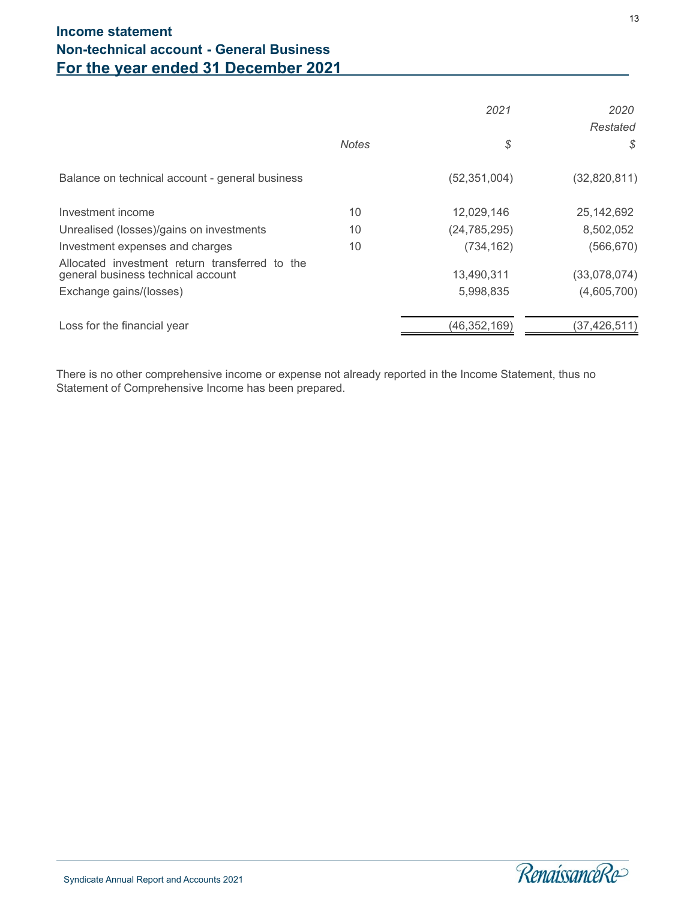|              | 2021           | 2020<br>Restated |
|--------------|----------------|------------------|
| <b>Notes</b> | \$             | S                |
|              | (52, 351, 004) | (32,820,811)     |
| 10           | 12,029,146     | 25, 142, 692     |
| 10           | (24, 785, 295) | 8,502,052        |
| 10           | (734, 162)     | (566, 670)       |
|              | 13,490,311     | (33,078,074)     |
|              | 5,998,835      | (4,605,700)      |
|              |                | (37,426,511)     |
|              |                | (46,352,169)     |

There is no other comprehensive income or expense not already reported in the Income Statement, thus no Statement of Comprehensive Income has been prepared.

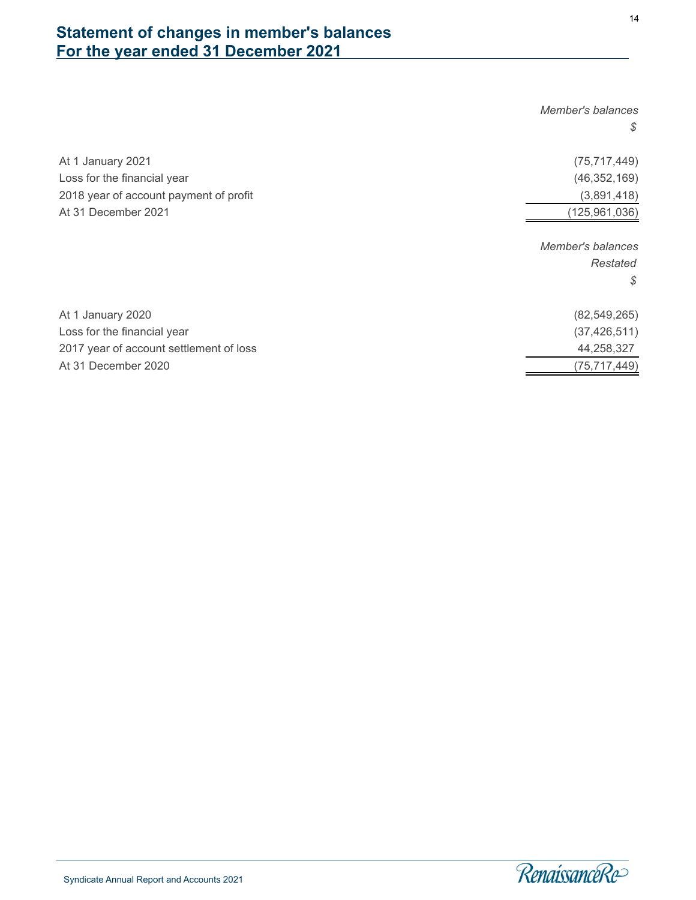# <span id="page-16-0"></span>**Statement of changes in member's balances For the year ended 31 December 2021**

|                                         | Member's balances |
|-----------------------------------------|-------------------|
|                                         | S                 |
| At 1 January 2021                       | (75, 717, 449)    |
| Loss for the financial year             | (46, 352, 169)    |
| 2018 year of account payment of profit  | (3,891,418)       |
| At 31 December 2021                     | (125, 961, 036)   |
|                                         | Member's balances |
|                                         | Restated          |
|                                         | S                 |
| At 1 January 2020                       | (82, 549, 265)    |
| Loss for the financial year             | (37, 426, 511)    |
| 2017 year of account settlement of loss | 44,258,327        |
| At 31 December 2020                     | (75, 717, 449)    |

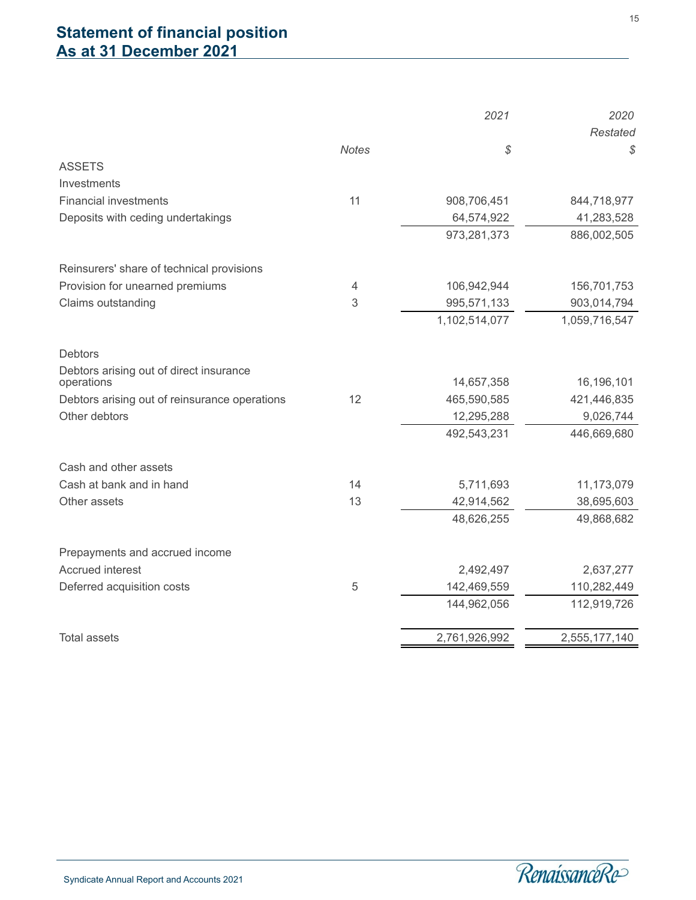<span id="page-17-0"></span>

|                                                                |              | 2021                      | 2020                     |
|----------------------------------------------------------------|--------------|---------------------------|--------------------------|
|                                                                |              |                           | <b>Restated</b>          |
|                                                                | <b>Notes</b> | \$                        | \$                       |
| <b>ASSETS</b>                                                  |              |                           |                          |
| Investments                                                    |              |                           |                          |
| <b>Financial investments</b>                                   | 11           | 908,706,451               | 844,718,977              |
| Deposits with ceding undertakings                              |              | 64,574,922                | 41,283,528               |
|                                                                |              | 973,281,373               | 886,002,505              |
| Reinsurers' share of technical provisions                      |              |                           |                          |
| Provision for unearned premiums                                | 4            | 106,942,944               | 156,701,753              |
| Claims outstanding                                             | 3            | 995,571,133               | 903,014,794              |
|                                                                |              | 1,102,514,077             | 1,059,716,547            |
| <b>Debtors</b>                                                 |              |                           |                          |
| Debtors arising out of direct insurance                        |              |                           |                          |
| operations                                                     |              | 14,657,358                | 16,196,101               |
| Debtors arising out of reinsurance operations<br>Other debtors | 12           | 465,590,585               | 421,446,835              |
|                                                                |              | 12,295,288<br>492,543,231 | 9,026,744<br>446,669,680 |
|                                                                |              |                           |                          |
| Cash and other assets                                          |              |                           |                          |
| Cash at bank and in hand                                       | 14           | 5,711,693                 | 11,173,079               |
| Other assets                                                   | 13           | 42,914,562                | 38,695,603               |
|                                                                |              | 48,626,255                | 49,868,682               |
| Prepayments and accrued income                                 |              |                           |                          |
| Accrued interest                                               |              | 2,492,497                 | 2,637,277                |
| Deferred acquisition costs                                     | 5            | 142,469,559               | 110,282,449              |
|                                                                |              | 144,962,056               | 112,919,726              |
| <b>Total assets</b>                                            |              | 2,761,926,992             | 2,555,177,140            |
|                                                                |              |                           |                          |

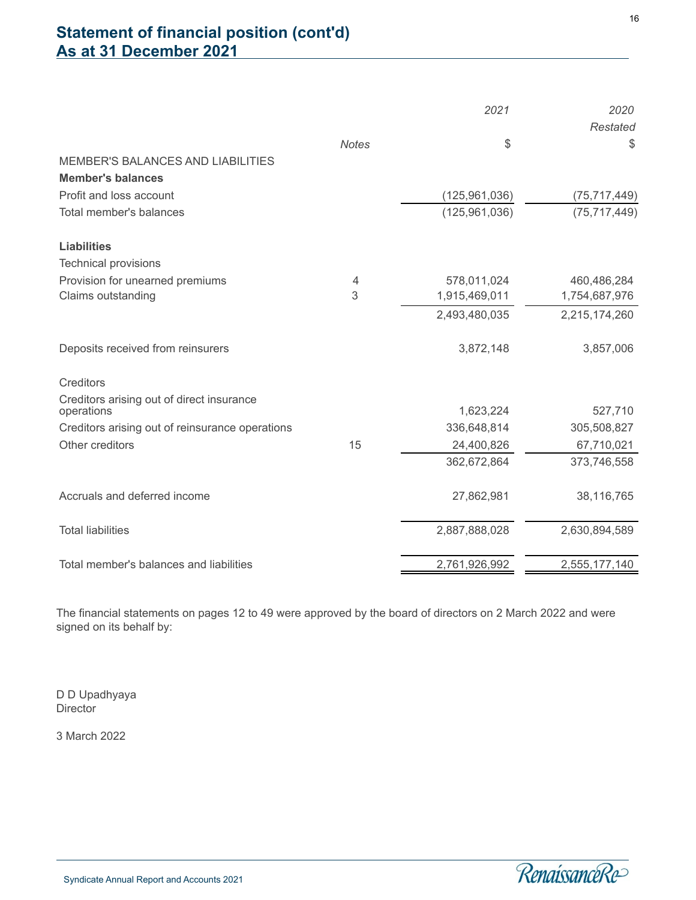# **Statement of financial position (cont'd) As at 31 December 2021**

|                                                         |              | 2021            | 2020           |
|---------------------------------------------------------|--------------|-----------------|----------------|
|                                                         |              |                 | Restated       |
|                                                         | <b>Notes</b> | \$              | \$             |
| MEMBER'S BALANCES AND LIABILITIES                       |              |                 |                |
| <b>Member's balances</b>                                |              |                 |                |
| Profit and loss account                                 |              | (125, 961, 036) | (75, 717, 449) |
| Total member's balances                                 |              | (125, 961, 036) | (75, 717, 449) |
| <b>Liabilities</b>                                      |              |                 |                |
| <b>Technical provisions</b>                             |              |                 |                |
| Provision for unearned premiums                         | 4            | 578,011,024     | 460,486,284    |
| Claims outstanding                                      | 3            | 1,915,469,011   | 1,754,687,976  |
|                                                         |              | 2,493,480,035   | 2,215,174,260  |
| Deposits received from reinsurers                       |              | 3,872,148       | 3,857,006      |
| Creditors                                               |              |                 |                |
| Creditors arising out of direct insurance<br>operations |              | 1,623,224       | 527,710        |
| Creditors arising out of reinsurance operations         |              | 336,648,814     | 305,508,827    |
| Other creditors                                         | 15           | 24,400,826      | 67,710,021     |
|                                                         |              | 362,672,864     | 373,746,558    |
| Accruals and deferred income                            |              | 27,862,981      | 38,116,765     |
| <b>Total liabilities</b>                                |              | 2,887,888,028   | 2,630,894,589  |
| Total member's balances and liabilities                 |              | 2,761,926,992   | 2,555,177,140  |

The financial statements on pages 12 to 49 were approved by the board of directors on 2 March 2022 and were signed on its behalf by:

D D Upadhyaya **Director** 

3 March 2022

l



16

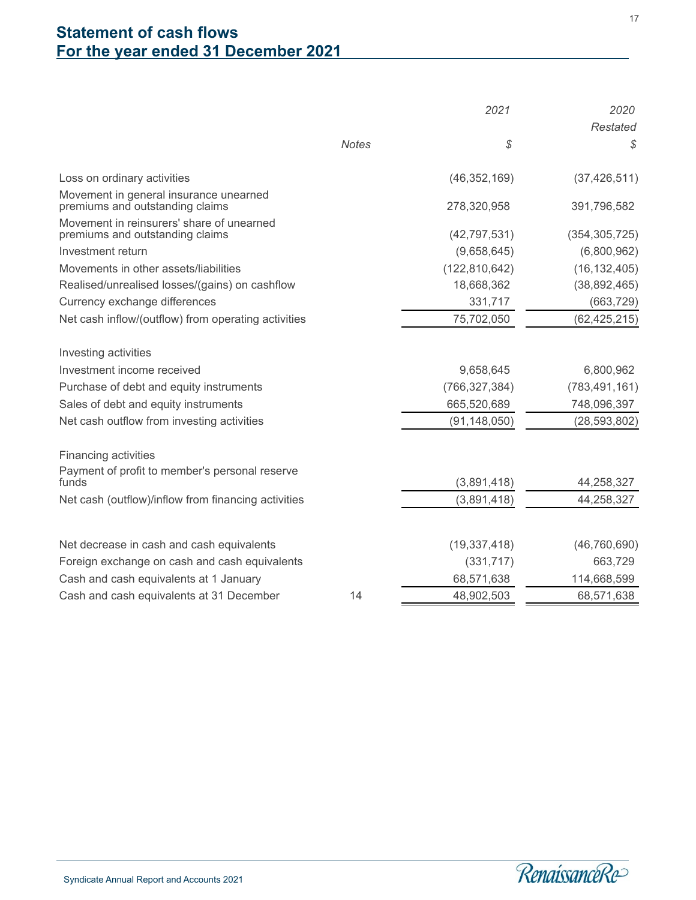# <span id="page-19-0"></span>**Statement of cash flows For the year ended 31 December 2021**

|                                                                              |              | 2021            | 2020            |
|------------------------------------------------------------------------------|--------------|-----------------|-----------------|
|                                                                              |              |                 | Restated        |
|                                                                              | <b>Notes</b> | \$              | \$              |
| Loss on ordinary activities                                                  |              | (46, 352, 169)  | (37, 426, 511)  |
| Movement in general insurance unearned<br>premiums and outstanding claims    |              | 278,320,958     | 391,796,582     |
| Movement in reinsurers' share of unearned<br>premiums and outstanding claims |              | (42, 797, 531)  | (354, 305, 725) |
| Investment return                                                            |              | (9,658,645)     | (6,800,962)     |
| Movements in other assets/liabilities                                        |              | (122, 810, 642) | (16, 132, 405)  |
| Realised/unrealised losses/(gains) on cashflow                               |              | 18,668,362      | (38, 892, 465)  |
| Currency exchange differences                                                |              | 331,717         | (663, 729)      |
| Net cash inflow/(outflow) from operating activities                          |              | 75,702,050      | (62, 425, 215)  |
| Investing activities                                                         |              |                 |                 |
| Investment income received                                                   |              | 9,658,645       | 6,800,962       |
| Purchase of debt and equity instruments                                      |              | (766, 327, 384) | (783, 491, 161) |
| Sales of debt and equity instruments                                         |              | 665,520,689     | 748,096,397     |
| Net cash outflow from investing activities                                   |              | (91, 148, 050)  | (28, 593, 802)  |
| Financing activities                                                         |              |                 |                 |
| Payment of profit to member's personal reserve<br>funds                      |              | (3,891,418)     | 44,258,327      |
| Net cash (outflow)/inflow from financing activities                          |              | (3,891,418)     | 44,258,327      |
|                                                                              |              |                 |                 |
| Net decrease in cash and cash equivalents                                    |              | (19, 337, 418)  | (46, 760, 690)  |
| Foreign exchange on cash and cash equivalents                                |              | (331, 717)      | 663,729         |
| Cash and cash equivalents at 1 January                                       |              | 68,571,638      | 114,668,599     |
| Cash and cash equivalents at 31 December                                     | 14           | 48,902,503      | 68,571,638      |

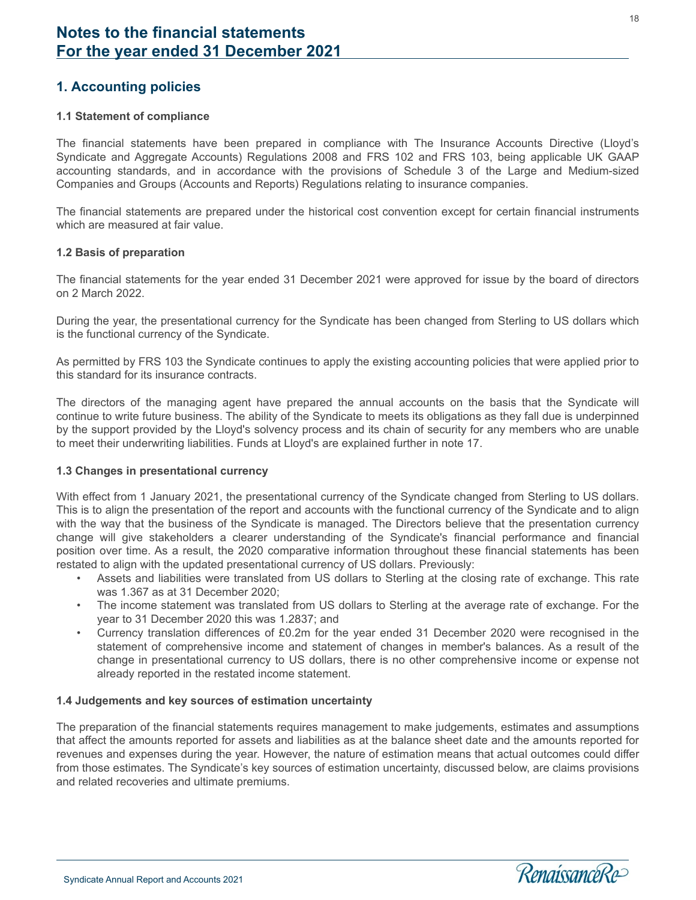### <span id="page-20-0"></span>**1. Accounting policies**

#### **1.1 Statement of compliance**

The financial statements have been prepared in compliance with The Insurance Accounts Directive (Lloyd's Syndicate and Aggregate Accounts) Regulations 2008 and FRS 102 and FRS 103, being applicable UK GAAP accounting standards, and in accordance with the provisions of Schedule 3 of the Large and Medium-sized Companies and Groups (Accounts and Reports) Regulations relating to insurance companies.

The financial statements are prepared under the historical cost convention except for certain financial instruments which are measured at fair value.

#### **1.2 Basis of preparation**

The financial statements for the year ended 31 December 2021 were approved for issue by the board of directors on 2 March 2022.

During the year, the presentational currency for the Syndicate has been changed from Sterling to US dollars which is the functional currency of the Syndicate.

As permitted by FRS 103 the Syndicate continues to apply the existing accounting policies that were applied prior to this standard for its insurance contracts.

The directors of the managing agent have prepared the annual accounts on the basis that the Syndicate will continue to write future business. The ability of the Syndicate to meets its obligations as they fall due is underpinned by the support provided by the Lloyd's solvency process and its chain of security for any members who are unable to meet their underwriting liabilities. Funds at Lloyd's are explained further in note 17.

#### **1.3 Changes in presentational currency**

With effect from 1 January 2021, the presentational currency of the Syndicate changed from Sterling to US dollars. This is to align the presentation of the report and accounts with the functional currency of the Syndicate and to align with the way that the business of the Syndicate is managed. The Directors believe that the presentation currency change will give stakeholders a clearer understanding of the Syndicate's financial performance and financial position over time. As a result, the 2020 comparative information throughout these financial statements has been restated to align with the updated presentational currency of US dollars. Previously:

- Assets and liabilities were translated from US dollars to Sterling at the closing rate of exchange. This rate was 1.367 as at 31 December 2020;
- The income statement was translated from US dollars to Sterling at the average rate of exchange. For the year to 31 December 2020 this was 1.2837; and
- Currency translation differences of £0.2m for the year ended 31 December 2020 were recognised in the statement of comprehensive income and statement of changes in member's balances. As a result of the change in presentational currency to US dollars, there is no other comprehensive income or expense not already reported in the restated income statement.

#### **1.4 Judgements and key sources of estimation uncertainty**

The preparation of the financial statements requires management to make judgements, estimates and assumptions that affect the amounts reported for assets and liabilities as at the balance sheet date and the amounts reported for revenues and expenses during the year. However, the nature of estimation means that actual outcomes could differ from those estimates. The Syndicate's key sources of estimation uncertainty, discussed below, are claims provisions and related recoveries and ultimate premiums.



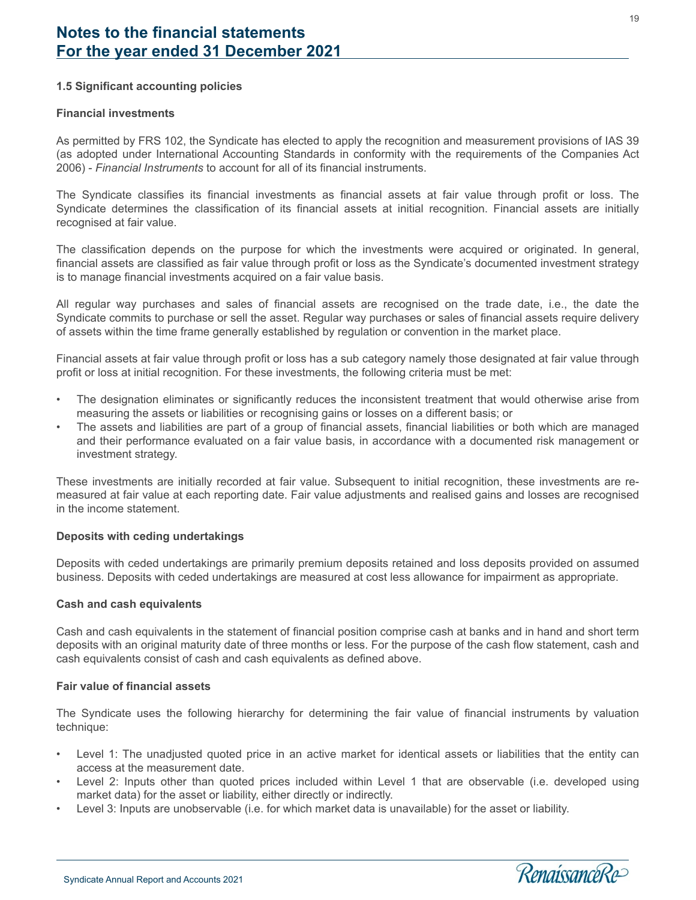#### **1.5 Significant accounting policies**

#### **Financial investments**

As permitted by FRS 102, the Syndicate has elected to apply the recognition and measurement provisions of IAS 39 (as adopted under International Accounting Standards in conformity with the requirements of the Companies Act 2006) - *Financial Instruments* to account for all of its financial instruments.

The Syndicate classifies its financial investments as financial assets at fair value through profit or loss. The Syndicate determines the classification of its financial assets at initial recognition. Financial assets are initially recognised at fair value.

The classification depends on the purpose for which the investments were acquired or originated. In general, financial assets are classified as fair value through profit or loss as the Syndicate's documented investment strategy is to manage financial investments acquired on a fair value basis.

All regular way purchases and sales of financial assets are recognised on the trade date, i.e., the date the Syndicate commits to purchase or sell the asset. Regular way purchases or sales of financial assets require delivery of assets within the time frame generally established by regulation or convention in the market place.

Financial assets at fair value through profit or loss has a sub category namely those designated at fair value through profit or loss at initial recognition. For these investments, the following criteria must be met:

- The designation eliminates or significantly reduces the inconsistent treatment that would otherwise arise from measuring the assets or liabilities or recognising gains or losses on a different basis; or
- The assets and liabilities are part of a group of financial assets, financial liabilities or both which are managed and their performance evaluated on a fair value basis, in accordance with a documented risk management or investment strategy.

These investments are initially recorded at fair value. Subsequent to initial recognition, these investments are remeasured at fair value at each reporting date. Fair value adjustments and realised gains and losses are recognised in the income statement.

#### **Deposits with ceding undertakings**

Deposits with ceded undertakings are primarily premium deposits retained and loss deposits provided on assumed business. Deposits with ceded undertakings are measured at cost less allowance for impairment as appropriate.

#### **Cash and cash equivalents**

Cash and cash equivalents in the statement of financial position comprise cash at banks and in hand and short term deposits with an original maturity date of three months or less. For the purpose of the cash flow statement, cash and cash equivalents consist of cash and cash equivalents as defined above.

#### **Fair value of financial assets**

The Syndicate uses the following hierarchy for determining the fair value of financial instruments by valuation technique:

- Level 1: The unadjusted quoted price in an active market for identical assets or liabilities that the entity can access at the measurement date.
- Level 2: Inputs other than quoted prices included within Level 1 that are observable (i.e. developed using market data) for the asset or liability, either directly or indirectly.
- Level 3: Inputs are unobservable (i.e. for which market data is unavailable) for the asset or liability.

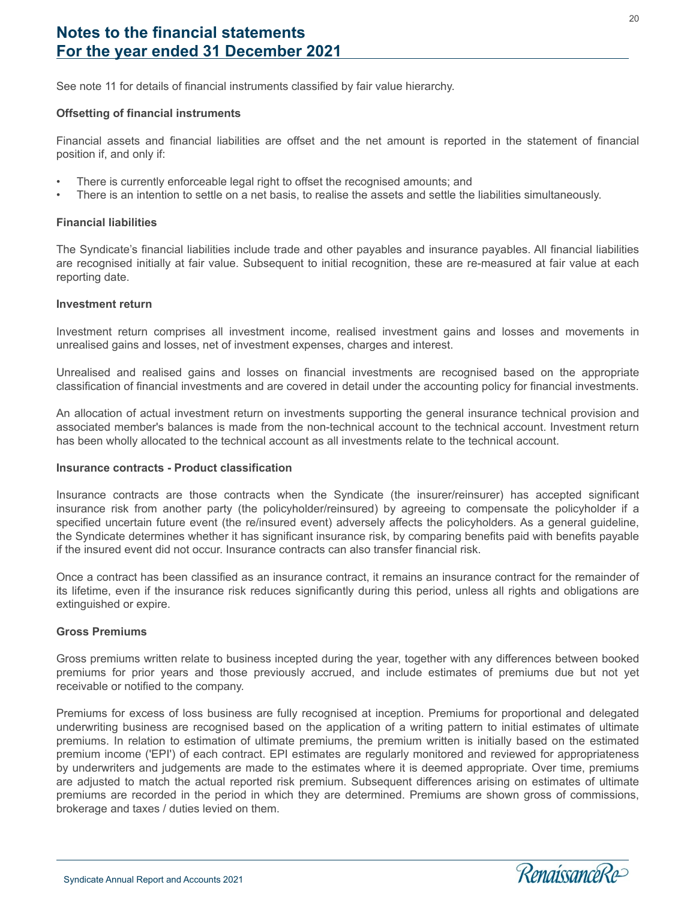See note 11 for details of financial instruments classified by fair value hierarchy.

#### **Offsetting of financial instruments**

Financial assets and financial liabilities are offset and the net amount is reported in the statement of financial position if, and only if:

- There is currently enforceable legal right to offset the recognised amounts; and
- There is an intention to settle on a net basis, to realise the assets and settle the liabilities simultaneously.

#### **Financial liabilities**

The Syndicate's financial liabilities include trade and other payables and insurance payables. All financial liabilities are recognised initially at fair value. Subsequent to initial recognition, these are re-measured at fair value at each reporting date.

#### **Investment return**

Investment return comprises all investment income, realised investment gains and losses and movements in unrealised gains and losses, net of investment expenses, charges and interest.

Unrealised and realised gains and losses on financial investments are recognised based on the appropriate classification of financial investments and are covered in detail under the accounting policy for financial investments.

An allocation of actual investment return on investments supporting the general insurance technical provision and associated member's balances is made from the non-technical account to the technical account. Investment return has been wholly allocated to the technical account as all investments relate to the technical account.

#### **Insurance contracts - Product classification**

Insurance contracts are those contracts when the Syndicate (the insurer/reinsurer) has accepted significant insurance risk from another party (the policyholder/reinsured) by agreeing to compensate the policyholder if a specified uncertain future event (the re/insured event) adversely affects the policyholders. As a general guideline, the Syndicate determines whether it has significant insurance risk, by comparing benefits paid with benefits payable if the insured event did not occur. Insurance contracts can also transfer financial risk.

Once a contract has been classified as an insurance contract, it remains an insurance contract for the remainder of its lifetime, even if the insurance risk reduces significantly during this period, unless all rights and obligations are extinguished or expire.

#### **Gross Premiums**

l

Gross premiums written relate to business incepted during the year, together with any differences between booked premiums for prior years and those previously accrued, and include estimates of premiums due but not yet receivable or notified to the company.

Premiums for excess of loss business are fully recognised at inception. Premiums for proportional and delegated underwriting business are recognised based on the application of a writing pattern to initial estimates of ultimate premiums. In relation to estimation of ultimate premiums, the premium written is initially based on the estimated premium income ('EPI') of each contract. EPI estimates are regularly monitored and reviewed for appropriateness by underwriters and judgements are made to the estimates where it is deemed appropriate. Over time, premiums are adjusted to match the actual reported risk premium. Subsequent differences arising on estimates of ultimate premiums are recorded in the period in which they are determined. Premiums are shown gross of commissions, brokerage and taxes / duties levied on them.

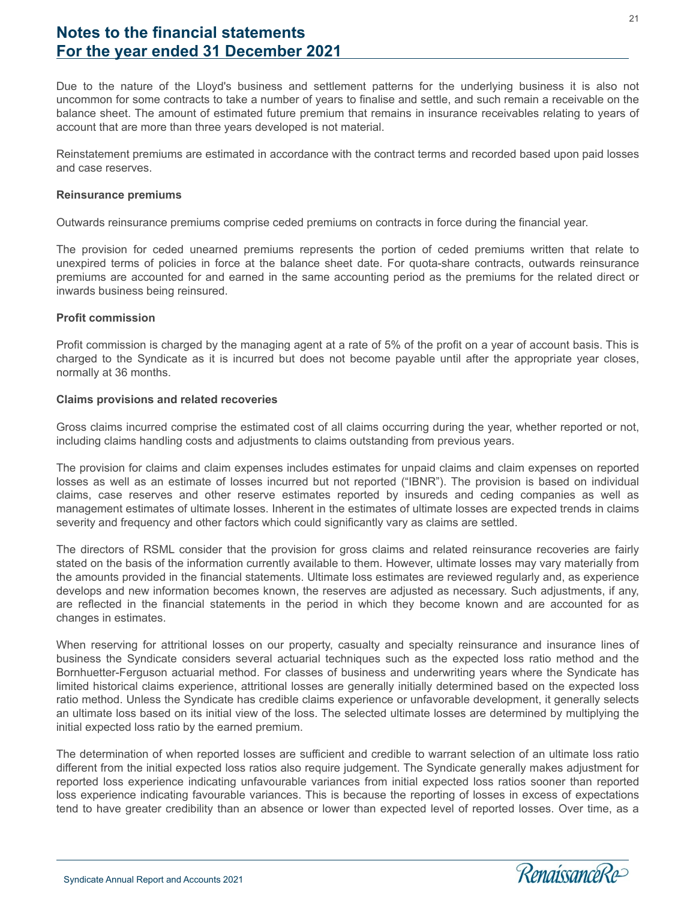Due to the nature of the Lloyd's business and settlement patterns for the underlying business it is also not uncommon for some contracts to take a number of years to finalise and settle, and such remain a receivable on the balance sheet. The amount of estimated future premium that remains in insurance receivables relating to years of account that are more than three years developed is not material.

Reinstatement premiums are estimated in accordance with the contract terms and recorded based upon paid losses and case reserves.

#### **Reinsurance premiums**

Outwards reinsurance premiums comprise ceded premiums on contracts in force during the financial year.

The provision for ceded unearned premiums represents the portion of ceded premiums written that relate to unexpired terms of policies in force at the balance sheet date. For quota-share contracts, outwards reinsurance premiums are accounted for and earned in the same accounting period as the premiums for the related direct or inwards business being reinsured.

#### **Profit commission**

Profit commission is charged by the managing agent at a rate of 5% of the profit on a year of account basis. This is charged to the Syndicate as it is incurred but does not become payable until after the appropriate year closes, normally at 36 months.

#### **Claims provisions and related recoveries**

Gross claims incurred comprise the estimated cost of all claims occurring during the year, whether reported or not, including claims handling costs and adjustments to claims outstanding from previous years.

The provision for claims and claim expenses includes estimates for unpaid claims and claim expenses on reported losses as well as an estimate of losses incurred but not reported ("IBNR"). The provision is based on individual claims, case reserves and other reserve estimates reported by insureds and ceding companies as well as management estimates of ultimate losses. Inherent in the estimates of ultimate losses are expected trends in claims severity and frequency and other factors which could significantly vary as claims are settled.

The directors of RSML consider that the provision for gross claims and related reinsurance recoveries are fairly stated on the basis of the information currently available to them. However, ultimate losses may vary materially from the amounts provided in the financial statements. Ultimate loss estimates are reviewed regularly and, as experience develops and new information becomes known, the reserves are adjusted as necessary. Such adjustments, if any, are reflected in the financial statements in the period in which they become known and are accounted for as changes in estimates.

When reserving for attritional losses on our property, casualty and specialty reinsurance and insurance lines of business the Syndicate considers several actuarial techniques such as the expected loss ratio method and the Bornhuetter-Ferguson actuarial method. For classes of business and underwriting years where the Syndicate has limited historical claims experience, attritional losses are generally initially determined based on the expected loss ratio method. Unless the Syndicate has credible claims experience or unfavorable development, it generally selects an ultimate loss based on its initial view of the loss. The selected ultimate losses are determined by multiplying the initial expected loss ratio by the earned premium.

The determination of when reported losses are sufficient and credible to warrant selection of an ultimate loss ratio different from the initial expected loss ratios also require judgement. The Syndicate generally makes adjustment for reported loss experience indicating unfavourable variances from initial expected loss ratios sooner than reported loss experience indicating favourable variances. This is because the reporting of losses in excess of expectations tend to have greater credibility than an absence or lower than expected level of reported losses. Over time, as a

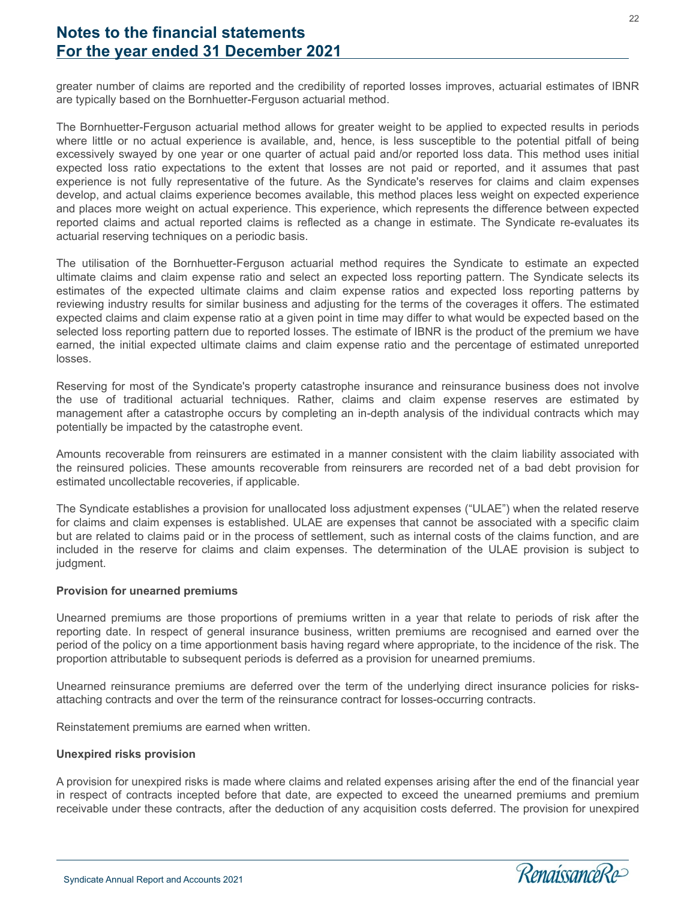greater number of claims are reported and the credibility of reported losses improves, actuarial estimates of IBNR are typically based on the Bornhuetter-Ferguson actuarial method.

The Bornhuetter-Ferguson actuarial method allows for greater weight to be applied to expected results in periods where little or no actual experience is available, and, hence, is less susceptible to the potential pitfall of being excessively swayed by one year or one quarter of actual paid and/or reported loss data. This method uses initial expected loss ratio expectations to the extent that losses are not paid or reported, and it assumes that past experience is not fully representative of the future. As the Syndicate's reserves for claims and claim expenses develop, and actual claims experience becomes available, this method places less weight on expected experience and places more weight on actual experience. This experience, which represents the difference between expected reported claims and actual reported claims is reflected as a change in estimate. The Syndicate re-evaluates its actuarial reserving techniques on a periodic basis.

The utilisation of the Bornhuetter-Ferguson actuarial method requires the Syndicate to estimate an expected ultimate claims and claim expense ratio and select an expected loss reporting pattern. The Syndicate selects its estimates of the expected ultimate claims and claim expense ratios and expected loss reporting patterns by reviewing industry results for similar business and adjusting for the terms of the coverages it offers. The estimated expected claims and claim expense ratio at a given point in time may differ to what would be expected based on the selected loss reporting pattern due to reported losses. The estimate of IBNR is the product of the premium we have earned, the initial expected ultimate claims and claim expense ratio and the percentage of estimated unreported losses.

Reserving for most of the Syndicate's property catastrophe insurance and reinsurance business does not involve the use of traditional actuarial techniques. Rather, claims and claim expense reserves are estimated by management after a catastrophe occurs by completing an in-depth analysis of the individual contracts which may potentially be impacted by the catastrophe event.

Amounts recoverable from reinsurers are estimated in a manner consistent with the claim liability associated with the reinsured policies. These amounts recoverable from reinsurers are recorded net of a bad debt provision for estimated uncollectable recoveries, if applicable.

The Syndicate establishes a provision for unallocated loss adjustment expenses ("ULAE") when the related reserve for claims and claim expenses is established. ULAE are expenses that cannot be associated with a specific claim but are related to claims paid or in the process of settlement, such as internal costs of the claims function, and are included in the reserve for claims and claim expenses. The determination of the ULAE provision is subject to judgment.

#### **Provision for unearned premiums**

Unearned premiums are those proportions of premiums written in a year that relate to periods of risk after the reporting date. In respect of general insurance business, written premiums are recognised and earned over the period of the policy on a time apportionment basis having regard where appropriate, to the incidence of the risk. The proportion attributable to subsequent periods is deferred as a provision for unearned premiums.

Unearned reinsurance premiums are deferred over the term of the underlying direct insurance policies for risksattaching contracts and over the term of the reinsurance contract for losses-occurring contracts.

Reinstatement premiums are earned when written.

#### **Unexpired risks provision**

l

A provision for unexpired risks is made where claims and related expenses arising after the end of the financial year in respect of contracts incepted before that date, are expected to exceed the unearned premiums and premium receivable under these contracts, after the deduction of any acquisition costs deferred. The provision for unexpired

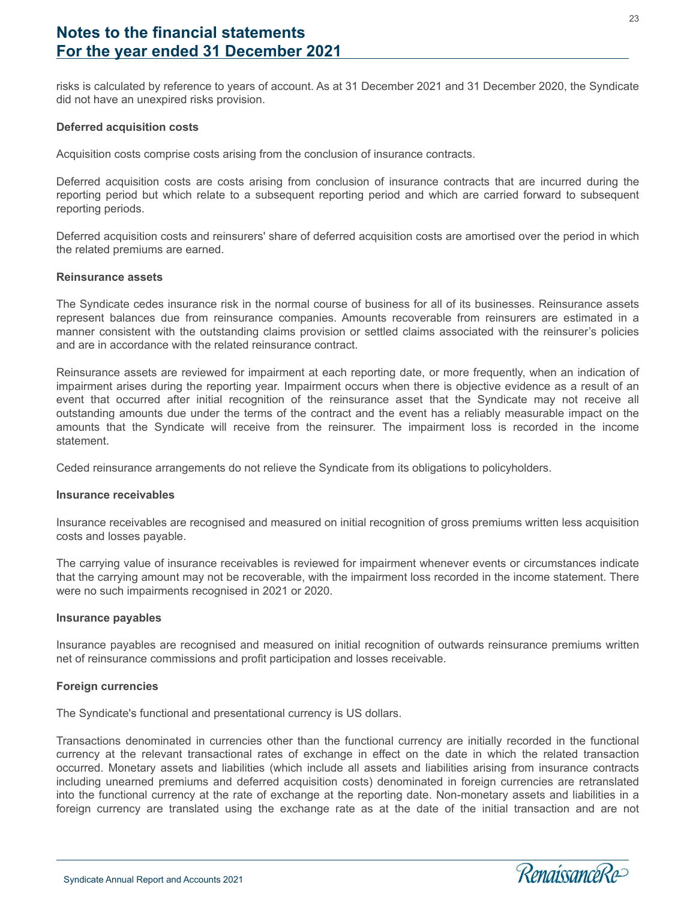risks is calculated by reference to years of account. As at 31 December 2021 and 31 December 2020, the Syndicate did not have an unexpired risks provision.

#### **Deferred acquisition costs**

Acquisition costs comprise costs arising from the conclusion of insurance contracts.

Deferred acquisition costs are costs arising from conclusion of insurance contracts that are incurred during the reporting period but which relate to a subsequent reporting period and which are carried forward to subsequent reporting periods.

Deferred acquisition costs and reinsurers' share of deferred acquisition costs are amortised over the period in which the related premiums are earned.

#### **Reinsurance assets**

The Syndicate cedes insurance risk in the normal course of business for all of its businesses. Reinsurance assets represent balances due from reinsurance companies. Amounts recoverable from reinsurers are estimated in a manner consistent with the outstanding claims provision or settled claims associated with the reinsurer's policies and are in accordance with the related reinsurance contract.

Reinsurance assets are reviewed for impairment at each reporting date, or more frequently, when an indication of impairment arises during the reporting year. Impairment occurs when there is objective evidence as a result of an event that occurred after initial recognition of the reinsurance asset that the Syndicate may not receive all outstanding amounts due under the terms of the contract and the event has a reliably measurable impact on the amounts that the Syndicate will receive from the reinsurer. The impairment loss is recorded in the income statement.

Ceded reinsurance arrangements do not relieve the Syndicate from its obligations to policyholders.

#### **Insurance receivables**

Insurance receivables are recognised and measured on initial recognition of gross premiums written less acquisition costs and losses payable.

The carrying value of insurance receivables is reviewed for impairment whenever events or circumstances indicate that the carrying amount may not be recoverable, with the impairment loss recorded in the income statement. There were no such impairments recognised in 2021 or 2020.

#### **Insurance payables**

Insurance payables are recognised and measured on initial recognition of outwards reinsurance premiums written net of reinsurance commissions and profit participation and losses receivable.

#### **Foreign currencies**

l

The Syndicate's functional and presentational currency is US dollars.

Transactions denominated in currencies other than the functional currency are initially recorded in the functional currency at the relevant transactional rates of exchange in effect on the date in which the related transaction occurred. Monetary assets and liabilities (which include all assets and liabilities arising from insurance contracts including unearned premiums and deferred acquisition costs) denominated in foreign currencies are retranslated into the functional currency at the rate of exchange at the reporting date. Non-monetary assets and liabilities in a foreign currency are translated using the exchange rate as at the date of the initial transaction and are not

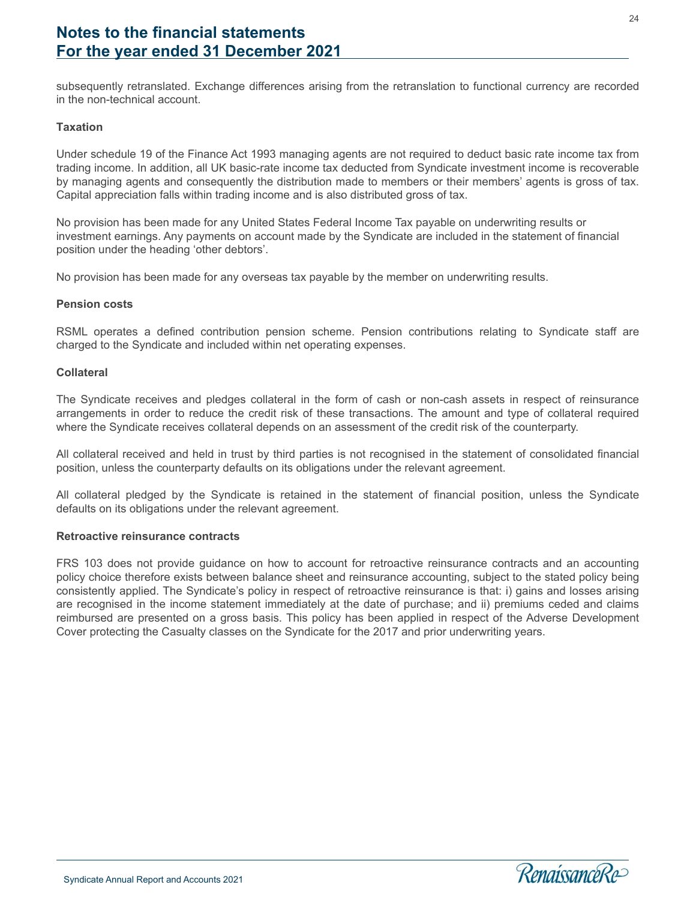subsequently retranslated. Exchange differences arising from the retranslation to functional currency are recorded in the non-technical account.

#### **Taxation**

Under schedule 19 of the Finance Act 1993 managing agents are not required to deduct basic rate income tax from trading income. In addition, all UK basic-rate income tax deducted from Syndicate investment income is recoverable by managing agents and consequently the distribution made to members or their members' agents is gross of tax. Capital appreciation falls within trading income and is also distributed gross of tax.

No provision has been made for any United States Federal Income Tax payable on underwriting results or investment earnings. Any payments on account made by the Syndicate are included in the statement of financial position under the heading 'other debtors'.

No provision has been made for any overseas tax payable by the member on underwriting results.

#### **Pension costs**

RSML operates a defined contribution pension scheme. Pension contributions relating to Syndicate staff are charged to the Syndicate and included within net operating expenses.

#### **Collateral**

The Syndicate receives and pledges collateral in the form of cash or non-cash assets in respect of reinsurance arrangements in order to reduce the credit risk of these transactions. The amount and type of collateral required where the Syndicate receives collateral depends on an assessment of the credit risk of the counterparty.

All collateral received and held in trust by third parties is not recognised in the statement of consolidated financial position, unless the counterparty defaults on its obligations under the relevant agreement.

All collateral pledged by the Syndicate is retained in the statement of financial position, unless the Syndicate defaults on its obligations under the relevant agreement.

#### **Retroactive reinsurance contracts**

FRS 103 does not provide guidance on how to account for retroactive reinsurance contracts and an accounting policy choice therefore exists between balance sheet and reinsurance accounting, subject to the stated policy being consistently applied. The Syndicate's policy in respect of retroactive reinsurance is that: i) gains and losses arising are recognised in the income statement immediately at the date of purchase; and ii) premiums ceded and claims reimbursed are presented on a gross basis. This policy has been applied in respect of the Adverse Development Cover protecting the Casualty classes on the Syndicate for the 2017 and prior underwriting years.

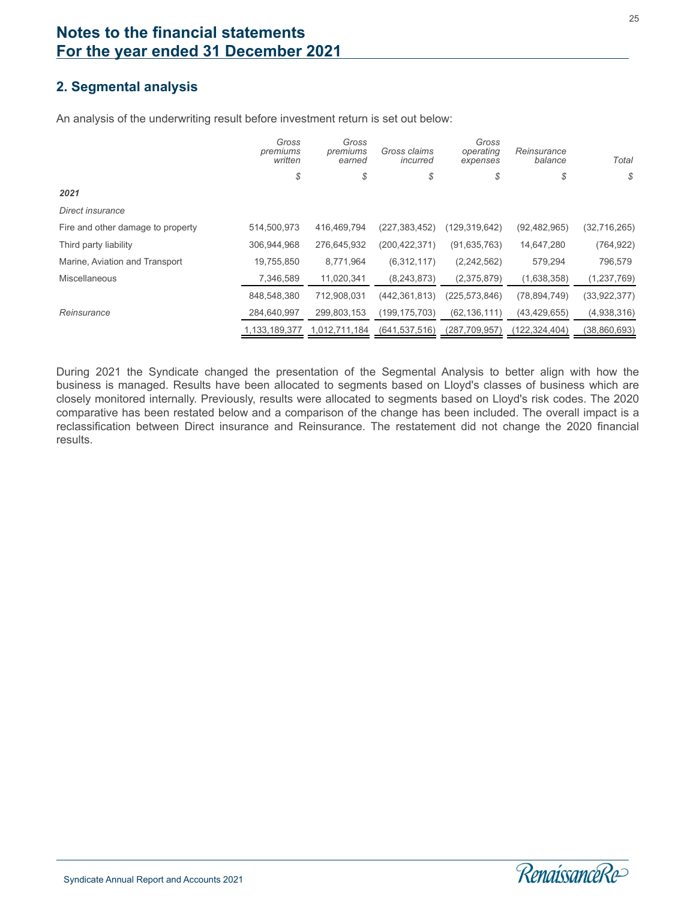# **2. Segmental analysis**

An analysis of the underwriting result before investment return is set out below:

|                                   | Gross<br>premiums<br>written | Gross<br>premiums<br>earned | Gross claims<br>incurred | Gross<br>operating<br>expenses | Reinsurance<br>balance | Total        |
|-----------------------------------|------------------------------|-----------------------------|--------------------------|--------------------------------|------------------------|--------------|
|                                   | \$                           | \$                          | \$                       | \$                             | \$                     | \$           |
| 2021                              |                              |                             |                          |                                |                        |              |
| Direct insurance                  |                              |                             |                          |                                |                        |              |
| Fire and other damage to property | 514,500,973                  | 416,469,794                 | (227, 383, 452)          | (129,319,642)                  | (92, 482, 965)         | (32,716,265) |
| Third party liability             | 306,944,968                  | 276,645,932                 | (200, 422, 371)          | (91, 635, 763)                 | 14,647,280             | (764, 922)   |
| Marine, Aviation and Transport    | 19,755,850                   | 8,771,964                   | (6,312,117)              | (2,242,562)                    | 579,294                | 796,579      |
| <b>Miscellaneous</b>              | 7,346,589                    | 11,020,341                  | (8, 243, 873)            | (2,375,879)                    | (1,638,358)            | (1,237,769)  |
|                                   | 848,548,380                  | 712,908,031                 | (442, 361, 813)          | (225, 573, 846)                | (78, 894, 749)         | (33,922,377) |
| Reinsurance                       | 284,640,997                  | 299,803,153                 | (199, 175, 703)          | (62, 136, 111)                 | (43, 429, 655)         | (4,938,316)  |
|                                   | 1,133,189,377                | 1,012,711,184               | (641, 537, 516)          | (287, 709, 957)                | (122, 324, 404)        | (38,860,693) |

During 2021 the Syndicate changed the presentation of the Segmental Analysis to better align with how the business is managed. Results have been allocated to segments based on Lloyd's classes of business which are closely monitored internally. Previously, results were allocated to segments based on Lloyd's risk codes. The 2020 comparative has been restated below and a comparison of the change has been included. The overall impact is a reclassification between Direct insurance and Reinsurance. The restatement did not change the 2020 financial results.

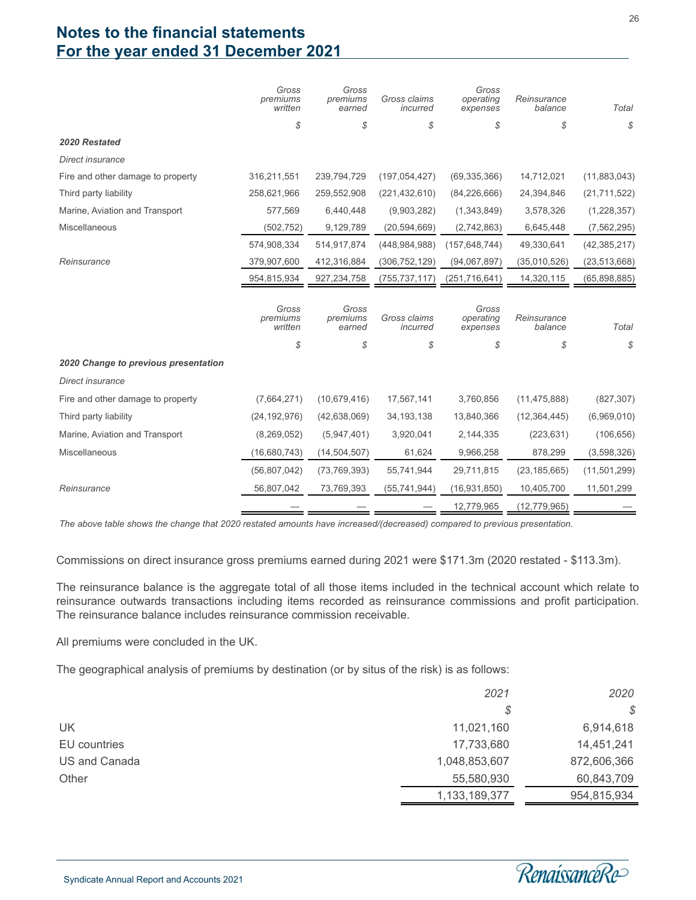|                                      | Gross<br>premiums<br>written | Gross<br>premiums<br>earned | Gross claims<br>incurred | Gross<br>operating<br>expenses | Reinsurance<br>balance | Total          |
|--------------------------------------|------------------------------|-----------------------------|--------------------------|--------------------------------|------------------------|----------------|
|                                      | \$                           | \$                          | \$                       | \$                             | \$                     | \$             |
| 2020 Restated                        |                              |                             |                          |                                |                        |                |
| Direct insurance                     |                              |                             |                          |                                |                        |                |
| Fire and other damage to property    | 316,211,551                  | 239,794,729                 | (197, 054, 427)          | (69, 335, 366)                 | 14,712,021             | (11,883,043)   |
| Third party liability                | 258,621,966                  | 259,552,908                 | (221, 432, 610)          | (84, 226, 666)                 | 24,394,846             | (21, 711, 522) |
| Marine, Aviation and Transport       | 577,569                      | 6,440,448                   | (9,903,282)              | (1,343,849)                    | 3,578,326              | (1,228,357)    |
| Miscellaneous                        | (502, 752)                   | 9,129,789                   | (20, 594, 669)           | (2,742,863)                    | 6,645,448              | (7, 562, 295)  |
|                                      | 574,908,334                  | 514,917,874                 | (448, 984, 988)          | (157, 648, 744)                | 49,330,641             | (42, 385, 217) |
| Reinsurance                          | 379,907,600                  | 412,316,884                 | (306, 752, 129)          | (94,067,897)                   | (35,010,526)           | (23, 513, 668) |
|                                      | 954,815,934                  | 927,234,758                 | (755, 737, 117)          | (251, 716, 641)                | 14,320,115             | (65,898,885)   |
|                                      | Gross<br>premiums<br>written | Gross<br>premiums<br>earned | Gross claims<br>incurred | Gross<br>operating<br>expenses | Reinsurance<br>balance | Total          |
|                                      | \$                           | \$                          | \$                       | \$                             | \$                     | \$             |
| 2020 Change to previous presentation |                              |                             |                          |                                |                        |                |
| Direct insurance                     |                              |                             |                          |                                |                        |                |
| Fire and other damage to property    | (7,664,271)                  | (10,679,416)                | 17,567,141               | 3,760,856                      | (11, 475, 888)         | (827, 307)     |
| Third party liability                | (24, 192, 976)               | (42, 638, 069)              | 34, 193, 138             | 13,840,366                     | (12, 364, 445)         | (6,969,010)    |
| Marine, Aviation and Transport       | (8, 269, 052)                | (5,947,401)                 | 3,920,041                | 2,144,335                      | (223, 631)             | (106, 656)     |
| Miscellaneous                        | (16,680,743)                 | (14, 504, 507)              | 61,624                   | 9,966,258                      | 878,299                | (3,598,326)    |
|                                      | (56,807,042)                 | (73, 769, 393)              | 55,741,944               | 29,711,815                     | (23, 185, 665)         | (11,501,299)   |
| Reinsurance                          | 56,807,042                   | 73,769,393                  | (55, 741, 944)           | (16, 931, 850)                 | 10,405,700             | 11,501,299     |
|                                      |                              |                             |                          | 12,779,965                     | (12, 779, 965)         |                |

*The above table shows the change that 2020 restated amounts have increased/(decreased) compared to previous presentation.*

Commissions on direct insurance gross premiums earned during 2021 were \$171.3m (2020 restated - \$113.3m).

The reinsurance balance is the aggregate total of all those items included in the technical account which relate to reinsurance outwards transactions including items recorded as reinsurance commissions and profit participation. The reinsurance balance includes reinsurance commission receivable.

All premiums were concluded in the UK.

The geographical analysis of premiums by destination (or by situs of the risk) is as follows:

|               | 2021          | 2020        |
|---------------|---------------|-------------|
|               | S             | \$          |
| UK            | 11,021,160    | 6,914,618   |
| EU countries  | 17,733,680    | 14,451,241  |
| US and Canada | 1,048,853,607 | 872,606,366 |
| Other         | 55,580,930    | 60,843,709  |
|               | 1,133,189,377 | 954,815,934 |

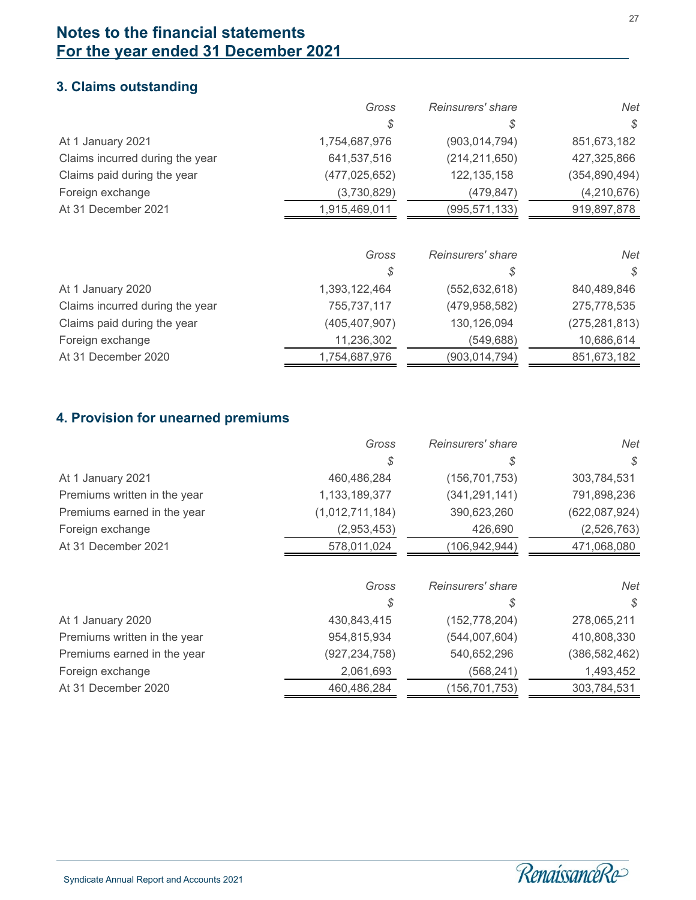# **3. Claims outstanding**

|                                 | Gross           | Reinsurers' share | Net             |
|---------------------------------|-----------------|-------------------|-----------------|
|                                 | S               | S                 | S               |
| At 1 January 2021               | 1,754,687,976   | (903, 014, 794)   | 851,673,182     |
| Claims incurred during the year | 641,537,516     | (214, 211, 650)   | 427,325,866     |
| Claims paid during the year     | (477, 025, 652) | 122, 135, 158     | (354, 890, 494) |
| Foreign exchange                | (3,730,829)     | (479.847)         | (4,210,676)     |
| At 31 December 2021             | 1,915,469,011   | (995, 571, 133)   | 919,897,878     |

|                                 | Gross           | Reinsurers' share | Net             |
|---------------------------------|-----------------|-------------------|-----------------|
|                                 | S               | S                 | S.              |
| At 1 January 2020               | 1,393,122,464   | (552, 632, 618)   | 840,489,846     |
| Claims incurred during the year | 755,737,117     | (479, 958, 582)   | 275,778,535     |
| Claims paid during the year     | (405, 407, 907) | 130,126,094       | (275, 281, 813) |
| Foreign exchange                | 11,236,302      | (549,688)         | 10,686,614      |
| At 31 December 2020             | 1,754,687,976   | (903,014,794)     | 851,673,182     |

### **4. Provision for unearned premiums**

|                              | Gross           | Reinsurers' share | Net             |
|------------------------------|-----------------|-------------------|-----------------|
|                              | \$              | S                 | S               |
| At 1 January 2021            | 460,486,284     | (156, 701, 753)   | 303,784,531     |
| Premiums written in the year | 1,133,189,377   | (341, 291, 141)   | 791,898,236     |
| Premiums earned in the year  | (1,012,711,184) | 390,623,260       | (622,087,924)   |
| Foreign exchange             | (2,953,453)     | 426,690           | (2,526,763)     |
| At 31 December 2021          | 578,011,024     | (106, 942, 944)   | 471,068,080     |
|                              |                 |                   |                 |
|                              | Gross           | Reinsurers' share | Net             |
|                              | \$              | S                 | S               |
| At 1 January 2020            | 430,843,415     | (152, 778, 204)   | 278,065,211     |
| Premiums written in the year | 954,815,934     | (544,007,604)     | 410,808,330     |
| Premiums earned in the year  | (927, 234, 758) | 540,652,296       | (386, 582, 462) |
| Foreign exchange             | 2,061,693       | (568, 241)        | 1,493,452       |
| At 31 December 2020          | 460,486,284     | (156, 701, 753)   | 303,784,531     |

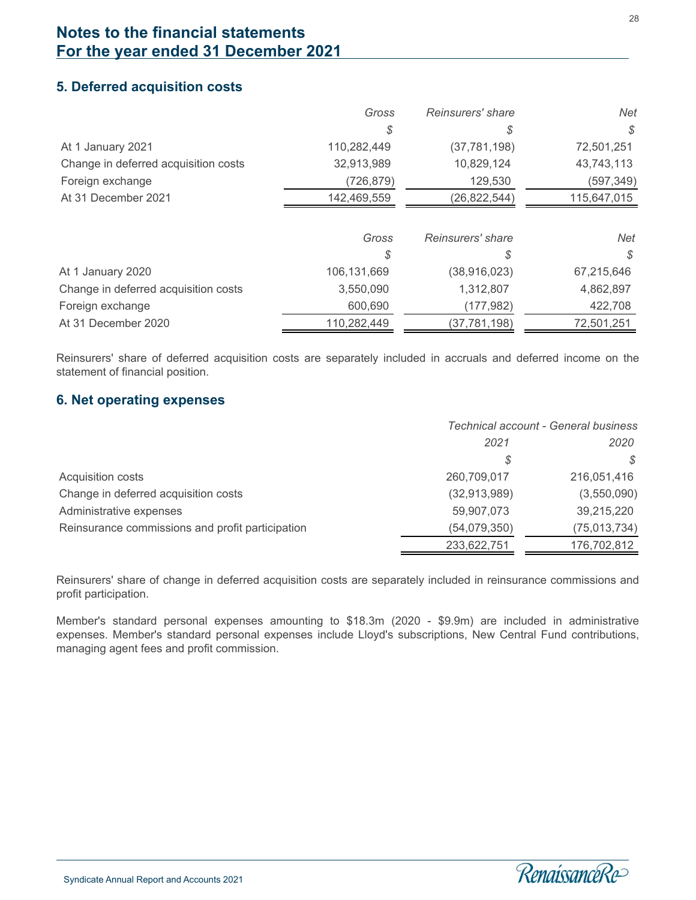### **5. Deferred acquisition costs**

|                                      | Gross       | Reinsurers' share | Net         |
|--------------------------------------|-------------|-------------------|-------------|
|                                      |             | S                 | S           |
| At 1 January 2021                    | 110,282,449 | (37, 781, 198)    | 72,501,251  |
| Change in deferred acquisition costs | 32,913,989  | 10,829,124        | 43,743,113  |
| Foreign exchange                     | (726, 879)  | 129,530           | (597,349)   |
| At 31 December 2021                  | 142,469,559 | (26, 822, 544)    | 115,647,015 |
|                                      |             |                   |             |
|                                      | Gross       | Reinsurers' share | Net         |
|                                      | \$          | \$                | S.          |
| At 1 January 2020                    | 106,131,669 | (38, 916, 023)    | 67,215,646  |
| Change in deferred acquisition costs | 3,550,090   | 1,312,807         | 4,862,897   |
| Foreign exchange                     | 600,690     | (177, 982)        | 422,708     |
| At 31 December 2020                  | 110,282,449 | (37, 781, 198)    | 72,501,251  |
|                                      |             |                   |             |

Reinsurers' share of deferred acquisition costs are separately included in accruals and deferred income on the statement of financial position.

### **6. Net operating expenses**

l

|                                                  | Technical account - General business |                |
|--------------------------------------------------|--------------------------------------|----------------|
|                                                  | 2021                                 | 2020           |
|                                                  | S                                    | S              |
| Acquisition costs                                | 260,709,017                          | 216,051,416    |
| Change in deferred acquisition costs             | (32, 913, 989)                       | (3,550,090)    |
| Administrative expenses                          | 59,907,073                           | 39,215,220     |
| Reinsurance commissions and profit participation | (54,079,350)                         | (75, 013, 734) |
|                                                  | 233,622,751                          | 176,702,812    |

Reinsurers' share of change in deferred acquisition costs are separately included in reinsurance commissions and profit participation.

Member's standard personal expenses amounting to \$18.3m (2020 - \$9.9m) are included in administrative expenses. Member's standard personal expenses include Lloyd's subscriptions, New Central Fund contributions, managing agent fees and profit commission.

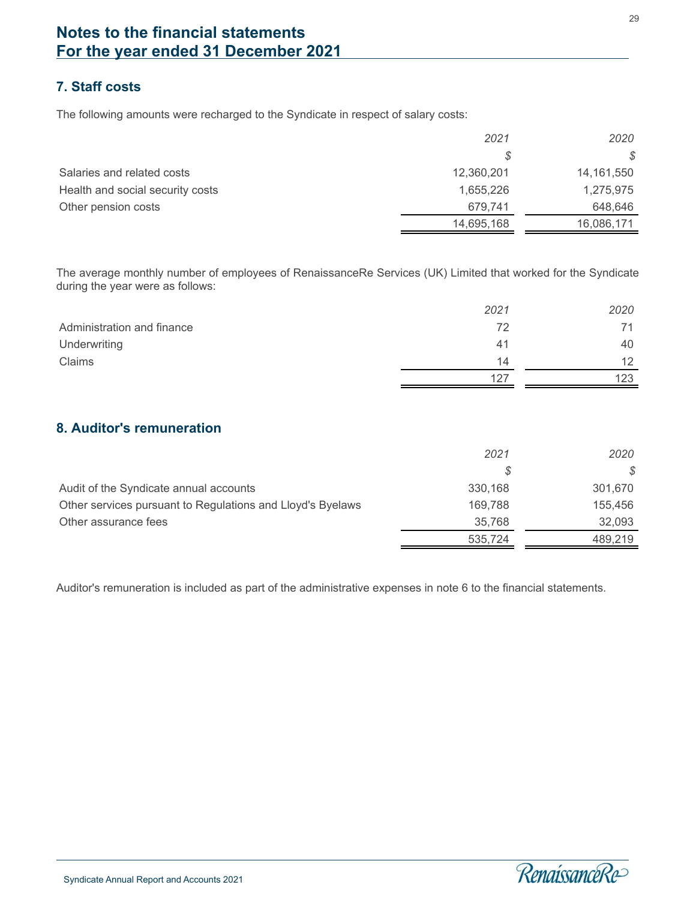# **7. Staff costs**

The following amounts were recharged to the Syndicate in respect of salary costs:

|                                  | 2021       | 2020       |
|----------------------------------|------------|------------|
|                                  | S          | \$         |
| Salaries and related costs       | 12,360,201 | 14,161,550 |
| Health and social security costs | 1,655,226  | 1,275,975  |
| Other pension costs              | 679.741    | 648,646    |
|                                  | 14,695,168 | 16,086,171 |

The average monthly number of employees of RenaissanceRe Services (UK) Limited that worked for the Syndicate during the year were as follows:

|                            | 2021 | 2020 |
|----------------------------|------|------|
| Administration and finance | 72   |      |
| Underwriting               | 41   | 40   |
| Claims                     | 14   | 12   |
|                            | 127  | 123  |

### **8. Auditor's remuneration**

|                                                            | 2021    | 2020    |
|------------------------------------------------------------|---------|---------|
|                                                            |         | S.      |
| Audit of the Syndicate annual accounts                     | 330.168 | 301,670 |
| Other services pursuant to Regulations and Lloyd's Byelaws | 169.788 | 155,456 |
| Other assurance fees                                       | 35.768  | 32.093  |
|                                                            | 535,724 | 489,219 |

Auditor's remuneration is included as part of the administrative expenses in note 6 to the financial statements.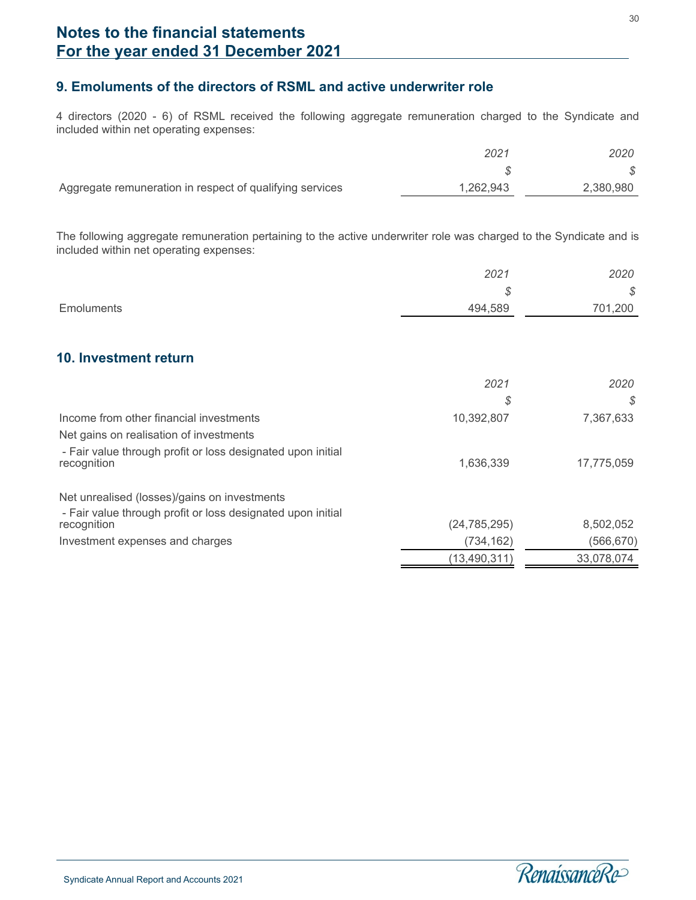### **9. Emoluments of the directors of RSML and active underwriter role**

4 directors (2020 - 6) of RSML received the following aggregate remuneration charged to the Syndicate and included within net operating expenses:

|                                                          | 2021      | 2020      |
|----------------------------------------------------------|-----------|-----------|
|                                                          |           |           |
| Aggregate remuneration in respect of qualifying services | 1,262,943 | 2,380,980 |

The following aggregate remuneration pertaining to the active underwriter role was charged to the Syndicate and is included within net operating expenses:

|            | 2021    | 2020    |
|------------|---------|---------|
|            | Ψ       | \$      |
| Emoluments | 494,589 | 701,200 |

### **10. Investment return**

|                                                                            | 2021<br>\$     | 2020<br>S  |
|----------------------------------------------------------------------------|----------------|------------|
| Income from other financial investments                                    | 10,392,807     | 7,367,633  |
| Net gains on realisation of investments                                    |                |            |
| - Fair value through profit or loss designated upon initial<br>recognition | 1,636,339      | 17,775,059 |
| Net unrealised (losses)/gains on investments                               |                |            |
| - Fair value through profit or loss designated upon initial                |                |            |
| recognition                                                                | (24, 785, 295) | 8,502,052  |
| Investment expenses and charges                                            | (734, 162)     | (566,670)  |
|                                                                            | (13, 490, 311) | 33,078,074 |

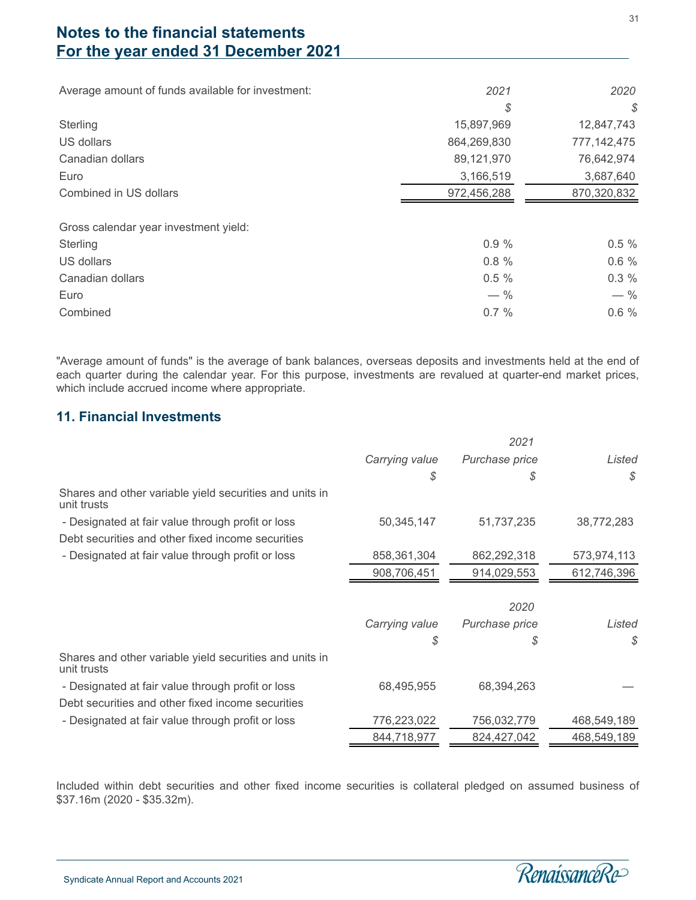Average amount of funds available for investment: *2021 2020*

|                                       | \$          | $\mathcal{L}$ |
|---------------------------------------|-------------|---------------|
| Sterling                              | 15,897,969  | 12,847,743    |
| US dollars                            | 864,269,830 | 777, 142, 475 |
| Canadian dollars                      | 89,121,970  | 76,642,974    |
| Euro                                  | 3,166,519   | 3,687,640     |
| Combined in US dollars                | 972,456,288 | 870,320,832   |
| Gross calendar year investment yield: |             |               |
| Sterling                              | 0.9%        | $0.5 \%$      |
| US dollars                            | 0.8%        | 0.6%          |
| Canadian dollars                      | 0.5%        | $0.3 \%$      |
| Euro                                  | $-$ %       | $-$ %         |
| Combined                              | 0.7%        | 0.6%          |

"Average amount of funds" is the average of bank balances, overseas deposits and investments held at the end of each quarter during the calendar year. For this purpose, investments are revalued at quarter-end market prices, which include accrued income where appropriate.

### **11. Financial Investments**

|                                                                        |                | 2021           |             |
|------------------------------------------------------------------------|----------------|----------------|-------------|
|                                                                        | Carrying value | Purchase price | Listed      |
|                                                                        | \$             | S              | S           |
| Shares and other variable yield securities and units in<br>unit trusts |                |                |             |
| - Designated at fair value through profit or loss                      | 50,345,147     | 51,737,235     | 38,772,283  |
| Debt securities and other fixed income securities                      |                |                |             |
| - Designated at fair value through profit or loss                      | 858,361,304    | 862,292,318    | 573,974,113 |
|                                                                        | 908,706,451    | 914,029,553    | 612,746,396 |
|                                                                        |                |                |             |
|                                                                        |                | 2020           |             |
|                                                                        | Carrying value | Purchase price | Listed      |
|                                                                        | \$             | \$             | \$          |
| Shares and other variable yield securities and units in<br>unit trusts |                |                |             |
| - Designated at fair value through profit or loss                      | 68,495,955     | 68,394,263     |             |
| Debt securities and other fixed income securities                      |                |                |             |
| - Designated at fair value through profit or loss                      | 776,223,022    | 756,032,779    | 468,549,189 |
|                                                                        | 844,718,977    | 824,427,042    | 468,549,189 |

Included within debt securities and other fixed income securities is collateral pledged on assumed business of \$37.16m (2020 - \$35.32m).

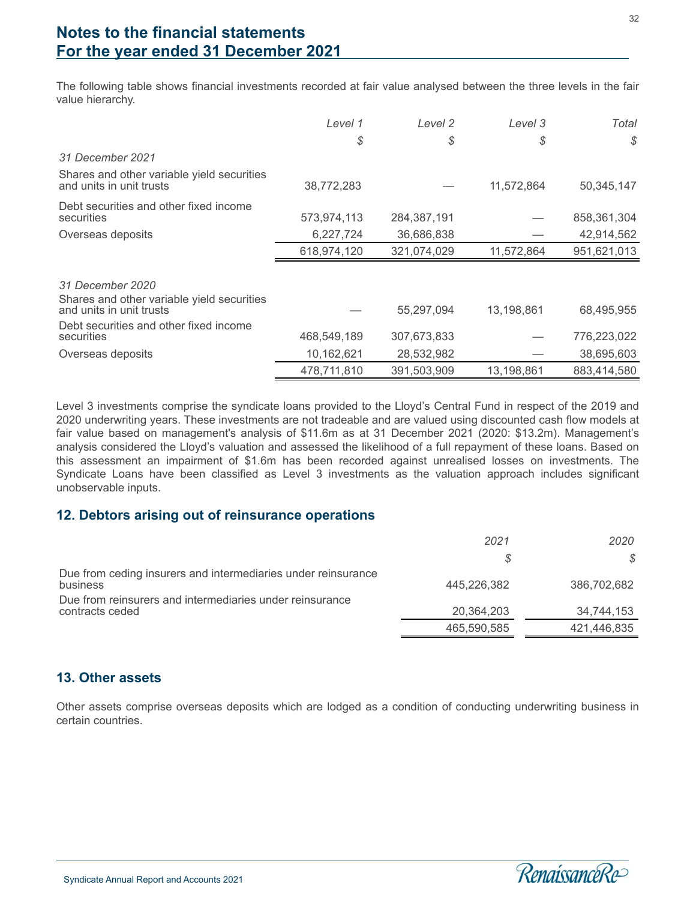The following table shows financial investments recorded at fair value analysed between the three levels in the fair value hierarchy.

|                                                                                            | Level 1     | Level 2     | Level 3    | Total       |
|--------------------------------------------------------------------------------------------|-------------|-------------|------------|-------------|
|                                                                                            | \$          | \$          | \$         | \$          |
| 31 December 2021                                                                           |             |             |            |             |
| Shares and other variable yield securities<br>and units in unit trusts                     | 38,772,283  |             | 11,572,864 | 50,345,147  |
| Debt securities and other fixed income<br>securities                                       | 573,974,113 | 284,387,191 |            | 858,361,304 |
| Overseas deposits                                                                          | 6,227,724   | 36,686,838  |            | 42,914,562  |
|                                                                                            | 618,974,120 | 321,074,029 | 11,572,864 | 951,621,013 |
| 31 December 2020<br>Shares and other variable yield securities<br>and units in unit trusts |             | 55,297,094  | 13,198,861 | 68,495,955  |
| Debt securities and other fixed income                                                     |             |             |            |             |
| securities                                                                                 | 468,549,189 | 307,673,833 |            | 776,223,022 |
| Overseas deposits                                                                          | 10,162,621  | 28,532,982  |            | 38,695,603  |
|                                                                                            | 478,711,810 | 391,503,909 | 13,198,861 | 883.414.580 |

Level 3 investments comprise the syndicate loans provided to the Lloyd's Central Fund in respect of the 2019 and 2020 underwriting years. These investments are not tradeable and are valued using discounted cash flow models at fair value based on management's analysis of \$11.6m as at 31 December 2021 (2020: \$13.2m). Management's analysis considered the Lloyd's valuation and assessed the likelihood of a full repayment of these loans. Based on this assessment an impairment of \$1.6m has been recorded against unrealised losses on investments. The Syndicate Loans have been classified as Level 3 investments as the valuation approach includes significant unobservable inputs.

### **12. Debtors arising out of reinsurance operations**

|                                                                             | 2021        | 2020        |
|-----------------------------------------------------------------------------|-------------|-------------|
|                                                                             | S           | S           |
| Due from ceding insurers and intermediaries under reinsurance<br>business   | 445,226,382 | 386,702,682 |
| Due from reinsurers and intermediaries under reinsurance<br>contracts ceded | 20,364,203  | 34,744,153  |
|                                                                             | 465,590,585 | 421.446.835 |
|                                                                             |             |             |

#### **13. Other assets**

l

Other assets comprise overseas deposits which are lodged as a condition of conducting underwriting business in certain countries.

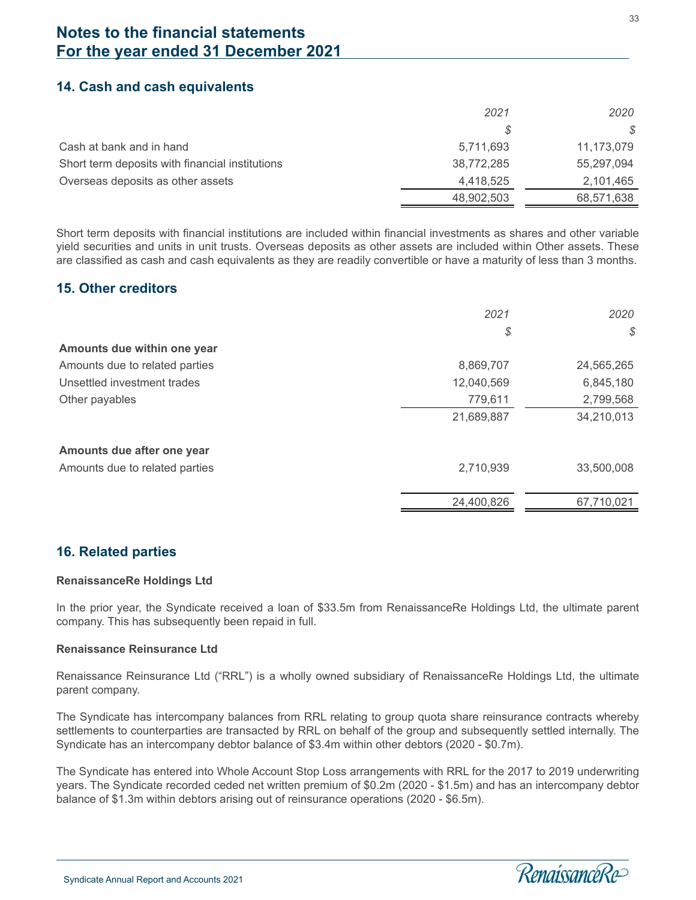### **14. Cash and cash equivalents**

|                                                 | 2021       | 2020       |
|-------------------------------------------------|------------|------------|
|                                                 | S          | S          |
| Cash at bank and in hand                        | 5,711,693  | 11,173,079 |
| Short term deposits with financial institutions | 38,772,285 | 55,297,094 |
| Overseas deposits as other assets               | 4,418,525  | 2,101,465  |
|                                                 | 48,902,503 | 68,571,638 |

Short term deposits with financial institutions are included within financial investments as shares and other variable yield securities and units in unit trusts. Overseas deposits as other assets are included within Other assets. These are classified as cash and cash equivalents as they are readily convertible or have a maturity of less than 3 months.

### **15. Other creditors**

|                                | 2021       | 2020       |
|--------------------------------|------------|------------|
|                                | \$         | \$         |
| Amounts due within one year    |            |            |
| Amounts due to related parties | 8,869,707  | 24,565,265 |
| Unsettled investment trades    | 12,040,569 | 6,845,180  |
| Other payables                 | 779,611    | 2,799,568  |
|                                | 21,689,887 | 34,210,013 |
| Amounts due after one year     |            |            |
| Amounts due to related parties | 2,710,939  | 33,500,008 |
|                                | 24,400,826 | 67,710,021 |
|                                |            |            |

### **16. Related parties**

#### **RenaissanceRe Holdings Ltd**

In the prior year, the Syndicate received a loan of \$33.5m from RenaissanceRe Holdings Ltd, the ultimate parent company. This has subsequently been repaid in full.

#### **Renaissance Reinsurance Ltd**

Renaissance Reinsurance Ltd ("RRL") is a wholly owned subsidiary of RenaissanceRe Holdings Ltd, the ultimate parent company.

The Syndicate has intercompany balances from RRL relating to group quota share reinsurance contracts whereby settlements to counterparties are transacted by RRL on behalf of the group and subsequently settled internally. The Syndicate has an intercompany debtor balance of \$3.4m within other debtors (2020 - \$0.7m).

The Syndicate has entered into Whole Account Stop Loss arrangements with RRL for the 2017 to 2019 underwriting years. The Syndicate recorded ceded net written premium of \$0.2m (2020 - \$1.5m) and has an intercompany debtor balance of \$1.3m within debtors arising out of reinsurance operations (2020 - \$6.5m).

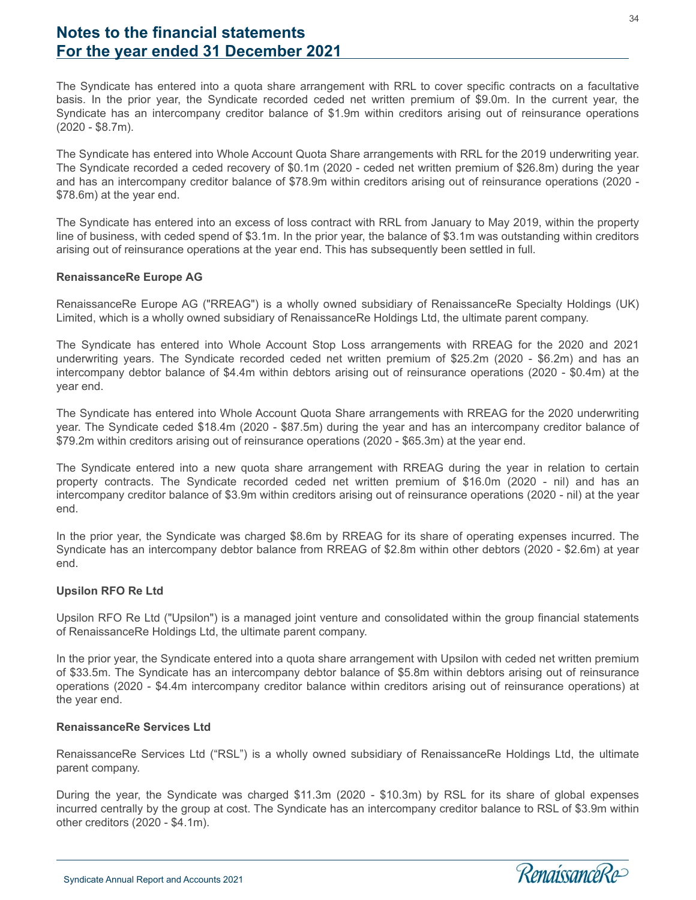The Syndicate has entered into a quota share arrangement with RRL to cover specific contracts on a facultative basis. In the prior year, the Syndicate recorded ceded net written premium of \$9.0m. In the current year, the Syndicate has an intercompany creditor balance of \$1.9m within creditors arising out of reinsurance operations (2020 - \$8.7m).

The Syndicate has entered into Whole Account Quota Share arrangements with RRL for the 2019 underwriting year. The Syndicate recorded a ceded recovery of \$0.1m (2020 - ceded net written premium of \$26.8m) during the year and has an intercompany creditor balance of \$78.9m within creditors arising out of reinsurance operations (2020 - \$78.6m) at the year end.

The Syndicate has entered into an excess of loss contract with RRL from January to May 2019, within the property line of business, with ceded spend of \$3.1m. In the prior year, the balance of \$3.1m was outstanding within creditors arising out of reinsurance operations at the year end. This has subsequently been settled in full.

#### **RenaissanceRe Europe AG**

RenaissanceRe Europe AG ("RREAG") is a wholly owned subsidiary of RenaissanceRe Specialty Holdings (UK) Limited, which is a wholly owned subsidiary of RenaissanceRe Holdings Ltd, the ultimate parent company.

The Syndicate has entered into Whole Account Stop Loss arrangements with RREAG for the 2020 and 2021 underwriting years. The Syndicate recorded ceded net written premium of \$25.2m (2020 - \$6.2m) and has an intercompany debtor balance of \$4.4m within debtors arising out of reinsurance operations (2020 - \$0.4m) at the year end.

The Syndicate has entered into Whole Account Quota Share arrangements with RREAG for the 2020 underwriting year. The Syndicate ceded \$18.4m (2020 - \$87.5m) during the year and has an intercompany creditor balance of \$79.2m within creditors arising out of reinsurance operations (2020 - \$65.3m) at the year end.

The Syndicate entered into a new quota share arrangement with RREAG during the year in relation to certain property contracts. The Syndicate recorded ceded net written premium of \$16.0m (2020 - nil) and has an intercompany creditor balance of \$3.9m within creditors arising out of reinsurance operations (2020 - nil) at the year end.

In the prior year, the Syndicate was charged \$8.6m by RREAG for its share of operating expenses incurred. The Syndicate has an intercompany debtor balance from RREAG of \$2.8m within other debtors (2020 - \$2.6m) at year end.

#### **Upsilon RFO Re Ltd**

Upsilon RFO Re Ltd ("Upsilon") is a managed joint venture and consolidated within the group financial statements of RenaissanceRe Holdings Ltd, the ultimate parent company.

In the prior year, the Syndicate entered into a quota share arrangement with Upsilon with ceded net written premium of \$33.5m. The Syndicate has an intercompany debtor balance of \$5.8m within debtors arising out of reinsurance operations (2020 - \$4.4m intercompany creditor balance within creditors arising out of reinsurance operations) at the year end.

#### **RenaissanceRe Services Ltd**

RenaissanceRe Services Ltd ("RSL") is a wholly owned subsidiary of RenaissanceRe Holdings Ltd, the ultimate parent company.

During the year, the Syndicate was charged \$11.3m (2020 - \$10.3m) by RSL for its share of global expenses incurred centrally by the group at cost. The Syndicate has an intercompany creditor balance to RSL of \$3.9m within other creditors (2020 - \$4.1m).

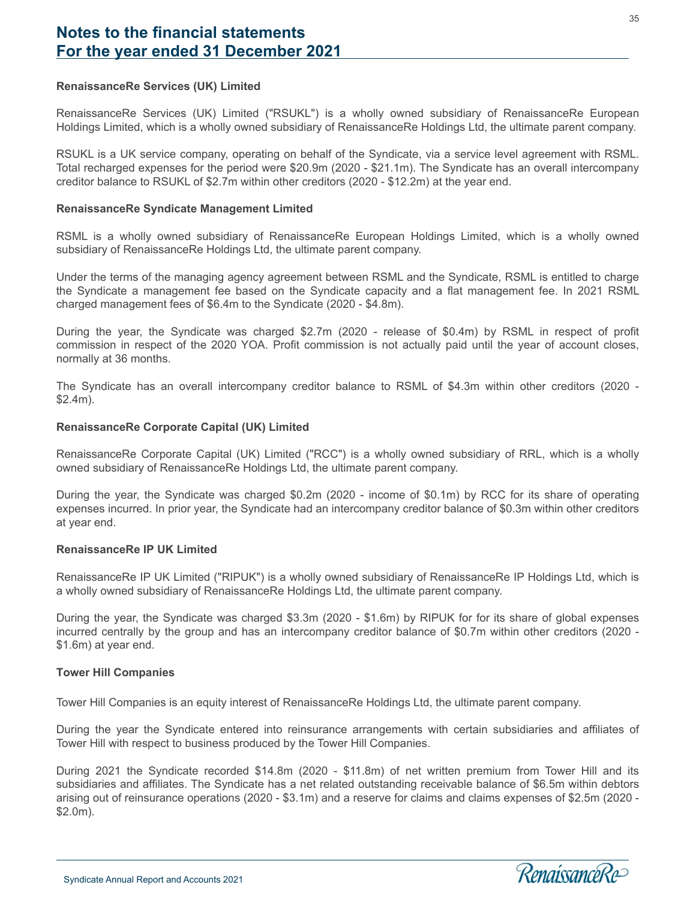#### **RenaissanceRe Services (UK) Limited**

RenaissanceRe Services (UK) Limited ("RSUKL") is a wholly owned subsidiary of RenaissanceRe European Holdings Limited, which is a wholly owned subsidiary of RenaissanceRe Holdings Ltd, the ultimate parent company.

RSUKL is a UK service company, operating on behalf of the Syndicate, via a service level agreement with RSML. Total recharged expenses for the period were \$20.9m (2020 - \$21.1m). The Syndicate has an overall intercompany creditor balance to RSUKL of \$2.7m within other creditors (2020 - \$12.2m) at the year end.

#### **RenaissanceRe Syndicate Management Limited**

RSML is a wholly owned subsidiary of RenaissanceRe European Holdings Limited, which is a wholly owned subsidiary of RenaissanceRe Holdings Ltd, the ultimate parent company.

Under the terms of the managing agency agreement between RSML and the Syndicate, RSML is entitled to charge the Syndicate a management fee based on the Syndicate capacity and a flat management fee. In 2021 RSML charged management fees of \$6.4m to the Syndicate (2020 - \$4.8m).

During the year, the Syndicate was charged \$2.7m (2020 - release of \$0.4m) by RSML in respect of profit commission in respect of the 2020 YOA. Profit commission is not actually paid until the year of account closes, normally at 36 months.

The Syndicate has an overall intercompany creditor balance to RSML of \$4.3m within other creditors (2020 - \$2.4m).

#### **RenaissanceRe Corporate Capital (UK) Limited**

RenaissanceRe Corporate Capital (UK) Limited ("RCC") is a wholly owned subsidiary of RRL, which is a wholly owned subsidiary of RenaissanceRe Holdings Ltd, the ultimate parent company.

During the year, the Syndicate was charged \$0.2m (2020 - income of \$0.1m) by RCC for its share of operating expenses incurred. In prior year, the Syndicate had an intercompany creditor balance of \$0.3m within other creditors at year end.

#### **RenaissanceRe IP UK Limited**

RenaissanceRe IP UK Limited ("RIPUK") is a wholly owned subsidiary of RenaissanceRe IP Holdings Ltd, which is a wholly owned subsidiary of RenaissanceRe Holdings Ltd, the ultimate parent company.

During the year, the Syndicate was charged \$3.3m (2020 - \$1.6m) by RIPUK for for its share of global expenses incurred centrally by the group and has an intercompany creditor balance of \$0.7m within other creditors (2020 - \$1.6m) at year end.

#### **Tower Hill Companies**

l

Tower Hill Companies is an equity interest of RenaissanceRe Holdings Ltd, the ultimate parent company.

During the year the Syndicate entered into reinsurance arrangements with certain subsidiaries and affiliates of Tower Hill with respect to business produced by the Tower Hill Companies.

During 2021 the Syndicate recorded \$14.8m (2020 - \$11.8m) of net written premium from Tower Hill and its subsidiaries and affiliates. The Syndicate has a net related outstanding receivable balance of \$6.5m within debtors arising out of reinsurance operations (2020 - \$3.1m) and a reserve for claims and claims expenses of \$2.5m (2020 - \$2.0m).

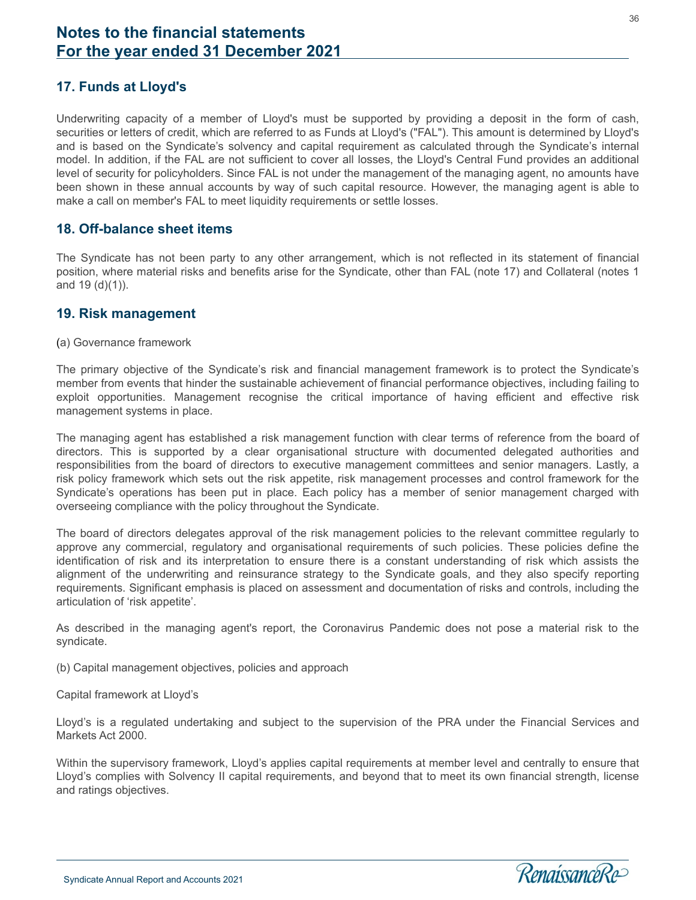# **17. Funds at Lloyd's**

Underwriting capacity of a member of Lloyd's must be supported by providing a deposit in the form of cash, securities or letters of credit, which are referred to as Funds at Lloyd's ("FAL"). This amount is determined by Lloyd's and is based on the Syndicate's solvency and capital requirement as calculated through the Syndicate's internal model. In addition, if the FAL are not sufficient to cover all losses, the Lloyd's Central Fund provides an additional level of security for policyholders. Since FAL is not under the management of the managing agent, no amounts have been shown in these annual accounts by way of such capital resource. However, the managing agent is able to make a call on member's FAL to meet liquidity requirements or settle losses.

#### **18. Off-balance sheet items**

The Syndicate has not been party to any other arrangement, which is not reflected in its statement of financial position, where material risks and benefits arise for the Syndicate, other than FAL (note 17) and Collateral (notes 1 and 19 (d)(1)).

### **19. Risk management**

(a) Governance framework

The primary objective of the Syndicate's risk and financial management framework is to protect the Syndicate's member from events that hinder the sustainable achievement of financial performance objectives, including failing to exploit opportunities. Management recognise the critical importance of having efficient and effective risk management systems in place.

The managing agent has established a risk management function with clear terms of reference from the board of directors. This is supported by a clear organisational structure with documented delegated authorities and responsibilities from the board of directors to executive management committees and senior managers. Lastly, a risk policy framework which sets out the risk appetite, risk management processes and control framework for the Syndicate's operations has been put in place. Each policy has a member of senior management charged with overseeing compliance with the policy throughout the Syndicate.

The board of directors delegates approval of the risk management policies to the relevant committee regularly to approve any commercial, regulatory and organisational requirements of such policies. These policies define the identification of risk and its interpretation to ensure there is a constant understanding of risk which assists the alignment of the underwriting and reinsurance strategy to the Syndicate goals, and they also specify reporting requirements. Significant emphasis is placed on assessment and documentation of risks and controls, including the articulation of 'risk appetite'.

As described in the managing agent's report, the Coronavirus Pandemic does not pose a material risk to the syndicate.

- (b) Capital management objectives, policies and approach
- Capital framework at Lloyd's

Lloyd's is a regulated undertaking and subject to the supervision of the PRA under the Financial Services and Markets Act 2000.

Within the supervisory framework, Lloyd's applies capital requirements at member level and centrally to ensure that Lloyd's complies with Solvency II capital requirements, and beyond that to meet its own financial strength, license and ratings objectives.

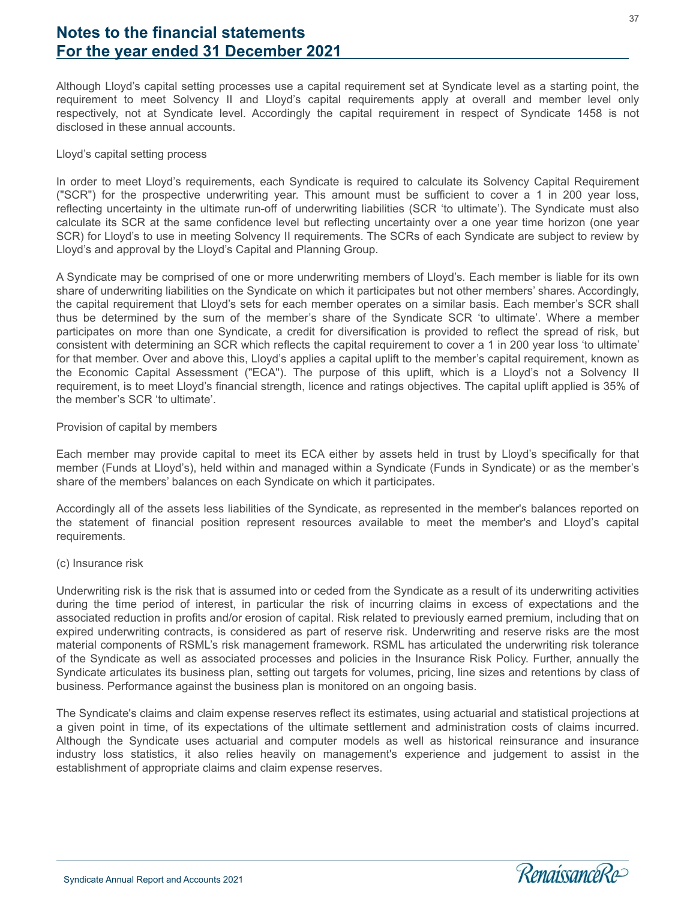Although Lloyd's capital setting processes use a capital requirement set at Syndicate level as a starting point, the requirement to meet Solvency II and Lloyd's capital requirements apply at overall and member level only respectively, not at Syndicate level. Accordingly the capital requirement in respect of Syndicate 1458 is not disclosed in these annual accounts.

#### Lloyd's capital setting process

In order to meet Lloyd's requirements, each Syndicate is required to calculate its Solvency Capital Requirement ("SCR") for the prospective underwriting year. This amount must be sufficient to cover a 1 in 200 year loss, reflecting uncertainty in the ultimate run-off of underwriting liabilities (SCR 'to ultimate'). The Syndicate must also calculate its SCR at the same confidence level but reflecting uncertainty over a one year time horizon (one year SCR) for Lloyd's to use in meeting Solvency II requirements. The SCRs of each Syndicate are subject to review by Lloyd's and approval by the Lloyd's Capital and Planning Group.

A Syndicate may be comprised of one or more underwriting members of Lloyd's. Each member is liable for its own share of underwriting liabilities on the Syndicate on which it participates but not other members' shares. Accordingly, the capital requirement that Lloyd's sets for each member operates on a similar basis. Each member's SCR shall thus be determined by the sum of the member's share of the Syndicate SCR 'to ultimate'. Where a member participates on more than one Syndicate, a credit for diversification is provided to reflect the spread of risk, but consistent with determining an SCR which reflects the capital requirement to cover a 1 in 200 year loss 'to ultimate' for that member. Over and above this, Lloyd's applies a capital uplift to the member's capital requirement, known as the Economic Capital Assessment ("ECA"). The purpose of this uplift, which is a Lloyd's not a Solvency II requirement, is to meet Lloyd's financial strength, licence and ratings objectives. The capital uplift applied is 35% of the member's SCR 'to ultimate'.

#### Provision of capital by members

Each member may provide capital to meet its ECA either by assets held in trust by Lloyd's specifically for that member (Funds at Lloyd's), held within and managed within a Syndicate (Funds in Syndicate) or as the member's share of the members' balances on each Syndicate on which it participates.

Accordingly all of the assets less liabilities of the Syndicate, as represented in the member's balances reported on the statement of financial position represent resources available to meet the member's and Lloyd's capital requirements.

#### (c) Insurance risk

Underwriting risk is the risk that is assumed into or ceded from the Syndicate as a result of its underwriting activities during the time period of interest, in particular the risk of incurring claims in excess of expectations and the associated reduction in profits and/or erosion of capital. Risk related to previously earned premium, including that on expired underwriting contracts, is considered as part of reserve risk. Underwriting and reserve risks are the most material components of RSML's risk management framework. RSML has articulated the underwriting risk tolerance of the Syndicate as well as associated processes and policies in the Insurance Risk Policy. Further, annually the Syndicate articulates its business plan, setting out targets for volumes, pricing, line sizes and retentions by class of business. Performance against the business plan is monitored on an ongoing basis.

The Syndicate's claims and claim expense reserves reflect its estimates, using actuarial and statistical projections at a given point in time, of its expectations of the ultimate settlement and administration costs of claims incurred. Although the Syndicate uses actuarial and computer models as well as historical reinsurance and insurance industry loss statistics, it also relies heavily on management's experience and judgement to assist in the establishment of appropriate claims and claim expense reserves.

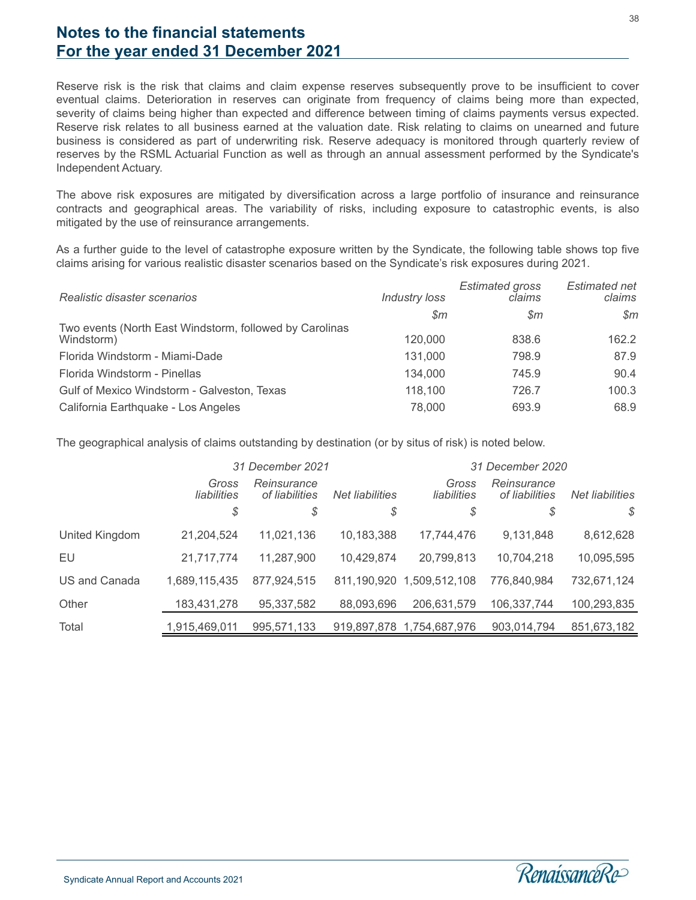Reserve risk is the risk that claims and claim expense reserves subsequently prove to be insufficient to cover eventual claims. Deterioration in reserves can originate from frequency of claims being more than expected, severity of claims being higher than expected and difference between timing of claims payments versus expected. Reserve risk relates to all business earned at the valuation date. Risk relating to claims on unearned and future business is considered as part of underwriting risk. Reserve adequacy is monitored through quarterly review of reserves by the RSML Actuarial Function as well as through an annual assessment performed by the Syndicate's Independent Actuary.

The above risk exposures are mitigated by diversification across a large portfolio of insurance and reinsurance contracts and geographical areas. The variability of risks, including exposure to catastrophic events, is also mitigated by the use of reinsurance arrangements.

As a further guide to the level of catastrophe exposure written by the Syndicate, the following table shows top five claims arising for various realistic disaster scenarios based on the Syndicate's risk exposures during 2021.

| Realistic disaster scenarios                            | <b>Industry loss</b> | <b>Estimated gross</b><br>claims | Estimated net<br>claims |
|---------------------------------------------------------|----------------------|----------------------------------|-------------------------|
|                                                         | $\mathcal{S}m$       | $\mathcal{S}m$                   | Sm                      |
| Two events (North East Windstorm, followed by Carolinas |                      |                                  |                         |
| Windstorm)                                              | 120,000              | 838.6                            | 162.2                   |
| Florida Windstorm - Miami-Dade                          | 131.000              | 798.9                            | 87.9                    |
| Florida Windstorm - Pinellas                            | 134,000              | 745.9                            | 90.4                    |
| Gulf of Mexico Windstorm - Galveston, Texas             | 118,100              | 726.7                            | 100.3                   |
| California Earthquake - Los Angeles                     | 78,000               | 693.9                            | 68.9                    |

The geographical analysis of claims outstanding by destination (or by situs of risk) is noted below.

|                | 31 December 2021     |                                                  |             | 31 December 2020          |                               |                 |
|----------------|----------------------|--------------------------------------------------|-------------|---------------------------|-------------------------------|-----------------|
|                | Gross<br>liabilities | Reinsurance<br>of liabilities<br>Net liabilities |             | Gross<br>liabilities      | Reinsurance<br>of liabilities | Net liabilities |
|                | \$                   | \$                                               | \$          | \$                        | \$                            | $\mathcal{S}$   |
| United Kingdom | 21,204,524           | 11,021,136                                       | 10,183,388  | 17,744,476                | 9,131,848                     | 8,612,628       |
| EU             | 21,717,774           | 11,287,900                                       | 10,429,874  | 20,799,813                | 10,704,218                    | 10,095,595      |
| US and Canada  | 1,689,115,435        | 877,924,515                                      | 811,190,920 | 1,509,512,108             | 776,840,984                   | 732,671,124     |
| Other          | 183,431,278          | 95,337,582                                       | 88,093,696  | 206,631,579               | 106,337,744                   | 100,293,835     |
| Total          | 1,915,469,011        | 995,571,133                                      |             | 919,897,878 1,754,687,976 | 903,014,794                   | 851,673,182     |

38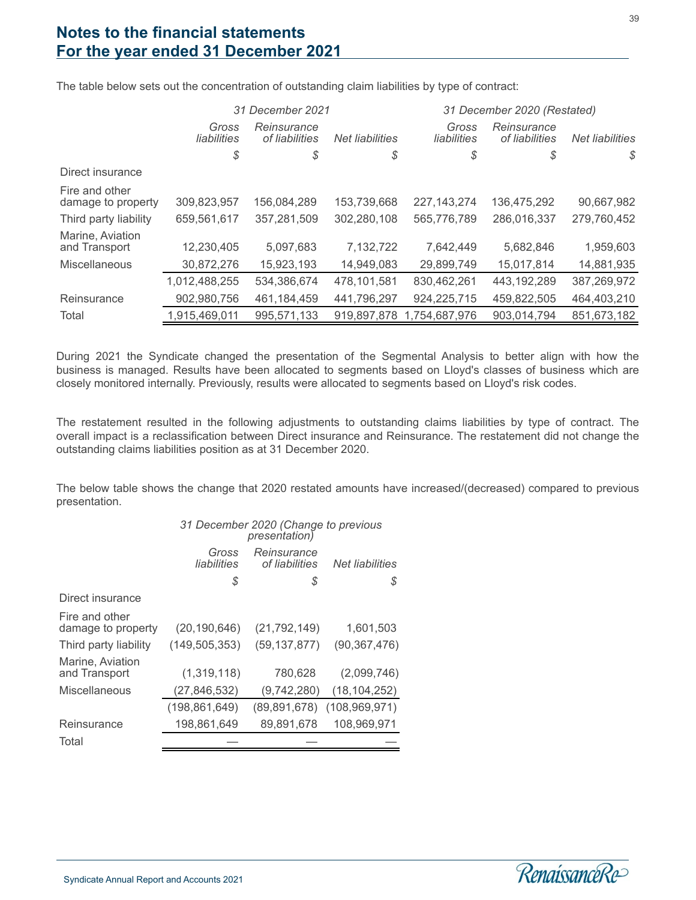|                                      | 31 December 2021     |                               |                 | 31 December 2020 (Restated) |                               |                 |
|--------------------------------------|----------------------|-------------------------------|-----------------|-----------------------------|-------------------------------|-----------------|
|                                      | Gross<br>liabilities | Reinsurance<br>of liabilities | Net liabilities | Gross<br>liabilities        | Reinsurance<br>of liabilities | Net liabilities |
|                                      | \$                   | \$                            | \$              | \$                          | \$                            | \$              |
| Direct insurance                     |                      |                               |                 |                             |                               |                 |
| Fire and other<br>damage to property | 309,823,957          | 156,084,289                   | 153,739,668     | 227, 143, 274               | 136,475,292                   | 90,667,982      |
| Third party liability                | 659,561,617          | 357,281,509                   | 302,280,108     | 565,776,789                 | 286,016,337                   | 279,760,452     |
| Marine, Aviation<br>and Transport    | 12,230,405           | 5,097,683                     | 7,132,722       | 7,642,449                   | 5,682,846                     | 1,959,603       |
| Miscellaneous                        | 30,872,276           | 15,923,193                    | 14,949,083      | 29,899,749                  | 15,017,814                    | 14,881,935      |
|                                      | 1,012,488,255        | 534,386,674                   | 478,101,581     | 830,462,261                 | 443,192,289                   | 387,269,972     |
| Reinsurance                          | 902,980,756          | 461,184,459                   | 441,796,297     | 924,225,715                 | 459,822,505                   | 464,403,210     |
| Total                                | 1,915,469,011        | 995,571,133                   | 919,897,878     | 1,754,687,976               | 903,014,794                   | 851,673,182     |

The table below sets out the concentration of outstanding claim liabilities by type of contract:

During 2021 the Syndicate changed the presentation of the Segmental Analysis to better align with how the business is managed. Results have been allocated to segments based on Lloyd's classes of business which are closely monitored internally. Previously, results were allocated to segments based on Lloyd's risk codes.

The restatement resulted in the following adjustments to outstanding claims liabilities by type of contract. The overall impact is a reclassification between Direct insurance and Reinsurance. The restatement did not change the outstanding claims liabilities position as at 31 December 2020.

The below table shows the change that 2020 restated amounts have increased/(decreased) compared to previous presentation.

|                                      | 31 December 2020 (Change to previous<br><i>presentation</i> ) |                               |                 |  |  |
|--------------------------------------|---------------------------------------------------------------|-------------------------------|-----------------|--|--|
|                                      | Gross<br>liabilities                                          | Reinsurance<br>of liabilities | Net liabilities |  |  |
|                                      | \$                                                            | S                             | S               |  |  |
| Direct insurance                     |                                                               |                               |                 |  |  |
| Fire and other<br>damage to property | (20, 190, 646)                                                | (21, 792, 149)                | 1,601,503       |  |  |
| Third party liability                | (149, 505, 353)                                               | (59, 137, 877)                | (90, 367, 476)  |  |  |
| Marine, Aviation<br>and Transport    | (1,319,118)                                                   | 780,628                       | (2,099,746)     |  |  |
| Miscellaneous                        | (27,846,532)                                                  | (9,742,280)                   | (18, 104, 252)  |  |  |
|                                      | (198, 861, 649)                                               | (89, 891, 678)                | (108, 969, 971) |  |  |
| Reinsurance                          | 198,861,649                                                   | 89,891,678                    | 108,969,971     |  |  |
| Total                                |                                                               |                               |                 |  |  |

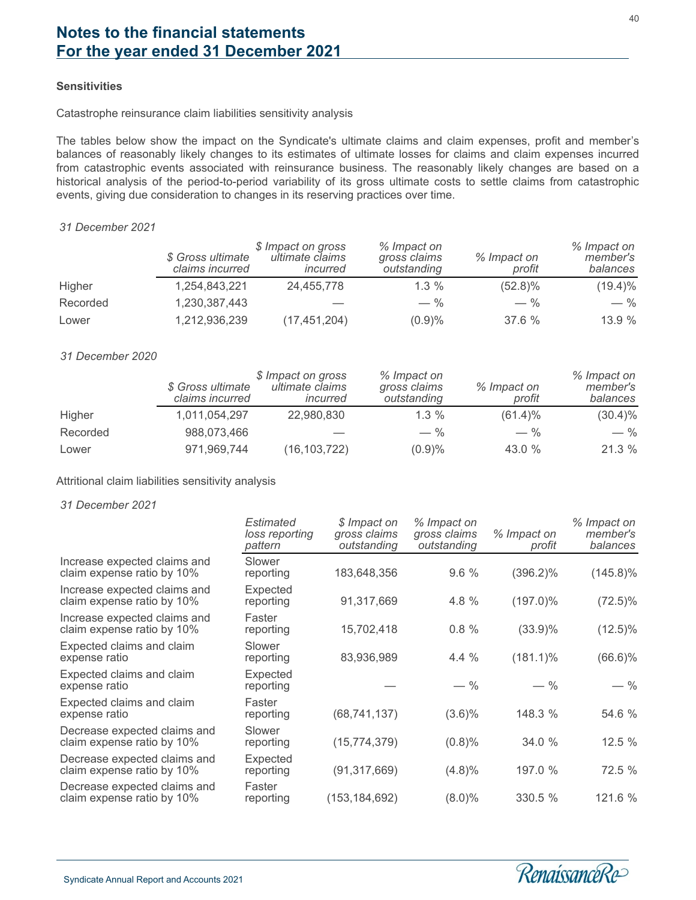#### **Sensitivities**

Catastrophe reinsurance claim liabilities sensitivity analysis

The tables below show the impact on the Syndicate's ultimate claims and claim expenses, profit and member's balances of reasonably likely changes to its estimates of ultimate losses for claims and claim expenses incurred from catastrophic events associated with reinsurance business. The reasonably likely changes are based on a historical analysis of the period-to-period variability of its gross ultimate costs to settle claims from catastrophic events, giving due consideration to changes in its reserving practices over time.

#### *31 December 2021*

|          | \$ Gross ultimate<br>claims incurred | \$ Impact on gross<br>ultimate claims<br>incurred | % Impact on<br>gross claims<br>outstanding | % Impact on<br>profit | % Impact on<br>member's<br>balances |
|----------|--------------------------------------|---------------------------------------------------|--------------------------------------------|-----------------------|-------------------------------------|
| Higher   | 1,254,843,221                        | 24,455,778                                        | $1.3\%$                                    | $(52.8)\%$            | $(19.4)\%$                          |
| Recorded | 1,230,387,443                        |                                                   | $-$ %                                      | $-$ %                 | $-$ %                               |
| Lower    | 1,212,936,239                        | (17, 451, 204)                                    | (0.9)%                                     | 37.6%                 | 13.9%                               |

#### *31 December 2020*

|          | \$ Gross ultimate<br>claims incurred | \$ Impact on gross<br>ultimate claims<br>incurred | % Impact on<br>gross claims<br>outstanding | % Impact on<br>profit | % Impact on<br>member's<br>balances |
|----------|--------------------------------------|---------------------------------------------------|--------------------------------------------|-----------------------|-------------------------------------|
| Higher   | 1,011,054,297                        | 22,980,830                                        | $1.3\%$                                    | $(61.4)\%$            | $(30.4)\%$                          |
| Recorded | 988,073,466                          |                                                   | $-$ %                                      | $-$ %                 | $-$ %                               |
| Lower    | 971,969,744                          | (16, 103, 722)                                    | (0.9)%                                     | 43.0 $%$              | 21.3%                               |

#### Attritional claim liabilities sensitivity analysis

*31 December 2021*

|                                                            | <b>Estimated</b><br>loss reporting<br>pattern | \$ Impact on<br>gross claims<br>outstanding | % Impact on<br>gross claims<br>outstanding | % Impact on<br>profit | % Impact on<br>member's<br>balances |
|------------------------------------------------------------|-----------------------------------------------|---------------------------------------------|--------------------------------------------|-----------------------|-------------------------------------|
| Increase expected claims and<br>claim expense ratio by 10% | Slower<br>reporting                           | 183,648,356                                 | 9.6%                                       | $(396.2)\%$           | $(145.8)\%$                         |
| Increase expected claims and<br>claim expense ratio by 10% | Expected<br>reporting                         | 91,317,669                                  | 4.8 %                                      | $(197.0)\%$           | $(72.5)\%$                          |
| Increase expected claims and<br>claim expense ratio by 10% | Faster<br>reporting                           | 15,702,418                                  | 0.8%                                       | $(33.9)\%$            | $(12.5)\%$                          |
| Expected claims and claim<br>expense ratio                 | Slower<br>reporting                           | 83,936,989                                  | 4.4%                                       | $(181.1)\%$           | $(66.6)\%$                          |
| Expected claims and claim<br>expense ratio                 | Expected<br>reporting                         |                                             | $-$ %                                      | $-$ %                 | $-$ %                               |
| Expected claims and claim<br>expense ratio                 | Faster<br>reporting                           | (68, 741, 137)                              | $(3.6)\%$                                  | 148.3 %               | 54.6 %                              |
| Decrease expected claims and<br>claim expense ratio by 10% | Slower<br>reporting                           | (15, 774, 379)                              | $(0.8)\%$                                  | 34.0 %                | 12.5 %                              |
| Decrease expected claims and<br>claim expense ratio by 10% | Expected<br>reporting                         | (91, 317, 669)                              | $(4.8)\%$                                  | 197.0 %               | 72.5 %                              |
| Decrease expected claims and<br>claim expense ratio by 10% | Faster<br>reporting                           | (153, 184, 692)                             | $(8.0)\%$                                  | 330.5 %               | 121.6 %                             |

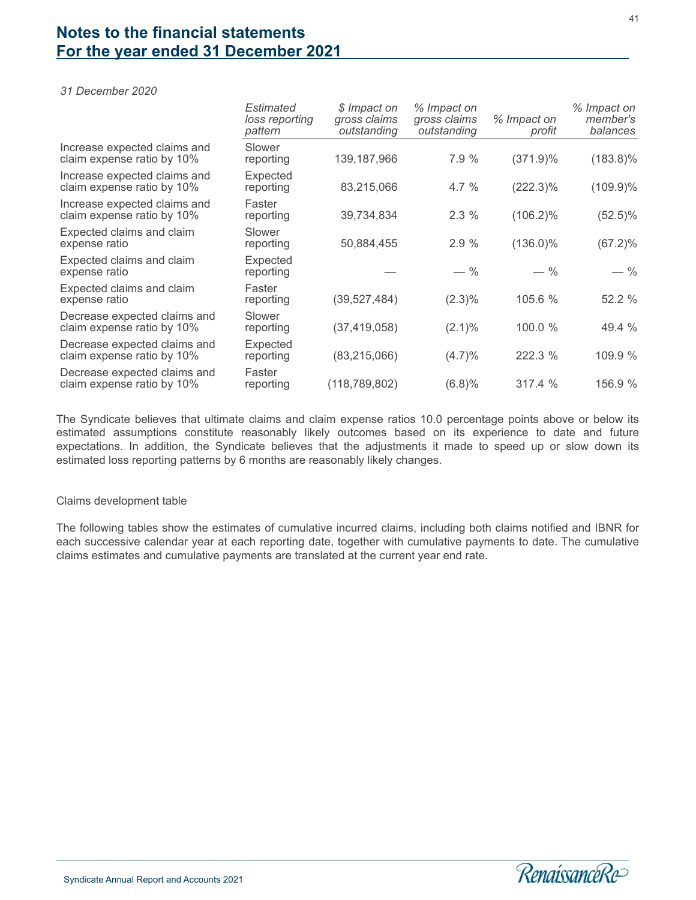*31 December 2020*

|                                                            | Estimated<br>loss reporting<br>pattern | \$ Impact on<br>gross claims<br>outstanding | % Impact on<br>gross claims<br>outstanding | % Impact on<br>profit | % Impact on<br>member's<br>balances |
|------------------------------------------------------------|----------------------------------------|---------------------------------------------|--------------------------------------------|-----------------------|-------------------------------------|
| Increase expected claims and<br>claim expense ratio by 10% | Slower<br>reporting                    | 139,187,966                                 | 7.9%                                       | $(371.9)\%$           | $(183.8)\%$                         |
| Increase expected claims and<br>claim expense ratio by 10% | Expected<br>reporting                  | 83,215,066                                  | 4.7%                                       | $(222.3)\%$           | $(109.9)\%$                         |
| Increase expected claims and<br>claim expense ratio by 10% | Faster<br>reporting                    | 39,734,834                                  | 2.3%                                       | $(106.2)\%$           | $(52.5)\%$                          |
| Expected claims and claim<br>expense ratio                 | Slower<br>reporting                    | 50,884,455                                  | 2.9%                                       | $(136.0)\%$           | $(67.2)\%$                          |
| Expected claims and claim<br>expense ratio                 | Expected<br>reporting                  |                                             | $-$ %                                      | $-$ %                 | $-$ %                               |
| Expected claims and claim<br>expense ratio                 | Faster<br>reporting                    | (39,527,484)                                | $(2.3)\%$                                  | 105.6 %               | 52.2 %                              |
| Decrease expected claims and<br>claim expense ratio by 10% | Slower<br>reporting                    | (37, 419, 058)                              | $(2.1)\%$                                  | 100.0 %               | 49.4 %                              |
| Decrease expected claims and<br>claim expense ratio by 10% | Expected<br>reporting                  | (83, 215, 066)                              | (4.7)%                                     | 222.3 %               | 109.9 %                             |
| Decrease expected claims and<br>claim expense ratio by 10% | Faster<br>reporting                    | (118, 789, 802)                             | (6.8)%                                     | 317.4 %               | 156.9 %                             |

The Syndicate believes that ultimate claims and claim expense ratios 10.0 percentage points above or below its estimated assumptions constitute reasonably likely outcomes based on its experience to date and future expectations. In addition, the Syndicate believes that the adjustments it made to speed up or slow down its estimated loss reporting patterns by 6 months are reasonably likely changes.

#### Claims development table

The following tables show the estimates of cumulative incurred claims, including both claims notified and IBNR for each successive calendar year at each reporting date, together with cumulative payments to date. The cumulative claims estimates and cumulative payments are translated at the current year end rate.

41

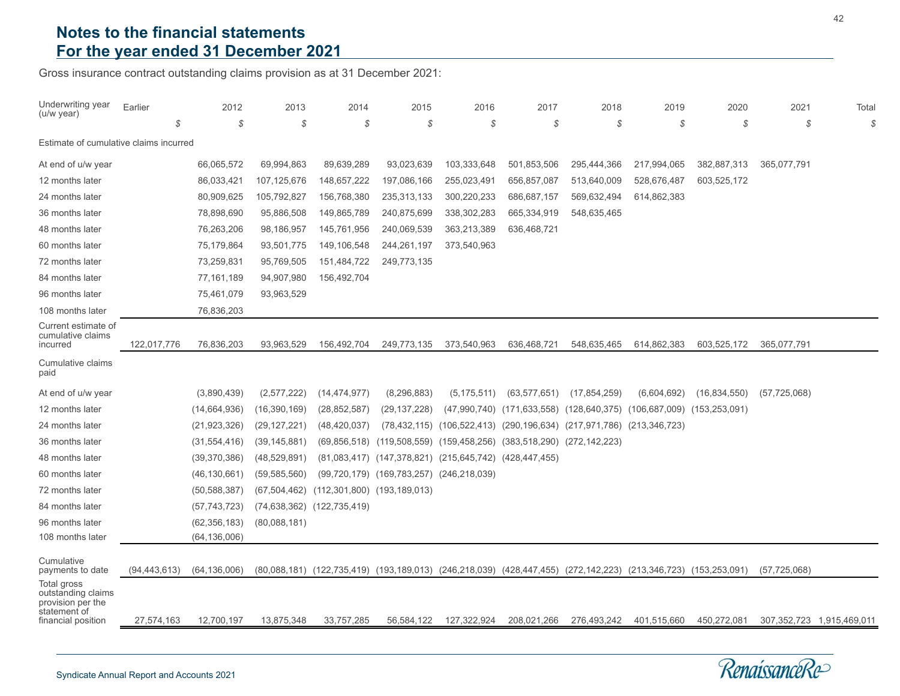Gross insurance contract outstanding claims provision as at 31 December 2021:

| Underwriting year<br>(u/w year)                                        | Earlier        | 2012           | 2013           | 2014                                     | 2015                                                                           | 2016          | 2017           | 2018                                                                                             | 2019        | 2020            | 2021           | Total                                                     |
|------------------------------------------------------------------------|----------------|----------------|----------------|------------------------------------------|--------------------------------------------------------------------------------|---------------|----------------|--------------------------------------------------------------------------------------------------|-------------|-----------------|----------------|-----------------------------------------------------------|
|                                                                        |                | \$             | \$<br>S        | \$                                       | \$                                                                             | \$            | \$             | \$                                                                                               | S           | \$              | \$             | $\mathcal{S}% _{M_{1},M_{2}}^{\alpha,\beta}(\varepsilon)$ |
| Estimate of cumulative claims incurred                                 |                |                |                |                                          |                                                                                |               |                |                                                                                                  |             |                 |                |                                                           |
| At end of u/w year                                                     |                | 66,065,572     | 69,994,863     | 89,639,289                               | 93,023,639                                                                     | 103,333,648   | 501,853,506    | 295,444,366                                                                                      | 217,994,065 | 382,887,313     | 365,077,791    |                                                           |
| 12 months later                                                        |                | 86,033,421     | 107, 125, 676  | 148,657,222                              | 197,086,166                                                                    | 255,023,491   | 656,857,087    | 513,640,009                                                                                      | 528,676,487 | 603,525,172     |                |                                                           |
| 24 months later                                                        |                | 80,909,625     | 105,792,827    | 156,768,380                              | 235, 313, 133                                                                  | 300,220,233   | 686,687,157    | 569,632,494                                                                                      | 614,862,383 |                 |                |                                                           |
| 36 months later                                                        |                | 78,898,690     | 95,886,508     | 149,865,789                              | 240,875,699                                                                    | 338,302,283   | 665,334,919    | 548,635,465                                                                                      |             |                 |                |                                                           |
| 48 months later                                                        |                | 76,263,206     | 98,186,957     | 145,761,956                              | 240,069,539                                                                    | 363,213,389   | 636,468,721    |                                                                                                  |             |                 |                |                                                           |
| 60 months later                                                        |                | 75,179,864     | 93,501,775     | 149,106,548                              | 244,261,197                                                                    | 373,540,963   |                |                                                                                                  |             |                 |                |                                                           |
| 72 months later                                                        |                | 73,259,831     | 95,769,505     | 151,484,722                              | 249,773,135                                                                    |               |                |                                                                                                  |             |                 |                |                                                           |
| 84 months later                                                        |                | 77,161,189     | 94,907,980     | 156,492,704                              |                                                                                |               |                |                                                                                                  |             |                 |                |                                                           |
| 96 months later                                                        |                | 75,461,079     | 93,963,529     |                                          |                                                                                |               |                |                                                                                                  |             |                 |                |                                                           |
| 108 months later                                                       |                | 76,836,203     |                |                                          |                                                                                |               |                |                                                                                                  |             |                 |                |                                                           |
| Current estimate of<br>cumulative claims<br>incurred                   | 122,017,776    | 76,836,203     | 93,963,529     | 156,492,704                              | 249,773,135                                                                    | 373,540,963   | 636,468,721    | 548,635,465                                                                                      | 614,862,383 | 603,525,172     | 365,077,791    |                                                           |
| Cumulative claims<br>paid                                              |                |                |                |                                          |                                                                                |               |                |                                                                                                  |             |                 |                |                                                           |
| At end of u/w year                                                     |                | (3,890,439)    | (2,577,222)    | (14, 474, 977)                           | (8, 296, 883)                                                                  | (5, 175, 511) | (63, 577, 651) | (17, 854, 259)                                                                                   | (6,604,692) | (16,834,550)    | (57, 725, 068) |                                                           |
| 12 months later                                                        |                | (14,664,936)   | (16, 390, 169) | (28, 852, 587)                           | (29, 137, 228)                                                                 | (47,990,740)  |                | (171,633,558) (128,640,375) (106,687,009) (153,253,091)                                          |             |                 |                |                                                           |
| 24 months later                                                        |                | (21, 923, 326) | (29, 127, 221) | (48, 420, 037)                           |                                                                                |               |                | (78,432,115) (106,522,413) (290,196,634) (217,971,786) (213,346,723)                             |             |                 |                |                                                           |
| 36 months later                                                        |                | (31, 554, 416) | (39, 145, 881) |                                          | $(69,856,518)$ $(119,508,559)$ $(159,458,256)$ $(383,518,290)$ $(272,142,223)$ |               |                |                                                                                                  |             |                 |                |                                                           |
| 48 months later                                                        |                | (39, 370, 386) | (48, 529, 891) |                                          | $(81,083,417)$ $(147,378,821)$ $(215,645,742)$ $(428,447,455)$                 |               |                |                                                                                                  |             |                 |                |                                                           |
| 60 months later                                                        |                | (46, 130, 661) | (59, 585, 560) |                                          | $(99, 720, 179)$ $(169, 783, 257)$ $(246, 218, 039)$                           |               |                |                                                                                                  |             |                 |                |                                                           |
| 72 months later                                                        |                | (50, 588, 387) |                | (67,504,462) (112,301,800) (193,189,013) |                                                                                |               |                |                                                                                                  |             |                 |                |                                                           |
| 84 months later                                                        |                | (57, 743, 723) |                | (74,638,362) (122,735,419)               |                                                                                |               |                |                                                                                                  |             |                 |                |                                                           |
| 96 months later                                                        |                | (62, 356, 183) | (80,088,181)   |                                          |                                                                                |               |                |                                                                                                  |             |                 |                |                                                           |
| 108 months later                                                       |                | (64, 136, 006) |                |                                          |                                                                                |               |                |                                                                                                  |             |                 |                |                                                           |
| Cumulative<br>payments to date                                         | (94, 443, 613) | (64, 136, 006) |                |                                          |                                                                                |               |                | (80,088,181) (122,735,419) (193,189,013) (246,218,039) (428,447,455) (272,142,223) (213,346,723) |             | (153, 253, 091) | (57, 725, 068) |                                                           |
| Total gross<br>outstanding claims<br>provision per the<br>statement of |                |                |                |                                          |                                                                                |               |                |                                                                                                  |             |                 |                |                                                           |
| financial position                                                     | 27,574,163     | 12,700,197     | 13,875,348     | 33,757,285                               | 56,584,122                                                                     | 127,322,924   | 208,021,266    | 276,493,242                                                                                      | 401,515,660 | 450,272,081     |                | 307, 352, 723 1, 915, 469, 011                            |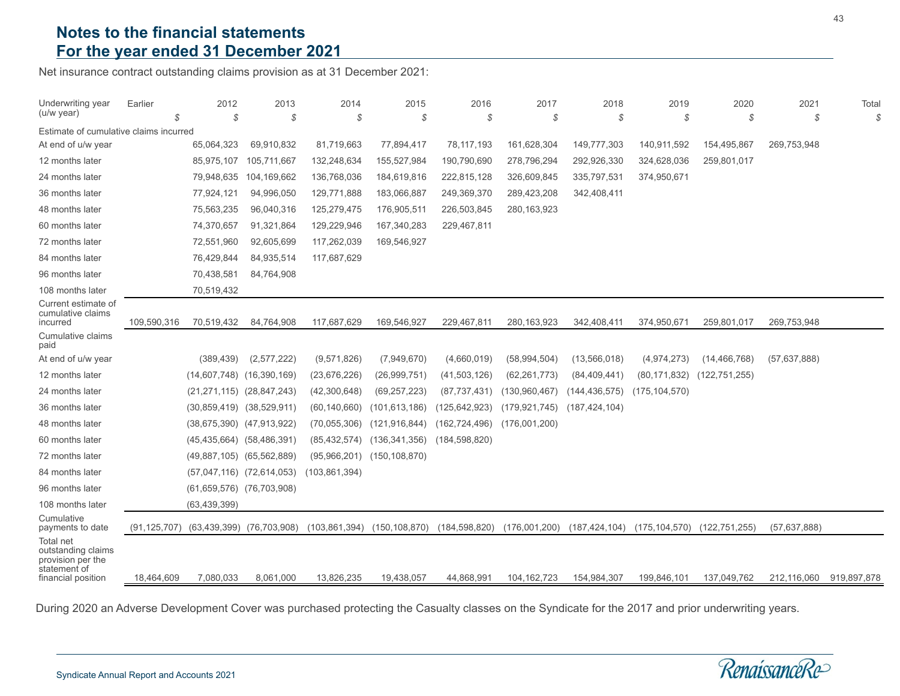Net insurance contract outstanding claims provision as at 31 December 2021:

| Underwriting year<br>(u/w year)                                                                   | Earlier<br>$\mathcal{S}$ | 2012<br>\$                        | 2013<br>\$                    | 2014<br>- \$    | 2015<br>S       | 2016<br>S       | 2017<br>\$      | 2018<br>\$      | 2019<br>S       | 2020<br>\$      | 2021<br>S      | Total<br>\$ |
|---------------------------------------------------------------------------------------------------|--------------------------|-----------------------------------|-------------------------------|-----------------|-----------------|-----------------|-----------------|-----------------|-----------------|-----------------|----------------|-------------|
| Estimate of cumulative claims incurred                                                            |                          |                                   |                               |                 |                 |                 |                 |                 |                 |                 |                |             |
| At end of u/w year                                                                                |                          | 65,064,323                        | 69,910,832                    | 81,719,663      | 77,894,417      | 78,117,193      | 161,628,304     | 149,777,303     | 140,911,592     | 154,495,867     | 269,753,948    |             |
| 12 months later                                                                                   |                          | 85,975,107                        | 105,711,667                   | 132,248,634     | 155,527,984     | 190,790,690     | 278,796,294     | 292,926,330     | 324,628,036     | 259,801,017     |                |             |
| 24 months later                                                                                   |                          | 79,948,635                        | 104,169,662                   | 136,768,036     | 184,619,816     | 222,815,128     | 326,609,845     | 335,797,531     | 374,950,671     |                 |                |             |
| 36 months later                                                                                   |                          | 77,924,121                        | 94,996,050                    | 129,771,888     | 183,066,887     | 249,369,370     | 289,423,208     | 342,408,411     |                 |                 |                |             |
| 48 months later                                                                                   |                          | 75,563,235                        | 96,040,316                    | 125,279,475     | 176,905,511     | 226,503,845     | 280, 163, 923   |                 |                 |                 |                |             |
| 60 months later                                                                                   |                          | 74,370,657                        | 91,321,864                    | 129,229,946     | 167,340,283     | 229,467,811     |                 |                 |                 |                 |                |             |
| 72 months later                                                                                   |                          | 72,551,960                        | 92,605,699                    | 117,262,039     | 169,546,927     |                 |                 |                 |                 |                 |                |             |
| 84 months later                                                                                   |                          | 76,429,844                        | 84,935,514                    | 117,687,629     |                 |                 |                 |                 |                 |                 |                |             |
| 96 months later                                                                                   |                          | 70,438,581                        | 84,764,908                    |                 |                 |                 |                 |                 |                 |                 |                |             |
| 108 months later                                                                                  |                          | 70,519,432                        |                               |                 |                 |                 |                 |                 |                 |                 |                |             |
| Current estimate of<br>cumulative claims<br>incurred                                              | 109,590,316              | 70,519,432                        | 84,764,908                    | 117,687,629     | 169,546,927     | 229,467,811     | 280, 163, 923   | 342,408,411     | 374,950,671     | 259,801,017     | 269,753,948    |             |
| Cumulative claims<br>paid                                                                         |                          |                                   |                               |                 |                 |                 |                 |                 |                 |                 |                |             |
| At end of u/w year                                                                                |                          | (389, 439)                        | (2,577,222)                   | (9,571,826)     | (7,949,670)     | (4,660,019)     | (58, 994, 504)  | (13, 566, 018)  | (4,974,273)     | (14, 466, 768)  | (57,637,888)   |             |
| 12 months later                                                                                   |                          | (14,607,748)                      | (16, 390, 169)                | (23, 676, 226)  | (26,999,751)    | (41,503,126)    | (62, 261, 773)  | (84, 409, 441)  | (80, 171, 832)  | (122, 751, 255) |                |             |
| 24 months later                                                                                   |                          | $(21, 271, 115)$ $(28, 847, 243)$ |                               | (42,300,648)    | (69, 257, 223)  | (87, 737, 431)  | (130, 960, 467) | (144, 436, 575) | (175, 104, 570) |                 |                |             |
| 36 months later                                                                                   |                          | (30, 859, 419)                    | (38,529,911)                  | (60, 140, 660)  | (101, 613, 186) | (125, 642, 923) | (179, 921, 745) | (187, 424, 104) |                 |                 |                |             |
| 48 months later                                                                                   |                          | (38,675,390) (47,913,922)         |                               | (70, 055, 306)  | (121, 916, 844) | (162, 724, 496) | (176,001,200)   |                 |                 |                 |                |             |
| 60 months later                                                                                   |                          | $(45, 435, 664)$ $(58, 486, 391)$ |                               | (85, 432, 574)  | (136, 341, 356) | (184, 598, 820) |                 |                 |                 |                 |                |             |
| 72 months later                                                                                   |                          | (49,887,105) (65,562,889)         |                               | (95,966,201)    | (150, 108, 870) |                 |                 |                 |                 |                 |                |             |
| 84 months later                                                                                   |                          |                                   | $(57,047,116)$ $(72,614,053)$ | (103, 861, 394) |                 |                 |                 |                 |                 |                 |                |             |
| 96 months later                                                                                   |                          | $(61,659,576)$ $(76,703,908)$     |                               |                 |                 |                 |                 |                 |                 |                 |                |             |
| 108 months later                                                                                  |                          | (63, 439, 399)                    |                               |                 |                 |                 |                 |                 |                 |                 |                |             |
| Cumulative<br>payments to date                                                                    | (91, 125, 707)           | (63, 439, 399)                    | (76, 703, 908)                | (103, 861, 394) | (150,108,870)   | (184, 598, 820) | (176,001,200)   | (187, 424, 104) | (175, 104, 570) | (122, 751, 255) | (57, 637, 888) |             |
| <b>Total net</b><br>outstanding claims<br>provision per the<br>statement of<br>financial position | 18,464,609               | 7,080,033                         | 8,061,000                     | 13,826,235      | 19,438,057      | 44,868,991      | 104, 162, 723   | 154,984,307     | 199,846,101     | 137,049,762     | 212,116,060    | 919,897,878 |

During 2020 an Adverse Development Cover was purchased protecting the Casualty classes on the Syndicate for the 2017 and prior underwriting years.

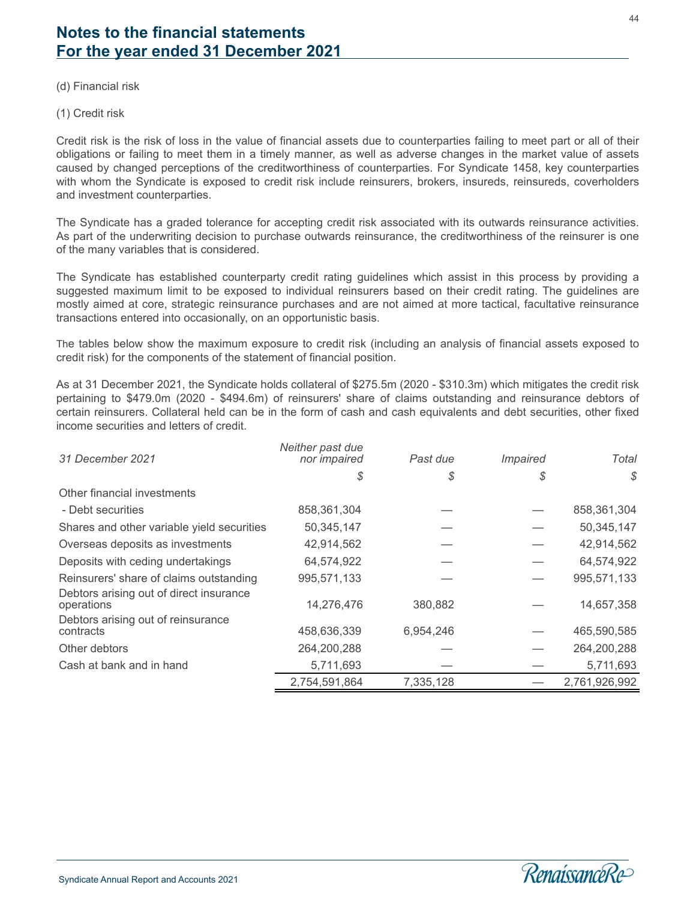(d) Financial risk

(1) Credit risk

Credit risk is the risk of loss in the value of financial assets due to counterparties failing to meet part or all of their obligations or failing to meet them in a timely manner, as well as adverse changes in the market value of assets caused by changed perceptions of the creditworthiness of counterparties. For Syndicate 1458, key counterparties with whom the Syndicate is exposed to credit risk include reinsurers, brokers, insureds, reinsureds, coverholders and investment counterparties.

The Syndicate has a graded tolerance for accepting credit risk associated with its outwards reinsurance activities. As part of the underwriting decision to purchase outwards reinsurance, the creditworthiness of the reinsurer is one of the many variables that is considered.

The Syndicate has established counterparty credit rating guidelines which assist in this process by providing a suggested maximum limit to be exposed to individual reinsurers based on their credit rating. The guidelines are mostly aimed at core, strategic reinsurance purchases and are not aimed at more tactical, facultative reinsurance transactions entered into occasionally, on an opportunistic basis.

The tables below show the maximum exposure to credit risk (including an analysis of financial assets exposed to credit risk) for the components of the statement of financial position.

As at 31 December 2021, the Syndicate holds collateral of \$275.5m (2020 - \$310.3m) which mitigates the credit risk pertaining to \$479.0m (2020 - \$494.6m) of reinsurers' share of claims outstanding and reinsurance debtors of certain reinsurers. Collateral held can be in the form of cash and cash equivalents and debt securities, other fixed income securities and letters of credit.

| 31 December 2021                                      | Neither past due<br>nor impaired | Past due  | <i>Impaired</i> | Total         |
|-------------------------------------------------------|----------------------------------|-----------|-----------------|---------------|
|                                                       | S                                | \$        | S               | S.            |
| Other financial investments                           |                                  |           |                 |               |
| - Debt securities                                     | 858,361,304                      |           |                 | 858,361,304   |
| Shares and other variable yield securities            | 50,345,147                       |           |                 | 50,345,147    |
| Overseas deposits as investments                      | 42,914,562                       |           |                 | 42,914,562    |
| Deposits with ceding undertakings                     | 64,574,922                       |           |                 | 64,574,922    |
| Reinsurers' share of claims outstanding               | 995,571,133                      |           |                 | 995,571,133   |
| Debtors arising out of direct insurance<br>operations | 14,276,476                       | 380,882   |                 | 14,657,358    |
| Debtors arising out of reinsurance<br>contracts       | 458,636,339                      | 6,954,246 |                 | 465,590,585   |
| Other debtors                                         | 264,200,288                      |           |                 | 264,200,288   |
| Cash at bank and in hand                              | 5,711,693                        |           |                 | 5,711,693     |
|                                                       | 2,754,591,864                    | 7,335,128 |                 | 2,761,926,992 |

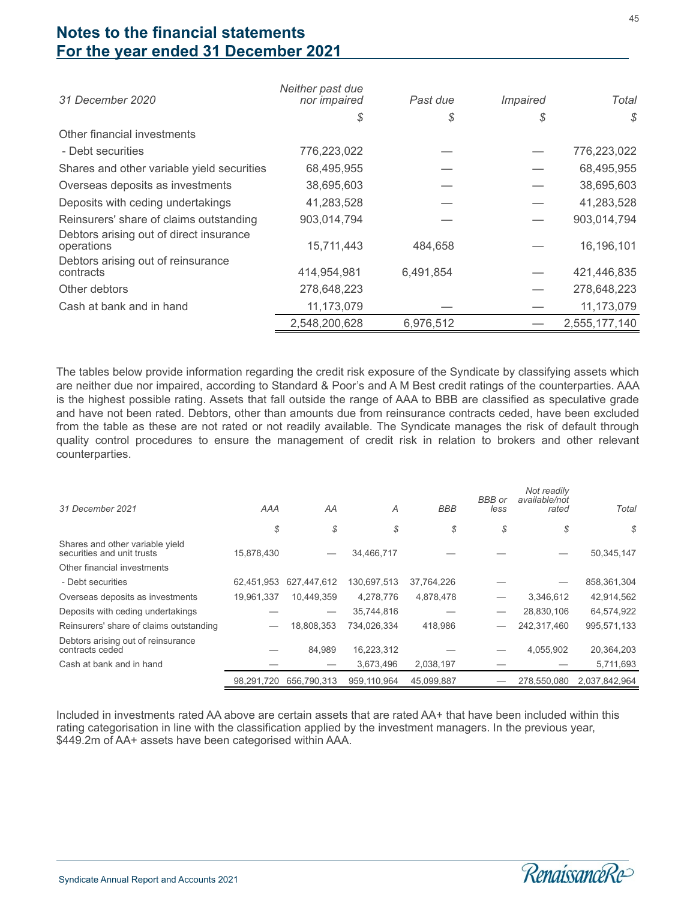| 31 December 2020                                      | Neither past due<br>nor <i>impaired</i> | Past due  | <i>Impaired</i> | Total         |
|-------------------------------------------------------|-----------------------------------------|-----------|-----------------|---------------|
|                                                       | S                                       | \$        | \$              | \$            |
| Other financial investments                           |                                         |           |                 |               |
| - Debt securities                                     | 776,223,022                             |           |                 | 776,223,022   |
| Shares and other variable yield securities            | 68,495,955                              |           |                 | 68,495,955    |
| Overseas deposits as investments                      | 38,695,603                              |           |                 | 38,695,603    |
| Deposits with ceding undertakings                     | 41,283,528                              |           |                 | 41,283,528    |
| Reinsurers' share of claims outstanding               | 903,014,794                             |           |                 | 903,014,794   |
| Debtors arising out of direct insurance<br>operations | 15,711,443                              | 484,658   |                 | 16,196,101    |
| Debtors arising out of reinsurance<br>contracts       | 414,954,981                             | 6,491,854 |                 | 421,446,835   |
| Other debtors                                         | 278,648,223                             |           |                 | 278,648,223   |
| Cash at bank and in hand                              | 11,173,079                              |           |                 | 11,173,079    |
|                                                       | 2,548,200,628                           | 6,976,512 |                 | 2,555,177,140 |

The tables below provide information regarding the credit risk exposure of the Syndicate by classifying assets which are neither due nor impaired, according to Standard & Poor's and A M Best credit ratings of the counterparties. AAA is the highest possible rating. Assets that fall outside the range of AAA to BBB are classified as speculative grade and have not been rated. Debtors, other than amounts due from reinsurance contracts ceded, have been excluded from the table as these are not rated or not readily available. The Syndicate manages the risk of default through quality control procedures to ensure the management of credit risk in relation to brokers and other relevant counterparties.

| 31 December 2021                                              | AAA        | AA          | A           | <b>BBB</b> | <b>BBB</b> or<br>less | Not readily<br>available/not<br>rated | Total         |
|---------------------------------------------------------------|------------|-------------|-------------|------------|-----------------------|---------------------------------------|---------------|
|                                                               | \$         | \$          | \$          | \$         | \$                    | \$                                    | \$            |
| Shares and other variable yield<br>securities and unit trusts | 15.878.430 |             | 34,466,717  |            |                       |                                       | 50,345,147    |
| Other financial investments                                   |            |             |             |            |                       |                                       |               |
| - Debt securities                                             | 62,451,953 | 627,447,612 | 130,697,513 | 37,764,226 |                       |                                       | 858,361,304   |
| Overseas deposits as investments                              | 19,961,337 | 10.449.359  | 4,278,776   | 4,878,478  |                       | 3,346,612                             | 42,914,562    |
| Deposits with ceding undertakings                             |            |             | 35,744,816  |            |                       | 28,830,106                            | 64,574,922    |
| Reinsurers' share of claims outstanding                       |            | 18.808.353  | 734.026.334 | 418,986    |                       | 242,317,460                           | 995,571,133   |
| Debtors arising out of reinsurance<br>contracts ceded         |            | 84.989      | 16,223,312  |            |                       | 4,055,902                             | 20,364,203    |
| Cash at bank and in hand                                      |            |             | 3,673,496   | 2,038,197  |                       |                                       | 5,711,693     |
|                                                               | 98.291.720 | 656.790.313 | 959.110.964 | 45.099.887 |                       | 278,550,080                           | 2,037,842,964 |

Included in investments rated AA above are certain assets that are rated AA+ that have been included within this rating categorisation in line with the classification applied by the investment managers. In the previous year, \$449.2m of AA+ assets have been categorised within AAA.

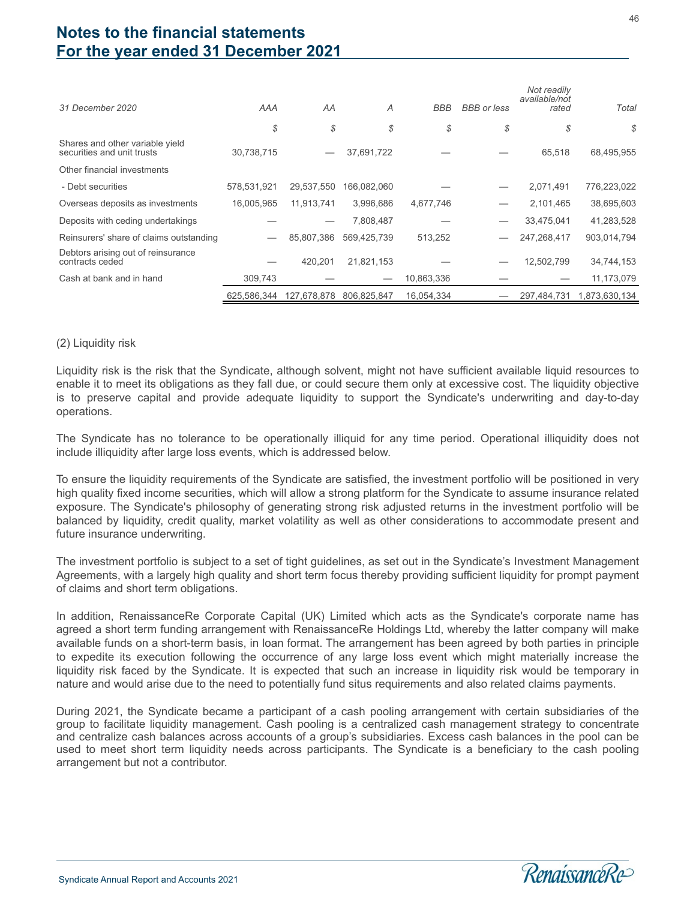| 31 December 2020                                              | AAA         | AA          | Α           | <b>BBB</b> | <b>BBB</b> or less | Not readily<br>available/not<br>rated | Total         |
|---------------------------------------------------------------|-------------|-------------|-------------|------------|--------------------|---------------------------------------|---------------|
|                                                               | \$          | \$          | \$          | \$         | \$                 | \$                                    | \$            |
| Shares and other variable yield<br>securities and unit trusts | 30.738.715  |             | 37,691,722  |            |                    | 65.518                                | 68,495,955    |
| Other financial investments                                   |             |             |             |            |                    |                                       |               |
| - Debt securities                                             | 578,531,921 | 29,537,550  | 166,082,060 |            |                    | 2,071,491                             | 776,223,022   |
| Overseas deposits as investments                              | 16,005,965  | 11.913.741  | 3.996.686   | 4,677,746  |                    | 2,101,465                             | 38,695,603    |
| Deposits with ceding undertakings                             |             |             | 7,808,487   |            |                    | 33,475,041                            | 41,283,528    |
| Reinsurers' share of claims outstanding                       |             | 85,807,386  | 569.425.739 | 513,252    |                    | 247,268,417                           | 903,014,794   |
| Debtors arising out of reinsurance<br>contracts ceded         |             | 420.201     | 21,821,153  |            |                    | 12,502,799                            | 34,744,153    |
| Cash at bank and in hand                                      | 309,743     |             |             | 10,863,336 |                    |                                       | 11,173,079    |
|                                                               | 625,586,344 | 127.678.878 | 806,825,847 | 16.054.334 |                    | 297.484.731                           | 1,873,630,134 |

#### (2) Liquidity risk

Liquidity risk is the risk that the Syndicate, although solvent, might not have sufficient available liquid resources to enable it to meet its obligations as they fall due, or could secure them only at excessive cost. The liquidity objective is to preserve capital and provide adequate liquidity to support the Syndicate's underwriting and day-to-day operations.

The Syndicate has no tolerance to be operationally illiquid for any time period. Operational illiquidity does not include illiquidity after large loss events, which is addressed below.

To ensure the liquidity requirements of the Syndicate are satisfied, the investment portfolio will be positioned in very high quality fixed income securities, which will allow a strong platform for the Syndicate to assume insurance related exposure. The Syndicate's philosophy of generating strong risk adjusted returns in the investment portfolio will be balanced by liquidity, credit quality, market volatility as well as other considerations to accommodate present and future insurance underwriting.

The investment portfolio is subject to a set of tight guidelines, as set out in the Syndicate's Investment Management Agreements, with a largely high quality and short term focus thereby providing sufficient liquidity for prompt payment of claims and short term obligations.

In addition, RenaissanceRe Corporate Capital (UK) Limited which acts as the Syndicate's corporate name has agreed a short term funding arrangement with RenaissanceRe Holdings Ltd, whereby the latter company will make available funds on a short-term basis, in loan format. The arrangement has been agreed by both parties in principle to expedite its execution following the occurrence of any large loss event which might materially increase the liquidity risk faced by the Syndicate. It is expected that such an increase in liquidity risk would be temporary in nature and would arise due to the need to potentially fund situs requirements and also related claims payments.

During 2021, the Syndicate became a participant of a cash pooling arrangement with certain subsidiaries of the group to facilitate liquidity management. Cash pooling is a centralized cash management strategy to concentrate and centralize cash balances across accounts of a group's subsidiaries. Excess cash balances in the pool can be used to meet short term liquidity needs across participants. The Syndicate is a beneficiary to the cash pooling arrangement but not a contributor.

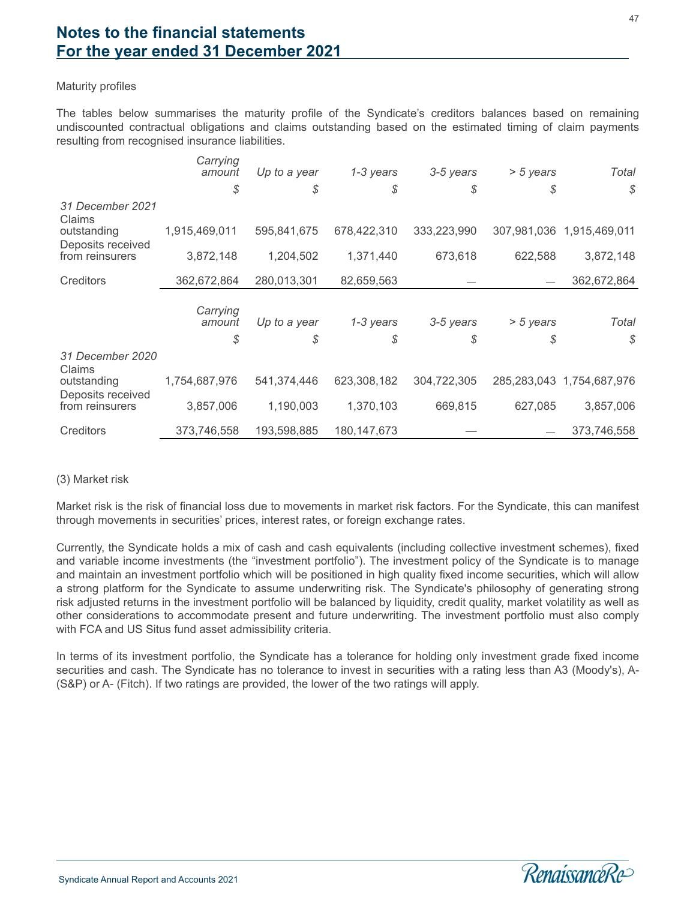#### Maturity profiles

The tables below summarises the maturity profile of the Syndicate's creditors balances based on remaining undiscounted contractual obligations and claims outstanding based on the estimated timing of claim payments resulting from recognised insurance liabilities.

|                                  | Carrying<br>amount<br>\$ | Up to a year<br>\$ | 1-3 years<br>\$ | 3-5 years<br>\$ | $> 5$ years<br>S | Total<br>\$               |
|----------------------------------|--------------------------|--------------------|-----------------|-----------------|------------------|---------------------------|
| 31 December 2021<br>Claims       |                          |                    |                 |                 |                  |                           |
| outstanding<br>Deposits received | 1,915,469,011            | 595,841,675        | 678,422,310     | 333,223,990     |                  | 307,981,036 1,915,469,011 |
| from reinsurers                  | 3,872,148                | 1,204,502          | 1,371,440       | 673,618         | 622,588          | 3,872,148                 |
| Creditors                        | 362,672,864              | 280,013,301        | 82,659,563      |                 |                  | 362,672,864               |
|                                  | Carrying<br>amount       | Up to a year       | 1-3 years       | 3-5 years       | $> 5$ years      | Total                     |
|                                  | \$                       | \$                 | \$              | \$              | \$               | $\mathcal{S}$             |
| 31 December 2020<br>Claims       |                          |                    |                 |                 |                  |                           |
| outstanding<br>Deposits received | 1,754,687,976            | 541,374,446        | 623,308,182     | 304,722,305     |                  | 285,283,043 1,754,687,976 |
| from reinsurers                  | 3,857,006                | 1,190,003          | 1,370,103       | 669,815         | 627,085          | 3,857,006                 |
| Creditors                        | 373,746,558              | 193,598,885        | 180, 147, 673   |                 |                  | 373,746,558               |

#### (3) Market risk

Market risk is the risk of financial loss due to movements in market risk factors. For the Syndicate, this can manifest through movements in securities' prices, interest rates, or foreign exchange rates.

Currently, the Syndicate holds a mix of cash and cash equivalents (including collective investment schemes), fixed and variable income investments (the "investment portfolio"). The investment policy of the Syndicate is to manage and maintain an investment portfolio which will be positioned in high quality fixed income securities, which will allow a strong platform for the Syndicate to assume underwriting risk. The Syndicate's philosophy of generating strong risk adjusted returns in the investment portfolio will be balanced by liquidity, credit quality, market volatility as well as other considerations to accommodate present and future underwriting. The investment portfolio must also comply with FCA and US Situs fund asset admissibility criteria.

In terms of its investment portfolio, the Syndicate has a tolerance for holding only investment grade fixed income securities and cash. The Syndicate has no tolerance to invest in securities with a rating less than A3 (Moody's), A- (S&P) or A- (Fitch). If two ratings are provided, the lower of the two ratings will apply.

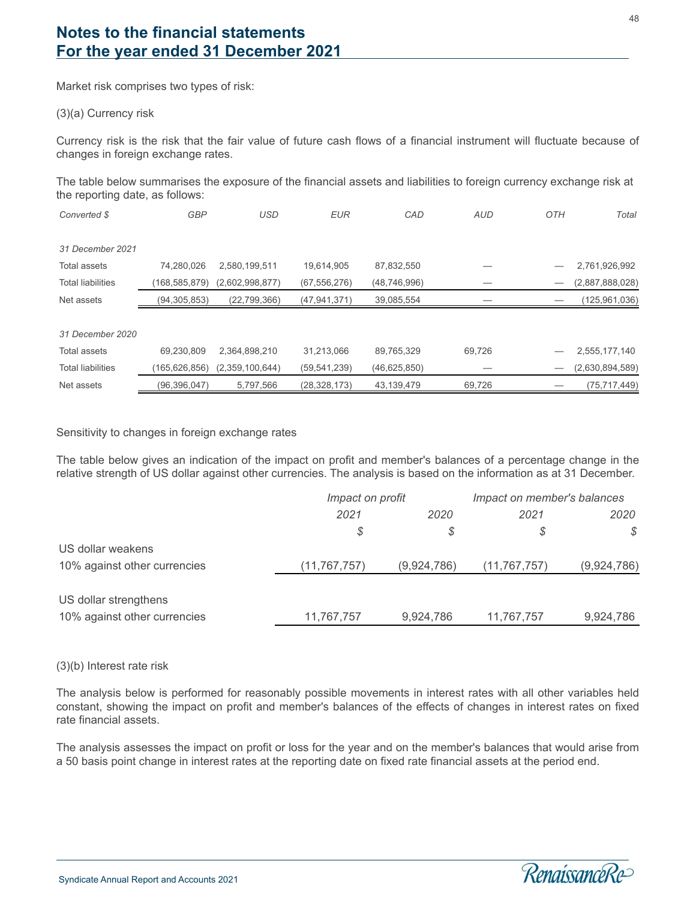Market risk comprises two types of risk:

#### (3)(a) Currency risk

Currency risk is the risk that the fair value of future cash flows of a financial instrument will fluctuate because of changes in foreign exchange rates.

The table below summarises the exposure of the financial assets and liabilities to foreign currency exchange risk at the reporting date, as follows:

| Converted \$             | <b>GBP</b>      | <b>USD</b>      | <b>EUR</b>     | CAD            | <b>AUD</b> | OTH                             | Total           |
|--------------------------|-----------------|-----------------|----------------|----------------|------------|---------------------------------|-----------------|
|                          |                 |                 |                |                |            |                                 |                 |
| 31 December 2021         |                 |                 |                |                |            |                                 |                 |
| Total assets             | 74,280,026      | 2,580,199,511   | 19,614,905     | 87,832,550     |            |                                 | 2,761,926,992   |
| <b>Total liabilities</b> | (168, 585, 879) | (2,602,998,877) | (67, 556, 276) | (48, 746, 996) |            |                                 | (2,887,888,028) |
| Net assets               | (94, 305, 853)  | (22, 799, 366)  | (47, 941, 371) | 39,085,554     |            |                                 | (125, 961, 036) |
|                          |                 |                 |                |                |            |                                 |                 |
| 31 December 2020         |                 |                 |                |                |            |                                 |                 |
| Total assets             | 69,230,809      | 2,364,898,210   | 31,213,066     | 89,765,329     | 69,726     |                                 | 2,555,177,140   |
| <b>Total liabilities</b> | (165, 626, 856) | (2,359,100,644) | (59, 541, 239) | (46,625,850)   |            | $\hspace{0.1mm}-\hspace{0.1mm}$ | (2,630,894,589) |
| Net assets               | (96, 396, 047)  | 5,797,566       | (28, 328, 173) | 43,139,479     | 69,726     |                                 | (75, 717, 449)  |

#### Sensitivity to changes in foreign exchange rates

The table below gives an indication of the impact on profit and member's balances of a percentage change in the relative strength of US dollar against other currencies. The analysis is based on the information as at 31 December.

|                              | Impact on profit |             | Impact on member's balances |             |  |
|------------------------------|------------------|-------------|-----------------------------|-------------|--|
|                              | 2021<br>2020     |             | 2021                        | 2020        |  |
|                              | S                | \$          | \$                          | S           |  |
| US dollar weakens            |                  |             |                             |             |  |
| 10% against other currencies | (11, 767, 757)   | (9,924,786) | (11, 767, 757)              | (9,924,786) |  |
|                              |                  |             |                             |             |  |
| US dollar strengthens        |                  |             |                             |             |  |
| 10% against other currencies | 11,767,757       | 9,924,786   | 11,767,757                  | 9,924,786   |  |

#### (3)(b) Interest rate risk

l

The analysis below is performed for reasonably possible movements in interest rates with all other variables held constant, showing the impact on profit and member's balances of the effects of changes in interest rates on fixed rate financial assets.

The analysis assesses the impact on profit or loss for the year and on the member's balances that would arise from a 50 basis point change in interest rates at the reporting date on fixed rate financial assets at the period end.